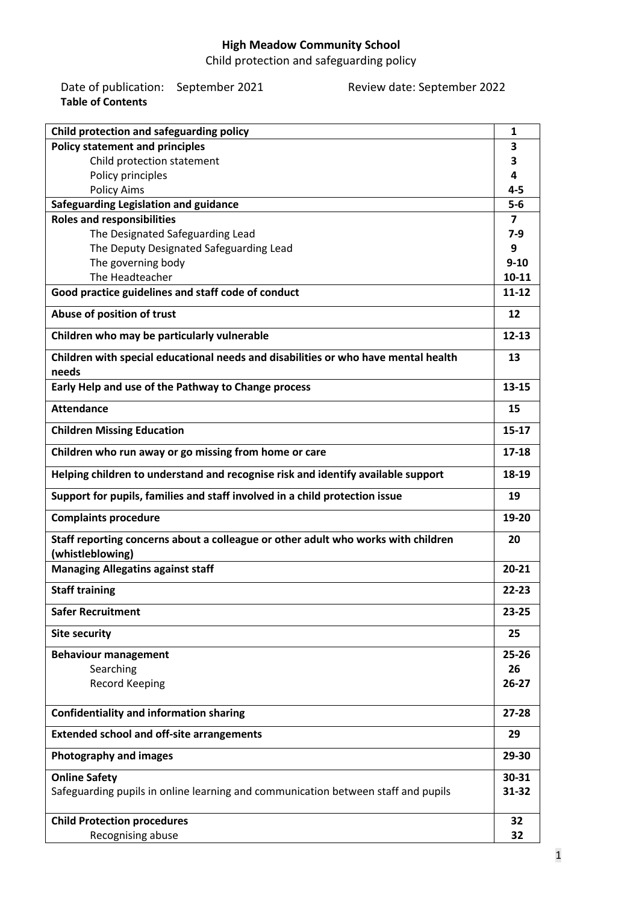### **High Meadow Community School**

Child protection and safeguarding policy

Date of publication: September 2021 Review date: September 2022 **Table of Contents**

| Child protection and safeguarding policy                                                    | 1         |  |
|---------------------------------------------------------------------------------------------|-----------|--|
| <b>Policy statement and principles</b>                                                      | 3         |  |
| Child protection statement                                                                  | 3         |  |
| Policy principles                                                                           |           |  |
| <b>Policy Aims</b>                                                                          | $4 - 5$   |  |
| Safeguarding Legislation and guidance                                                       | $5-6$     |  |
| <b>Roles and responsibilities</b>                                                           | 7         |  |
| The Designated Safeguarding Lead                                                            |           |  |
| The Deputy Designated Safeguarding Lead                                                     |           |  |
| The governing body                                                                          |           |  |
| The Headteacher                                                                             |           |  |
| Good practice guidelines and staff code of conduct                                          |           |  |
| Abuse of position of trust                                                                  |           |  |
| Children who may be particularly vulnerable                                                 | $12 - 13$ |  |
| Children with special educational needs and disabilities or who have mental health<br>needs | 13        |  |
| Early Help and use of the Pathway to Change process                                         | $13 - 15$ |  |
|                                                                                             |           |  |
| <b>Attendance</b>                                                                           | 15        |  |
| <b>Children Missing Education</b>                                                           | $15 - 17$ |  |
| Children who run away or go missing from home or care                                       | $17 - 18$ |  |
| Helping children to understand and recognise risk and identify available support            | 18-19     |  |
| Support for pupils, families and staff involved in a child protection issue                 | 19        |  |
| <b>Complaints procedure</b>                                                                 | 19-20     |  |
| Staff reporting concerns about a colleague or other adult who works with children           |           |  |
| (whistleblowing)                                                                            | $20 - 21$ |  |
| <b>Managing Allegatins against staff</b>                                                    |           |  |
| <b>Staff training</b>                                                                       |           |  |
| <b>Safer Recruitment</b>                                                                    | $23 - 25$ |  |
| <b>Site security</b>                                                                        | 25        |  |
| <b>Behaviour management</b>                                                                 | $25 - 26$ |  |
| Searching                                                                                   | 26        |  |
| <b>Record Keeping</b>                                                                       | $26 - 27$ |  |
| <b>Confidentiality and information sharing</b>                                              | $27 - 28$ |  |
| <b>Extended school and off-site arrangements</b>                                            | 29        |  |
| <b>Photography and images</b>                                                               | 29-30     |  |
| <b>Online Safety</b>                                                                        | 30-31     |  |
| Safeguarding pupils in online learning and communication between staff and pupils           | 31-32     |  |
| <b>Child Protection procedures</b>                                                          | 32        |  |
| Recognising abuse                                                                           | 32        |  |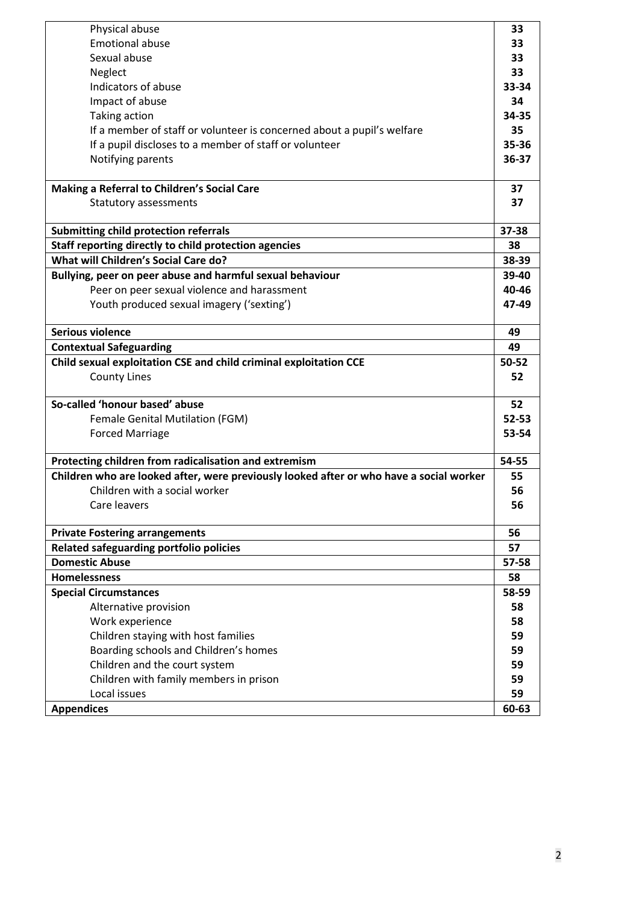| Physical abuse                                                                          | 33        |  |                                                        |
|-----------------------------------------------------------------------------------------|-----------|--|--------------------------------------------------------|
| <b>Emotional abuse</b>                                                                  | 33        |  |                                                        |
| Sexual abuse                                                                            |           |  |                                                        |
| Neglect                                                                                 |           |  |                                                        |
| Indicators of abuse                                                                     |           |  |                                                        |
| Impact of abuse                                                                         |           |  |                                                        |
| Taking action<br>If a member of staff or volunteer is concerned about a pupil's welfare |           |  |                                                        |
|                                                                                         |           |  | If a pupil discloses to a member of staff or volunteer |
| Notifying parents                                                                       | 36-37     |  |                                                        |
|                                                                                         |           |  |                                                        |
| Making a Referral to Children's Social Care                                             | 37        |  |                                                        |
| Statutory assessments                                                                   | 37        |  |                                                        |
|                                                                                         |           |  |                                                        |
| Submitting child protection referrals                                                   | 37-38     |  |                                                        |
| Staff reporting directly to child protection agencies                                   | 38        |  |                                                        |
| What will Children's Social Care do?                                                    | 38-39     |  |                                                        |
| Bullying, peer on peer abuse and harmful sexual behaviour                               | 39-40     |  |                                                        |
| Peer on peer sexual violence and harassment                                             | 40-46     |  |                                                        |
| Youth produced sexual imagery ('sexting')                                               | 47-49     |  |                                                        |
|                                                                                         |           |  |                                                        |
| <b>Serious violence</b>                                                                 | 49        |  |                                                        |
| <b>Contextual Safeguarding</b>                                                          | 49        |  |                                                        |
| Child sexual exploitation CSE and child criminal exploitation CCE                       | 50-52     |  |                                                        |
| <b>County Lines</b>                                                                     | 52        |  |                                                        |
|                                                                                         |           |  |                                                        |
| So-called 'honour based' abuse                                                          | 52        |  |                                                        |
| Female Genital Mutilation (FGM)                                                         | $52 - 53$ |  |                                                        |
| <b>Forced Marriage</b>                                                                  |           |  |                                                        |
|                                                                                         | 54-55     |  |                                                        |
| Protecting children from radicalisation and extremism                                   |           |  |                                                        |
| Children who are looked after, were previously looked after or who have a social worker | 55        |  |                                                        |
| Children with a social worker                                                           | 56        |  |                                                        |
| Care leavers                                                                            | 56        |  |                                                        |
|                                                                                         |           |  |                                                        |
| <b>Private Fostering arrangements</b>                                                   | 56        |  |                                                        |
| Related safeguarding portfolio policies                                                 | 57        |  |                                                        |
| <b>Domestic Abuse</b>                                                                   | 57-58     |  |                                                        |
| <b>Homelessness</b>                                                                     | 58        |  |                                                        |
| <b>Special Circumstances</b>                                                            | 58-59     |  |                                                        |
| Alternative provision                                                                   | 58        |  |                                                        |
| Work experience                                                                         | 58        |  |                                                        |
| Children staying with host families                                                     | 59        |  |                                                        |
| Boarding schools and Children's homes                                                   | 59        |  |                                                        |
| Children and the court system                                                           | 59        |  |                                                        |
| Children with family members in prison                                                  | 59        |  |                                                        |
| Local issues                                                                            | 59        |  |                                                        |
| <b>Appendices</b>                                                                       | 60-63     |  |                                                        |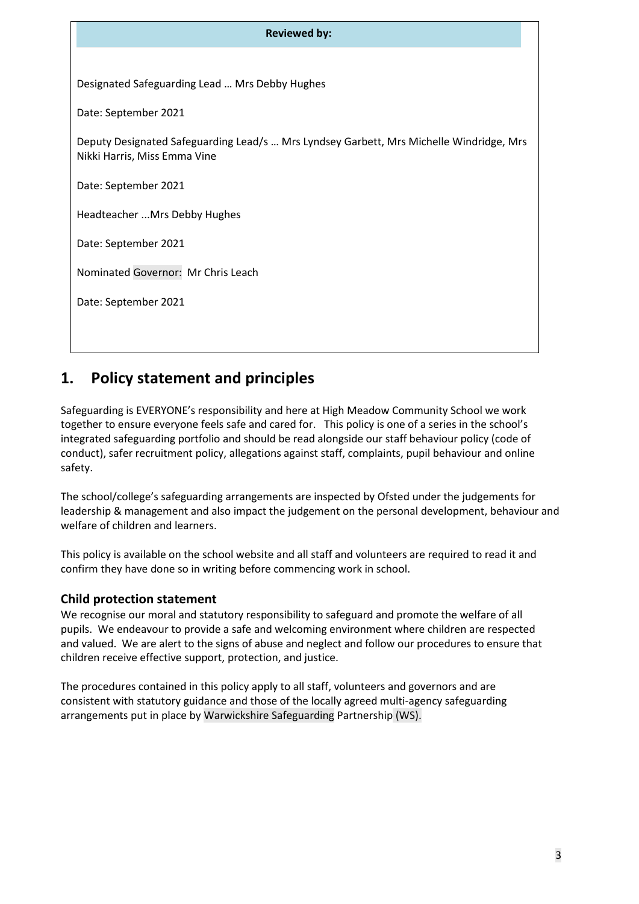| <b>Reviewed by:</b>                                                                                                     |
|-------------------------------------------------------------------------------------------------------------------------|
|                                                                                                                         |
| Designated Safeguarding Lead  Mrs Debby Hughes                                                                          |
| Date: September 2021                                                                                                    |
| Deputy Designated Safeguarding Lead/s  Mrs Lyndsey Garbett, Mrs Michelle Windridge, Mrs<br>Nikki Harris, Miss Emma Vine |
| Date: September 2021                                                                                                    |
| Headteacher  Mrs Debby Hughes                                                                                           |
| Date: September 2021                                                                                                    |
| Nominated Governor: Mr Chris Leach                                                                                      |
| Date: September 2021                                                                                                    |
|                                                                                                                         |

### **1. Policy statement and principles**

Safeguarding is EVERYONE's responsibility and here at High Meadow Community School we work together to ensure everyone feels safe and cared for. This policy is one of a series in the school's integrated safeguarding portfolio and should be read alongside our staff behaviour policy (code of conduct), safer recruitment policy, allegations against staff, complaints, pupil behaviour and online safety.

The school/college's safeguarding arrangements are inspected by Ofsted under the judgements for leadership & management and also impact the judgement on the personal development, behaviour and welfare of children and learners.

This policy is available on the school website and all staff and volunteers are required to read it and confirm they have done so in writing before commencing work in school.

#### **Child protection statement**

We recognise our moral and statutory responsibility to safeguard and promote the welfare of all pupils. We endeavour to provide a safe and welcoming environment where children are respected and valued. We are alert to the signs of abuse and neglect and follow our procedures to ensure that children receive effective support, protection, and justice.

The procedures contained in this policy apply to all staff, volunteers and governors and are consistent with statutory guidance and those of the locally agreed multi-agency safeguarding arrangements put in place by Warwickshire Safeguarding Partnership (WS).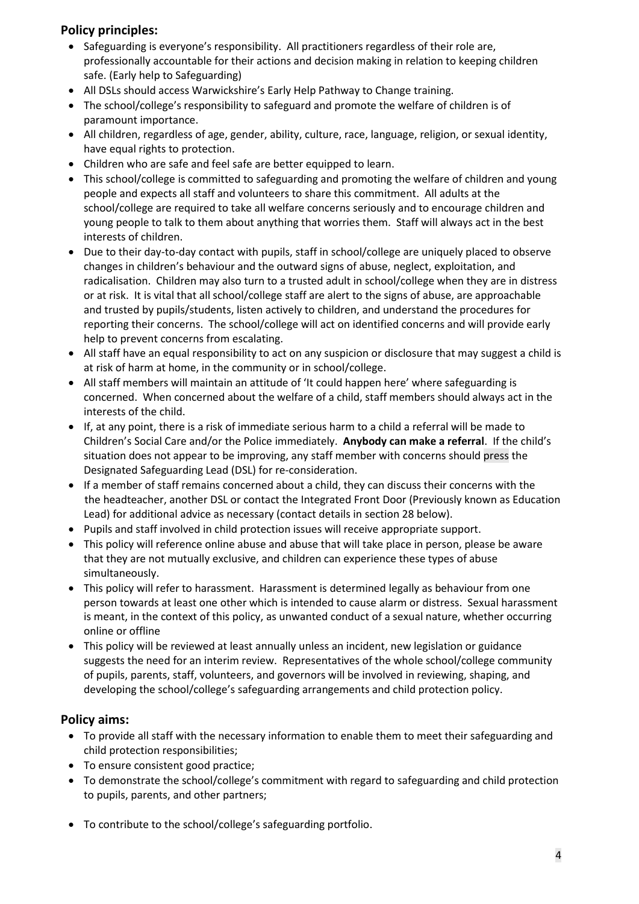#### **Policy principles:**

- Safeguarding is everyone's responsibility. All practitioners regardless of their role are, professionally accountable for their actions and decision making in relation to keeping children safe. (Early help to Safeguarding)
- All DSLs should access Warwickshire's Early Help Pathway to Change training.
- The school/college's responsibility to safeguard and promote the welfare of children is of paramount importance.
- All children, regardless of age, gender, ability, culture, race, language, religion, or sexual identity, have equal rights to protection.
- Children who are safe and feel safe are better equipped to learn.
- This school/college is committed to safeguarding and promoting the welfare of children and young people and expects all staff and volunteers to share this commitment. All adults at the school/college are required to take all welfare concerns seriously and to encourage children and young people to talk to them about anything that worries them. Staff will always act in the best interests of children.
- Due to their day-to-day contact with pupils, staff in school/college are uniquely placed to observe changes in children's behaviour and the outward signs of abuse, neglect, exploitation, and radicalisation. Children may also turn to a trusted adult in school/college when they are in distress or at risk. It is vital that all school/college staff are alert to the signs of abuse, are approachable and trusted by pupils/students, listen actively to children, and understand the procedures for reporting their concerns. The school/college will act on identified concerns and will provide early help to prevent concerns from escalating.
- All staff have an equal responsibility to act on any suspicion or disclosure that may suggest a child is at risk of harm at home, in the community or in school/college.
- All staff members will maintain an attitude of 'It could happen here' where safeguarding is concerned. When concerned about the welfare of a child, staff members should always act in the interests of the child.
- If, at any point, there is a risk of immediate serious harm to a child a referral will be made to Children's Social Care and/or the Police immediately. **Anybody can make a referral**. If the child's situation does not appear to be improving, any staff member with concerns should press the Designated Safeguarding Lead (DSL) for re-consideration.
- If a member of staff remains concerned about a child, they can discuss their concerns with the the headteacher, another DSL or contact the Integrated Front Door (Previously known as Education Lead) for additional advice as necessary (contact details in section 28 below).
- Pupils and staff involved in child protection issues will receive appropriate support.
- This policy will reference online abuse and abuse that will take place in person, please be aware that they are not mutually exclusive, and children can experience these types of abuse simultaneously.
- This policy will refer to harassment. Harassment is determined legally as behaviour from one person towards at least one other which is intended to cause alarm or distress. Sexual harassment is meant, in the context of this policy, as unwanted conduct of a sexual nature, whether occurring online or offline
- This policy will be reviewed at least annually unless an incident, new legislation or guidance suggests the need for an interim review. Representatives of the whole school/college community of pupils, parents, staff, volunteers, and governors will be involved in reviewing, shaping, and developing the school/college's safeguarding arrangements and child protection policy.

#### **Policy aims:**

- To provide all staff with the necessary information to enable them to meet their safeguarding and child protection responsibilities;
- To ensure consistent good practice;
- To demonstrate the school/college's commitment with regard to safeguarding and child protection to pupils, parents, and other partners;
- To contribute to the school/college's safeguarding portfolio.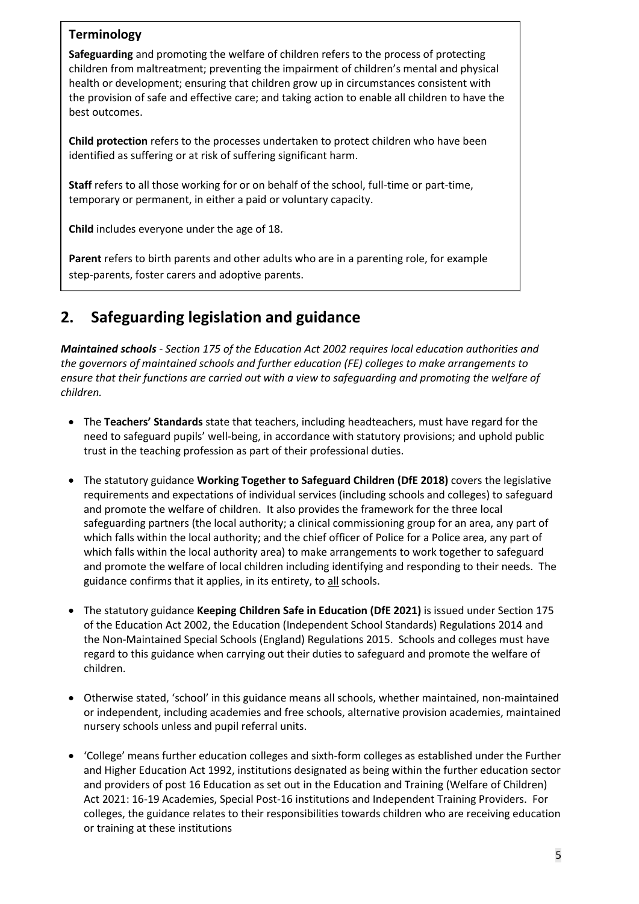#### **Terminology**

**Safeguarding** and promoting the welfare of children refers to the process of protecting children from maltreatment; preventing the impairment of children's mental and physical health or development; ensuring that children grow up in circumstances consistent with the provision of safe and effective care; and taking action to enable all children to have the best outcomes.

**Child protection** refers to the processes undertaken to protect children who have been identified as suffering or at risk of suffering significant harm.

**Staff** refers to all those working for or on behalf of the school, full-time or part-time, temporary or permanent, in either a paid or voluntary capacity.

**Child** includes everyone under the age of 18.

**Parent** refers to birth parents and other adults who are in a parenting role, for example step-parents, foster carers and adoptive parents.

### **2. Safeguarding legislation and guidance**

*Maintained schools - Section 175 of the Education Act 2002 requires local education authorities and the governors of maintained schools and further education (FE) colleges to make arrangements to ensure that their functions are carried out with a view to safeguarding and promoting the welfare of children.* 

- The **Teachers' Standards** state that teachers, including headteachers, must have regard for the need to safeguard pupils' well-being, in accordance with statutory provisions; and uphold public trust in the teaching profession as part of their professional duties.
- The statutory guidance **Working Together to Safeguard Children (DfE 2018)** covers the legislative requirements and expectations of individual services (including schools and colleges) to safeguard and promote the welfare of children. It also provides the framework for the three local safeguarding partners (the local authority; a clinical commissioning group for an area, any part of which falls within the local authority; and the chief officer of Police for a Police area, any part of which falls within the local authority area) to make arrangements to work together to safeguard and promote the welfare of local children including identifying and responding to their needs. The guidance confirms that it applies, in its entirety, to all schools.
- The statutory guidance **Keeping Children Safe in Education (DfE 2021)** is issued under Section 175 of the Education Act 2002, the Education (Independent School Standards) Regulations 2014 and the Non-Maintained Special Schools (England) Regulations 2015. Schools and colleges must have regard to this guidance when carrying out their duties to safeguard and promote the welfare of children.
- Otherwise stated, 'school' in this guidance means all schools, whether maintained, non-maintained or independent, including academies and free schools, alternative provision academies, maintained nursery schools unless and pupil referral units.
- 'College' means further education colleges and sixth-form colleges as established under the Further and Higher Education Act 1992, institutions designated as being within the further education sector and providers of post 16 Education as set out in the Education and Training (Welfare of Children) Act 2021: 16-19 Academies, Special Post-16 institutions and Independent Training Providers. For colleges, the guidance relates to their responsibilities towards children who are receiving education or training at these institutions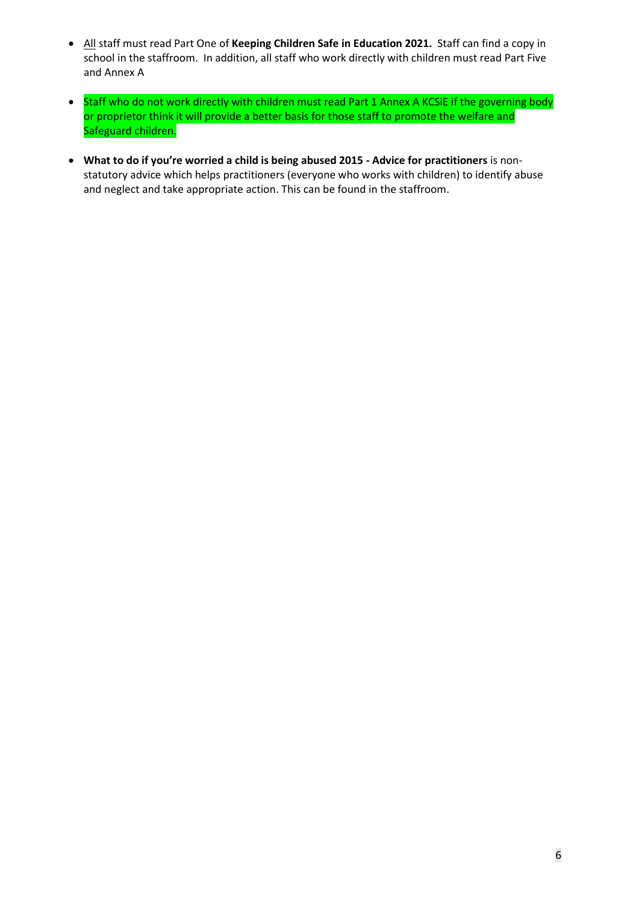- All staff must read Part One of **Keeping Children Safe in Education 2021.** Staff can find a copy in school in the staffroom. In addition, all staff who work directly with children must read Part Five and Annex A
- Staff who do not work directly with children must read Part 1 Annex A KCSiE if the governing body or proprietor think it will provide a better basis for those staff to promote the welfare and Safeguard children.
- **What to do if you're worried a child is being abused 2015 - Advice for practitioners** is nonstatutory advice which helps practitioners (everyone who works with children) to identify abuse and neglect and take appropriate action. This can be found in the staffroom.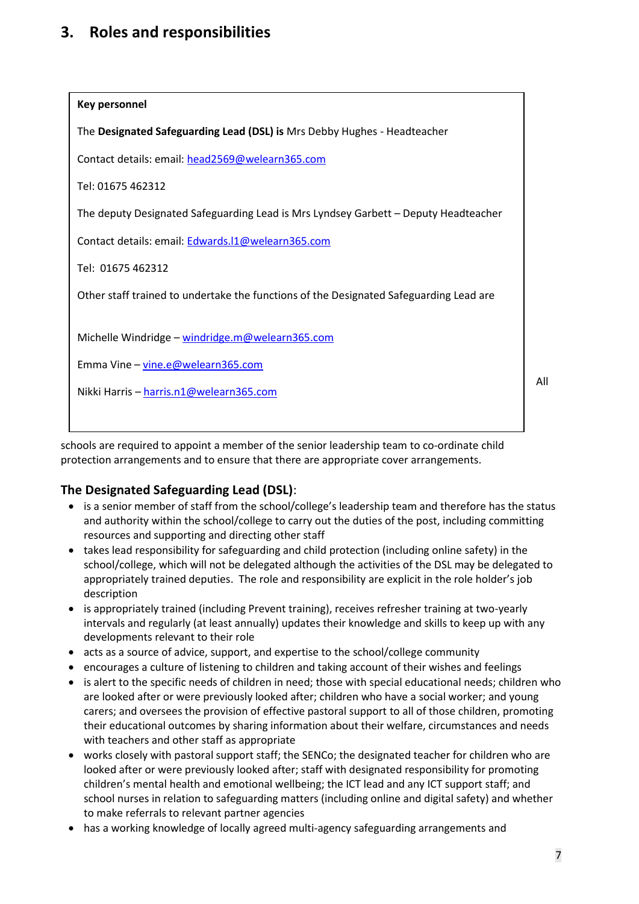### **3. Roles and responsibilities**



schools are required to appoint a member of the senior leadership team to co-ordinate child protection arrangements and to ensure that there are appropriate cover arrangements.

#### **The Designated Safeguarding Lead (DSL)**:

- is a senior member of staff from the school/college's leadership team and therefore has the status and authority within the school/college to carry out the duties of the post, including committing resources and supporting and directing other staff
- takes lead responsibility for safeguarding and child protection (including online safety) in the school/college, which will not be delegated although the activities of the DSL may be delegated to appropriately trained deputies. The role and responsibility are explicit in the role holder's job description
- is appropriately trained (including Prevent training), receives refresher training at two-yearly intervals and regularly (at least annually) updates their knowledge and skills to keep up with any developments relevant to their role
- acts as a source of advice, support, and expertise to the school/college community
- encourages a culture of listening to children and taking account of their wishes and feelings
- is alert to the specific needs of children in need; those with special educational needs; children who are looked after or were previously looked after; children who have a social worker; and young carers; and oversees the provision of effective pastoral support to all of those children, promoting their educational outcomes by sharing information about their welfare, circumstances and needs with teachers and other staff as appropriate
- works closely with pastoral support staff; the SENCo; the designated teacher for children who are looked after or were previously looked after; staff with designated responsibility for promoting children's mental health and emotional wellbeing; the ICT lead and any ICT support staff; and school nurses in relation to safeguarding matters (including online and digital safety) and whether to make referrals to relevant partner agencies
- has a working knowledge of locally agreed multi-agency safeguarding arrangements and

All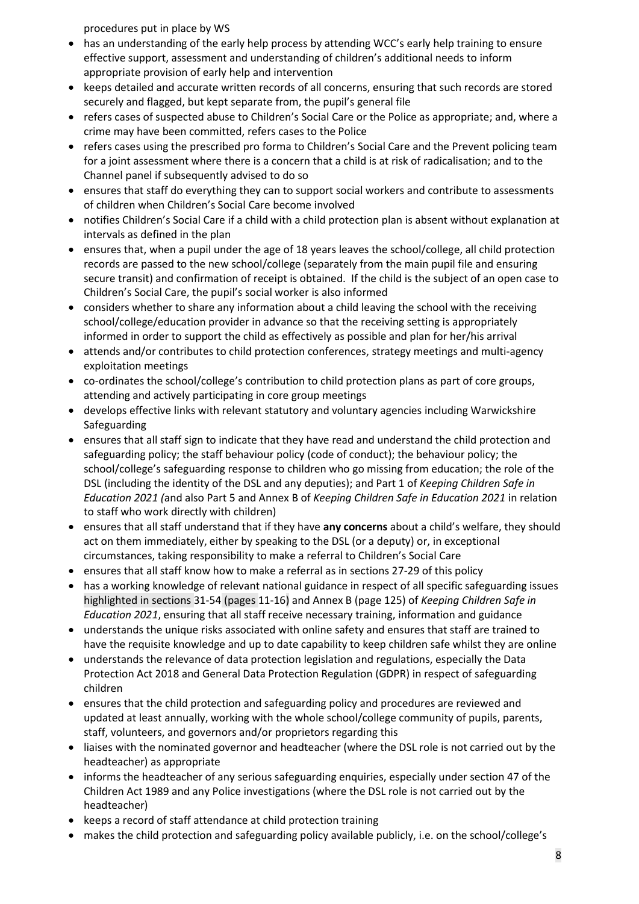procedures put in place by WS

- has an understanding of the early help process by attending WCC's early help training to ensure effective support, assessment and understanding of children's additional needs to inform appropriate provision of early help and intervention
- keeps detailed and accurate written records of all concerns, ensuring that such records are stored securely and flagged, but kept separate from, the pupil's general file
- refers cases of suspected abuse to Children's Social Care or the Police as appropriate; and, where a crime may have been committed, refers cases to the Police
- refers cases using the prescribed pro forma to Children's Social Care and the Prevent policing team for a joint assessment where there is a concern that a child is at risk of radicalisation; and to the Channel panel if subsequently advised to do so
- ensures that staff do everything they can to support social workers and contribute to assessments of children when Children's Social Care become involved
- notifies Children's Social Care if a child with a child protection plan is absent without explanation at intervals as defined in the plan
- ensures that, when a pupil under the age of 18 years leaves the school/college, all child protection records are passed to the new school/college (separately from the main pupil file and ensuring secure transit) and confirmation of receipt is obtained. If the child is the subject of an open case to Children's Social Care, the pupil's social worker is also informed
- considers whether to share any information about a child leaving the school with the receiving school/college/education provider in advance so that the receiving setting is appropriately informed in order to support the child as effectively as possible and plan for her/his arrival
- attends and/or contributes to child protection conferences, strategy meetings and multi-agency exploitation meetings
- co-ordinates the school/college's contribution to child protection plans as part of core groups, attending and actively participating in core group meetings
- develops effective links with relevant statutory and voluntary agencies including Warwickshire Safeguarding
- ensures that all staff sign to indicate that they have read and understand the child protection and safeguarding policy; the staff behaviour policy (code of conduct); the behaviour policy; the school/college's safeguarding response to children who go missing from education; the role of the DSL (including the identity of the DSL and any deputies); and Part 1 of *Keeping Children Safe in Education 2021 (*and also Part 5 and Annex B of *Keeping Children Safe in Education 2021* in relation to staff who work directly with children)
- ensures that all staff understand that if they have **any concerns** about a child's welfare, they should act on them immediately, either by speaking to the DSL (or a deputy) or, in exceptional circumstances, taking responsibility to make a referral to Children's Social Care
- ensures that all staff know how to make a referral as in sections 27-29 of this policy
- has a working knowledge of relevant national guidance in respect of all specific safeguarding issues highlighted in sections 31-54 (pages 11-16) and Annex B (page 125) of *Keeping Children Safe in Education 2021*, ensuring that all staff receive necessary training, information and guidance
- understands the unique risks associated with online safety and ensures that staff are trained to have the requisite knowledge and up to date capability to keep children safe whilst they are online
- understands the relevance of data protection legislation and regulations, especially the Data Protection Act 2018 and General Data Protection Regulation (GDPR) in respect of safeguarding children
- ensures that the child protection and safeguarding policy and procedures are reviewed and updated at least annually, working with the whole school/college community of pupils, parents, staff, volunteers, and governors and/or proprietors regarding this
- liaises with the nominated governor and headteacher (where the DSL role is not carried out by the headteacher) as appropriate
- informs the headteacher of any serious safeguarding enquiries, especially under section 47 of the Children Act 1989 and any Police investigations (where the DSL role is not carried out by the headteacher)
- keeps a record of staff attendance at child protection training
- makes the child protection and safeguarding policy available publicly, i.e. on the school/college's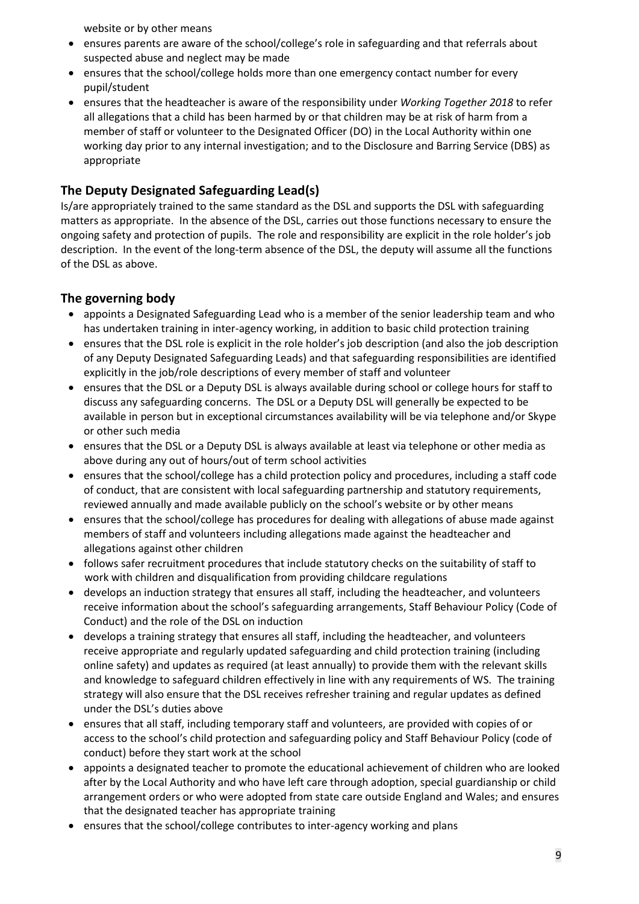website or by other means

- ensures parents are aware of the school/college's role in safeguarding and that referrals about suspected abuse and neglect may be made
- ensures that the school/college holds more than one emergency contact number for every pupil/student
- ensures that the headteacher is aware of the responsibility under *Working Together 2018* to refer all allegations that a child has been harmed by or that children may be at risk of harm from a member of staff or volunteer to the Designated Officer (DO) in the Local Authority within one working day prior to any internal investigation; and to the Disclosure and Barring Service (DBS) as appropriate

### **The Deputy Designated Safeguarding Lead(s)**

Is/are appropriately trained to the same standard as the DSL and supports the DSL with safeguarding matters as appropriate. In the absence of the DSL, carries out those functions necessary to ensure the ongoing safety and protection of pupils. The role and responsibility are explicit in the role holder's job description. In the event of the long-term absence of the DSL, the deputy will assume all the functions of the DSL as above.

### **The governing body**

- appoints a Designated Safeguarding Lead who is a member of the senior leadership team and who has undertaken training in inter-agency working, in addition to basic child protection training
- ensures that the DSL role is explicit in the role holder's job description (and also the job description of any Deputy Designated Safeguarding Leads) and that safeguarding responsibilities are identified explicitly in the job/role descriptions of every member of staff and volunteer
- ensures that the DSL or a Deputy DSL is always available during school or college hours for staff to discuss any safeguarding concerns. The DSL or a Deputy DSL will generally be expected to be available in person but in exceptional circumstances availability will be via telephone and/or Skype or other such media
- ensures that the DSL or a Deputy DSL is always available at least via telephone or other media as above during any out of hours/out of term school activities
- ensures that the school/college has a child protection policy and procedures, including a staff code of conduct, that are consistent with local safeguarding partnership and statutory requirements, reviewed annually and made available publicly on the school's website or by other means
- ensures that the school/college has procedures for dealing with allegations of abuse made against members of staff and volunteers including allegations made against the headteacher and allegations against other children
- follows safer recruitment procedures that include statutory checks on the suitability of staff to work with children and disqualification from providing childcare regulations
- develops an induction strategy that ensures all staff, including the headteacher, and volunteers receive information about the school's safeguarding arrangements, Staff Behaviour Policy (Code of Conduct) and the role of the DSL on induction
- develops a training strategy that ensures all staff, including the headteacher, and volunteers receive appropriate and regularly updated safeguarding and child protection training (including online safety) and updates as required (at least annually) to provide them with the relevant skills and knowledge to safeguard children effectively in line with any requirements of WS. The training strategy will also ensure that the DSL receives refresher training and regular updates as defined under the DSL's duties above
- ensures that all staff, including temporary staff and volunteers, are provided with copies of or access to the school's child protection and safeguarding policy and Staff Behaviour Policy (code of conduct) before they start work at the school
- appoints a designated teacher to promote the educational achievement of children who are looked after by the Local Authority and who have left care through adoption, special guardianship or child arrangement orders or who were adopted from state care outside England and Wales; and ensures that the designated teacher has appropriate training
- ensures that the school/college contributes to inter-agency working and plans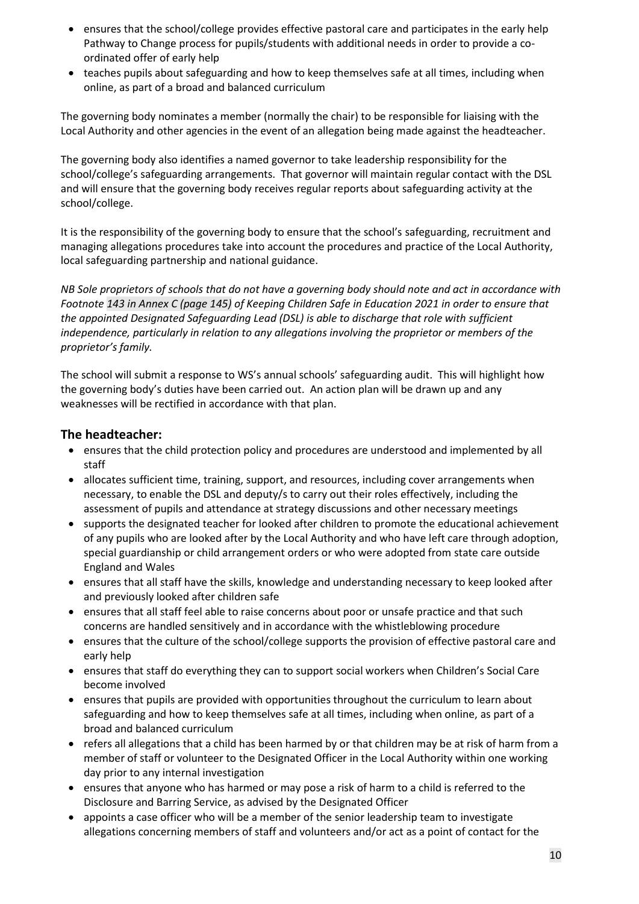- ensures that the school/college provides effective pastoral care and participates in the early help Pathway to Change process for pupils/students with additional needs in order to provide a coordinated offer of early help
- teaches pupils about safeguarding and how to keep themselves safe at all times, including when online, as part of a broad and balanced curriculum

The governing body nominates a member (normally the chair) to be responsible for liaising with the Local Authority and other agencies in the event of an allegation being made against the headteacher.

The governing body also identifies a named governor to take leadership responsibility for the school/college's safeguarding arrangements. That governor will maintain regular contact with the DSL and will ensure that the governing body receives regular reports about safeguarding activity at the school/college.

It is the responsibility of the governing body to ensure that the school's safeguarding, recruitment and managing allegations procedures take into account the procedures and practice of the Local Authority, local safeguarding partnership and national guidance.

*NB Sole proprietors of schools that do not have a governing body should note and act in accordance with Footnote 143 in Annex C (page 145) of Keeping Children Safe in Education 2021 in order to ensure that the appointed Designated Safeguarding Lead (DSL) is able to discharge that role with sufficient independence, particularly in relation to any allegations involving the proprietor or members of the proprietor's family.* 

The school will submit a response to WS's annual schools' safeguarding audit. This will highlight how the governing body's duties have been carried out. An action plan will be drawn up and any weaknesses will be rectified in accordance with that plan.

#### **The headteacher:**

- ensures that the child protection policy and procedures are understood and implemented by all staff
- allocates sufficient time, training, support, and resources, including cover arrangements when necessary, to enable the DSL and deputy/s to carry out their roles effectively, including the assessment of pupils and attendance at strategy discussions and other necessary meetings
- supports the designated teacher for looked after children to promote the educational achievement of any pupils who are looked after by the Local Authority and who have left care through adoption, special guardianship or child arrangement orders or who were adopted from state care outside England and Wales
- ensures that all staff have the skills, knowledge and understanding necessary to keep looked after and previously looked after children safe
- ensures that all staff feel able to raise concerns about poor or unsafe practice and that such concerns are handled sensitively and in accordance with the whistleblowing procedure
- ensures that the culture of the school/college supports the provision of effective pastoral care and early help
- ensures that staff do everything they can to support social workers when Children's Social Care become involved
- ensures that pupils are provided with opportunities throughout the curriculum to learn about safeguarding and how to keep themselves safe at all times, including when online, as part of a broad and balanced curriculum
- refers all allegations that a child has been harmed by or that children may be at risk of harm from a member of staff or volunteer to the Designated Officer in the Local Authority within one working day prior to any internal investigation
- ensures that anyone who has harmed or may pose a risk of harm to a child is referred to the Disclosure and Barring Service, as advised by the Designated Officer
- appoints a case officer who will be a member of the senior leadership team to investigate allegations concerning members of staff and volunteers and/or act as a point of contact for the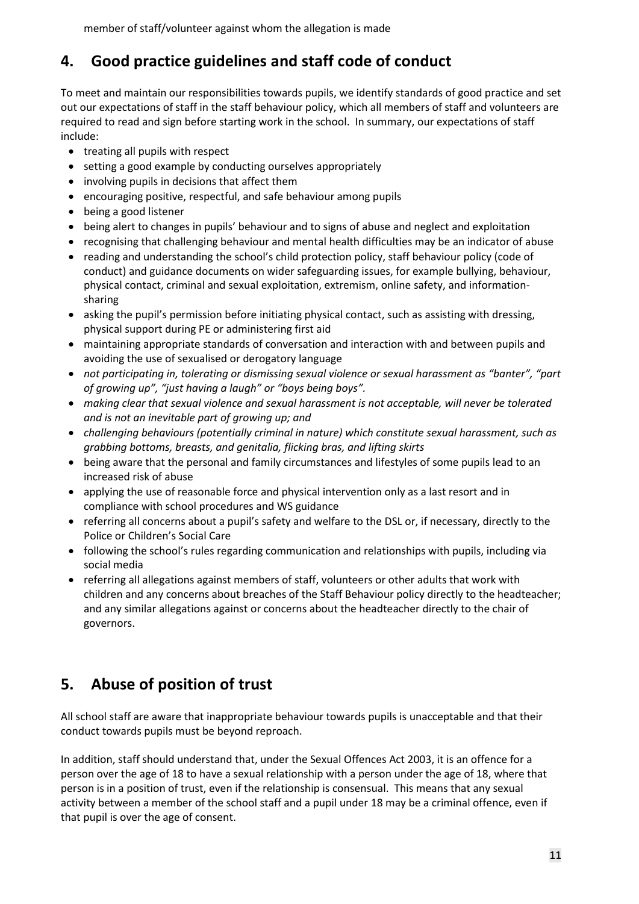## **4. Good practice guidelines and staff code of conduct**

To meet and maintain our responsibilities towards pupils, we identify standards of good practice and set out our expectations of staff in the staff behaviour policy, which all members of staff and volunteers are required to read and sign before starting work in the school. In summary, our expectations of staff include:

- treating all pupils with respect
- setting a good example by conducting ourselves appropriately
- involving pupils in decisions that affect them
- encouraging positive, respectful, and safe behaviour among pupils
- being a good listener
- being alert to changes in pupils' behaviour and to signs of abuse and neglect and exploitation
- recognising that challenging behaviour and mental health difficulties may be an indicator of abuse
- reading and understanding the school's child protection policy, staff behaviour policy (code of conduct) and guidance documents on wider safeguarding issues, for example bullying, behaviour, physical contact, criminal and sexual exploitation, extremism, online safety, and informationsharing
- asking the pupil's permission before initiating physical contact, such as assisting with dressing, physical support during PE or administering first aid
- maintaining appropriate standards of conversation and interaction with and between pupils and avoiding the use of sexualised or derogatory language
- *not participating in, tolerating or dismissing sexual violence or sexual harassment as "banter", "part of growing up", "just having a laugh" or "boys being boys".*
- *making clear that sexual violence and sexual harassment is not acceptable, will never be tolerated and is not an inevitable part of growing up; and*
- *challenging behaviours (potentially criminal in nature) which constitute sexual harassment, such as grabbing bottoms, breasts, and genitalia, flicking bras, and lifting skirts*
- being aware that the personal and family circumstances and lifestyles of some pupils lead to an increased risk of abuse
- applying the use of reasonable force and physical intervention only as a last resort and in compliance with school procedures and WS guidance
- referring all concerns about a pupil's safety and welfare to the DSL or, if necessary, directly to the Police or Children's Social Care
- following the school's rules regarding communication and relationships with pupils, including via social media
- referring all allegations against members of staff, volunteers or other adults that work with children and any concerns about breaches of the Staff Behaviour policy directly to the headteacher; and any similar allegations against or concerns about the headteacher directly to the chair of governors.

### **5. Abuse of position of trust**

All school staff are aware that inappropriate behaviour towards pupils is unacceptable and that their conduct towards pupils must be beyond reproach.

In addition, staff should understand that, under the Sexual Offences Act 2003, it is an offence for a person over the age of 18 to have a sexual relationship with a person under the age of 18, where that person is in a position of trust, even if the relationship is consensual. This means that any sexual activity between a member of the school staff and a pupil under 18 may be a criminal offence, even if that pupil is over the age of consent.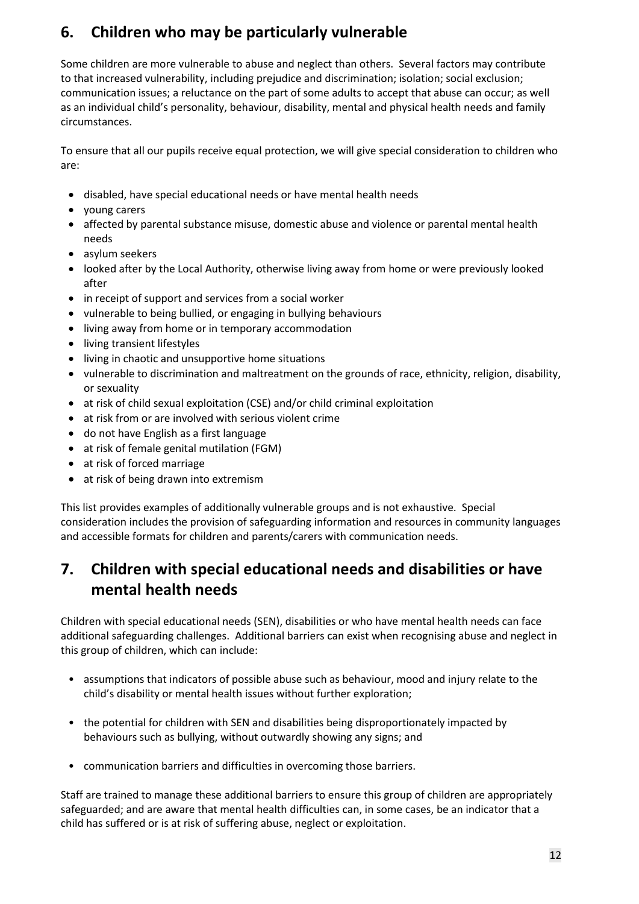## **6. Children who may be particularly vulnerable**

Some children are more vulnerable to abuse and neglect than others. Several factors may contribute to that increased vulnerability, including prejudice and discrimination; isolation; social exclusion; communication issues; a reluctance on the part of some adults to accept that abuse can occur; as well as an individual child's personality, behaviour, disability, mental and physical health needs and family circumstances.

To ensure that all our pupils receive equal protection, we will give special consideration to children who are:

- disabled, have special educational needs or have mental health needs
- young carers
- affected by parental substance misuse, domestic abuse and violence or parental mental health needs
- asylum seekers
- looked after by the Local Authority, otherwise living away from home or were previously looked after
- in receipt of support and services from a social worker
- vulnerable to being bullied, or engaging in bullying behaviours
- living away from home or in temporary accommodation
- living transient lifestyles
- living in chaotic and unsupportive home situations
- vulnerable to discrimination and maltreatment on the grounds of race, ethnicity, religion, disability, or sexuality
- at risk of child sexual exploitation (CSE) and/or child criminal exploitation
- at risk from or are involved with serious violent crime
- do not have English as a first language
- at risk of female genital mutilation (FGM)
- at risk of forced marriage
- at risk of being drawn into extremism

This list provides examples of additionally vulnerable groups and is not exhaustive. Special consideration includes the provision of safeguarding information and resources in community languages and accessible formats for children and parents/carers with communication needs.

### **7. Children with special educational needs and disabilities or have mental health needs**

Children with special educational needs (SEN), disabilities or who have mental health needs can face additional safeguarding challenges. Additional barriers can exist when recognising abuse and neglect in this group of children, which can include:

- assumptions that indicators of possible abuse such as behaviour, mood and injury relate to the child's disability or mental health issues without further exploration;
- the potential for children with SEN and disabilities being disproportionately impacted by behaviours such as bullying, without outwardly showing any signs; and
- communication barriers and difficulties in overcoming those barriers.

Staff are trained to manage these additional barriers to ensure this group of children are appropriately safeguarded; and are aware that mental health difficulties can, in some cases, be an indicator that a child has suffered or is at risk of suffering abuse, neglect or exploitation.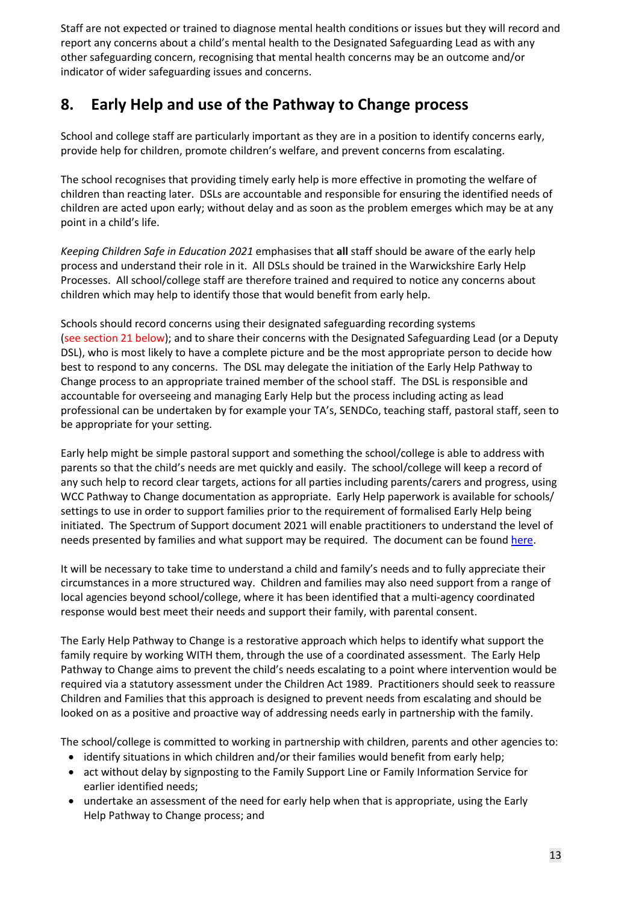Staff are not expected or trained to diagnose mental health conditions or issues but they will record and report any concerns about a child's mental health to the Designated Safeguarding Lead as with any other safeguarding concern, recognising that mental health concerns may be an outcome and/or indicator of wider safeguarding issues and concerns.

### **8. Early Help and use of the Pathway to Change process**

School and college staff are particularly important as they are in a position to identify concerns early, provide help for children, promote children's welfare, and prevent concerns from escalating.

The school recognises that providing timely early help is more effective in promoting the welfare of children than reacting later. DSLs are accountable and responsible for ensuring the identified needs of children are acted upon early; without delay and as soon as the problem emerges which may be at any point in a child's life.

*Keeping Children Safe in Education 2021* emphasises that **all** staff should be aware of the early help process and understand their role in it. All DSLs should be trained in the Warwickshire Early Help Processes. All school/college staff are therefore trained and required to notice any concerns about children which may help to identify those that would benefit from early help.

Schools should record concerns using their designated safeguarding recording systems (see section 21 below); and to share their concerns with the Designated Safeguarding Lead (or a Deputy DSL), who is most likely to have a complete picture and be the most appropriate person to decide how best to respond to any concerns. The DSL may delegate the initiation of the Early Help Pathway to Change process to an appropriate trained member of the school staff. The DSL is responsible and accountable for overseeing and managing Early Help but the process including acting as lead professional can be undertaken by for example your TA's, SENDCo, teaching staff, pastoral staff, seen to be appropriate for your setting.

Early help might be simple pastoral support and something the school/college is able to address with parents so that the child's needs are met quickly and easily. The school/college will keep a record of any such help to record clear targets, actions for all parties including parents/carers and progress, using WCC Pathway to Change documentation as appropriate. Early Help paperwork is available for schools/ settings to use in order to support families prior to the requirement of formalised Early Help being initiated. The Spectrum of Support document 2021 will enable practitioners to understand the level of needs presented by families and what support may be required. The document can be found [here.](https://www.safeguardingwarwickshire.co.uk/images/downloads/ESS-PB/PoliciesandProcedures/Spectrum_Of_Support_2021.pdf)

It will be necessary to take time to understand a child and family's needs and to fully appreciate their circumstances in a more structured way. Children and families may also need support from a range of local agencies beyond school/college, where it has been identified that a multi-agency coordinated response would best meet their needs and support their family, with parental consent.

The Early Help Pathway to Change is a restorative approach which helps to identify what support the family require by working WITH them, through the use of a coordinated assessment. The Early Help Pathway to Change aims to prevent the child's needs escalating to a point where intervention would be required via a statutory assessment under the Children Act 1989. Practitioners should seek to reassure Children and Families that this approach is designed to prevent needs from escalating and should be looked on as a positive and proactive way of addressing needs early in partnership with the family.

The school/college is committed to working in partnership with children, parents and other agencies to:

- identify situations in which children and/or their families would benefit from early help;
- act without delay by signposting to the Family Support Line or Family Information Service for earlier identified needs;
- undertake an assessment of the need for early help when that is appropriate, using the Early Help Pathway to Change process; and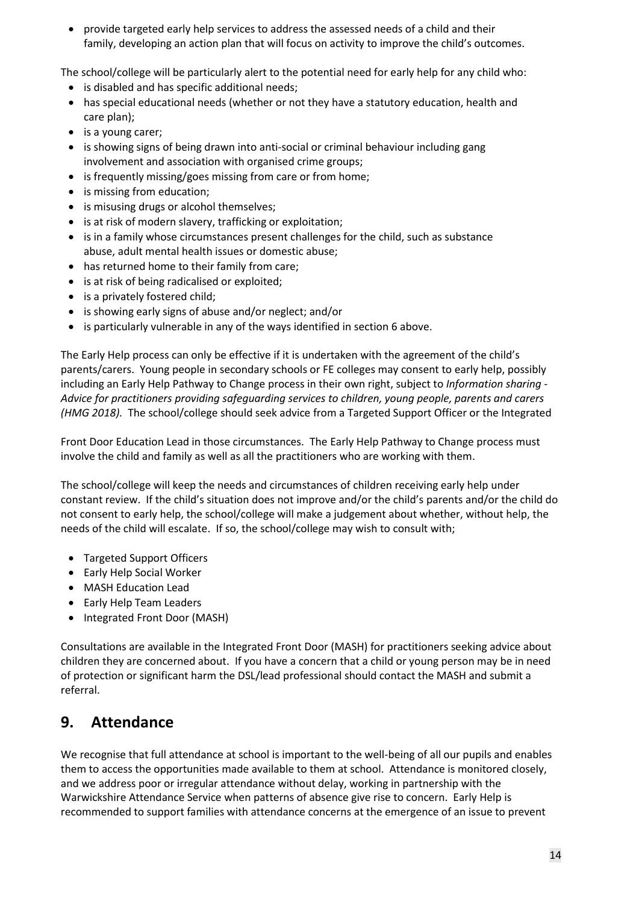• provide targeted early help services to address the assessed needs of a child and their family, developing an action plan that will focus on activity to improve the child's outcomes.

The school/college will be particularly alert to the potential need for early help for any child who:

- is disabled and has specific additional needs;
- has special educational needs (whether or not they have a statutory education, health and care plan);
- is a young carer;
- is showing signs of being drawn into anti-social or criminal behaviour including gang involvement and association with organised crime groups;
- is frequently missing/goes missing from care or from home;
- is missing from education;
- is misusing drugs or alcohol themselves;
- is at risk of modern slavery, trafficking or exploitation;
- is in a family whose circumstances present challenges for the child, such as substance abuse, adult mental health issues or domestic abuse;
- has returned home to their family from care;
- is at risk of being radicalised or exploited;
- is a privately fostered child;
- is showing early signs of abuse and/or neglect; and/or
- is particularly vulnerable in any of the ways identified in section 6 above.

The Early Help process can only be effective if it is undertaken with the agreement of the child's parents/carers. Young people in secondary schools or FE colleges may consent to early help, possibly including an Early Help Pathway to Change process in their own right, subject to *Information sharing - Advice for practitioners providing safeguarding services to children, young people, parents and carers (HMG 2018).* The school/college should seek advice from a Targeted Support Officer or the Integrated

Front Door Education Lead in those circumstances. The Early Help Pathway to Change process must involve the child and family as well as all the practitioners who are working with them.

The school/college will keep the needs and circumstances of children receiving early help under constant review. If the child's situation does not improve and/or the child's parents and/or the child do not consent to early help, the school/college will make a judgement about whether, without help, the needs of the child will escalate. If so, the school/college may wish to consult with;

- Targeted Support Officers
- Early Help Social Worker
- MASH Education Lead
- Early Help Team Leaders
- Integrated Front Door (MASH)

Consultations are available in the Integrated Front Door (MASH) for practitioners seeking advice about children they are concerned about. If you have a concern that a child or young person may be in need of protection or significant harm the DSL/lead professional should contact the MASH and submit a referral.

### **9. Attendance**

We recognise that full attendance at school is important to the well-being of all our pupils and enables them to access the opportunities made available to them at school. Attendance is monitored closely, and we address poor or irregular attendance without delay, working in partnership with the Warwickshire Attendance Service when patterns of absence give rise to concern. Early Help is recommended to support families with attendance concerns at the emergence of an issue to prevent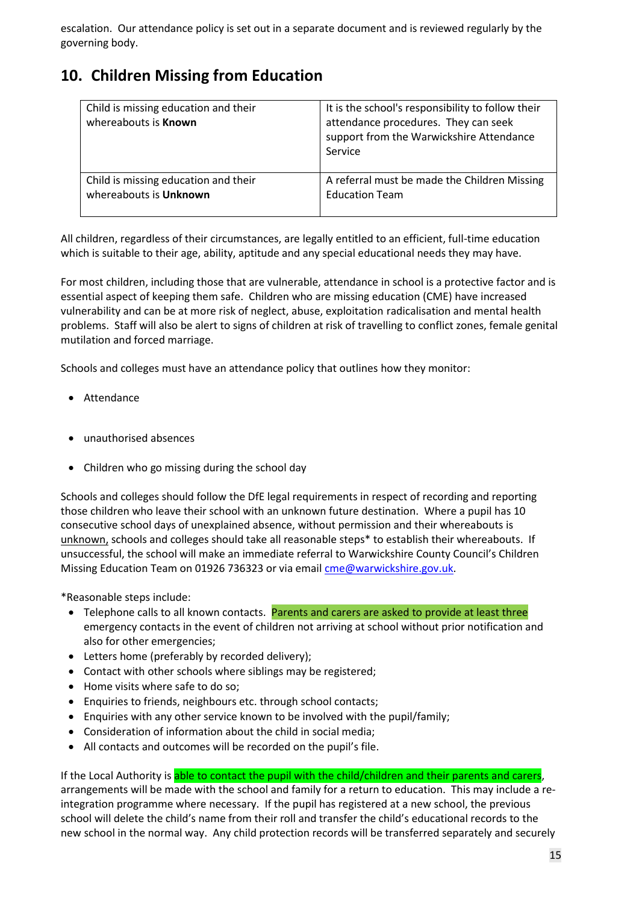escalation. Our attendance policy is set out in a separate document and is reviewed regularly by the governing body.

### **10. Children Missing from Education**

| Child is missing education and their<br>whereabouts is Known | It is the school's responsibility to follow their<br>attendance procedures. They can seek<br>support from the Warwickshire Attendance<br>Service |
|--------------------------------------------------------------|--------------------------------------------------------------------------------------------------------------------------------------------------|
| Child is missing education and their                         | A referral must be made the Children Missing                                                                                                     |
| whereabouts is Unknown                                       | <b>Education Team</b>                                                                                                                            |

All children, regardless of their circumstances, are legally entitled to an efficient, full-time education which is suitable to their age, ability, aptitude and any special educational needs they may have.

For most children, including those that are vulnerable, attendance in school is a protective factor and is essential aspect of keeping them safe. Children who are missing education (CME) have increased vulnerability and can be at more risk of neglect, abuse, exploitation radicalisation and mental health problems. Staff will also be alert to signs of children at risk of travelling to conflict zones, female genital mutilation and forced marriage.

Schools and colleges must have an attendance policy that outlines how they monitor:

- Attendance
- unauthorised absences
- Children who go missing during the school day

Schools and colleges should follow the DfE legal requirements in respect of recording and reporting those children who leave their school with an unknown future destination. Where a pupil has 10 consecutive school days of unexplained absence, without permission and their whereabouts is unknown, schools and colleges should take all reasonable steps\* to establish their whereabouts. If unsuccessful, the school will make an immediate referral to Warwickshire County Council's Children Missing Education Team on 01926 736323 or via email [cme@warwickshire.gov.uk.](mailto:cme@warwickshire.gov.uk)

\*Reasonable steps include:

- Telephone calls to all known contacts. Parents and carers are asked to provide at least three emergency contacts in the event of children not arriving at school without prior notification and also for other emergencies;
- Letters home (preferably by recorded delivery);
- Contact with other schools where siblings may be registered;
- Home visits where safe to do so;
- Enquiries to friends, neighbours etc. through school contacts;
- Enquiries with any other service known to be involved with the pupil/family;
- Consideration of information about the child in social media;
- All contacts and outcomes will be recorded on the pupil's file.

If the Local Authority is able to contact the pupil with the child/children and their parents and carers, arrangements will be made with the school and family for a return to education. This may include a reintegration programme where necessary. If the pupil has registered at a new school, the previous school will delete the child's name from their roll and transfer the child's educational records to the new school in the normal way. Any child protection records will be transferred separately and securely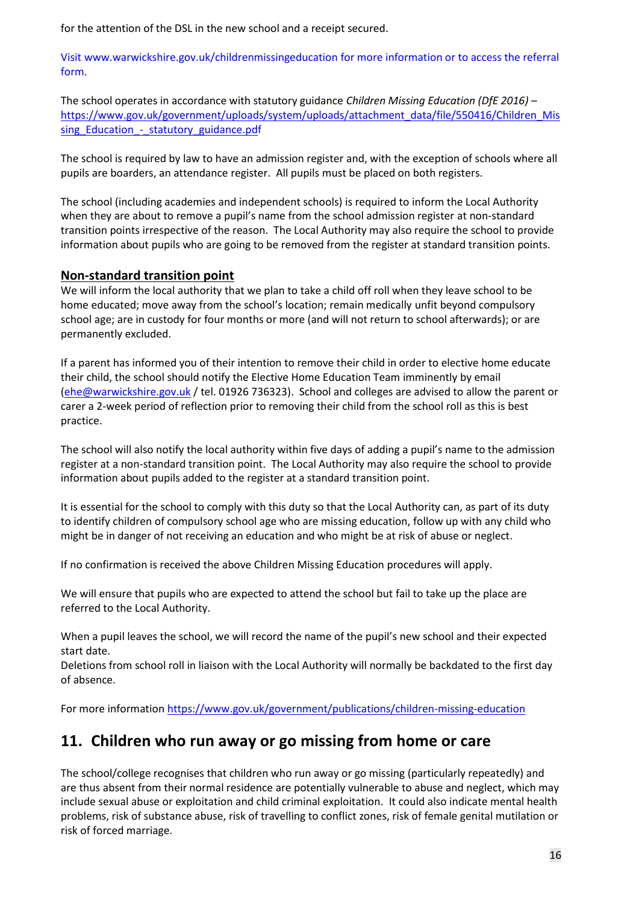for the attention of the DSL in the new school and a receipt secured.

Visit [www.warwickshire.gov.uk/childrenmissingeducation](http://www.warwickshire.gov.uk/childrenmissingeducation) for more information or to access the referral form.

The school operates in accordance with statutory guidance *Children Missing Education (DfE 2016)* – [https://www.gov.uk/government/uploads/system/uploads/attachment\\_data/file/550416/Children\\_Mis](https://www.gov.uk/government/uploads/system/uploads/attachment_data/file/550416/Children_Missing_Education_-_statutory_guidance.pdf) sing Education - statutory guidance.pdf

The school is required by law to have an admission register and, with the exception of schools where all pupils are boarders, an attendance register. All pupils must be placed on both registers.

The school (including academies and independent schools) is required to inform the Local Authority when they are about to remove a pupil's name from the school admission register at non-standard transition points irrespective of the reason. The Local Authority may also require the school to provide information about pupils who are going to be removed from the register at standard transition points.

#### **Non-standard transition point**

We will inform the local authority that we plan to take a child off roll when they leave school to be home educated; move away from the school's location; remain medically unfit beyond compulsory school age; are in custody for four months or more (and will not return to school afterwards); or are permanently excluded.

If a parent has informed you of their intention to remove their child in order to elective home educate their child, the school should notify the Elective Home Education Team imminently by email [\(ehe@warwickshire.gov.uk](mailto:ehe@warwickshire.gov.uk) / tel. 01926 736323). School and colleges are advised to allow the parent or carer a 2-week period of reflection prior to removing their child from the school roll as this is best practice.

The school will also notify the local authority within five days of adding a pupil's name to the admission register at a non-standard transition point. The Local Authority may also require the school to provide information about pupils added to the register at a standard transition point.

It is essential for the school to comply with this duty so that the Local Authority can, as part of its duty to identify children of compulsory school age who are missing education, follow up with any child who might be in danger of not receiving an education and who might be at risk of abuse or neglect.

If no confirmation is received the above Children Missing Education procedures will apply.

We will ensure that pupils who are expected to attend the school but fail to take up the place are referred to the Local Authority.

When a pupil leaves the school, we will record the name of the pupil's new school and their expected start date.

Deletions from school roll in liaison with the Local Authority will normally be backdated to the first day of absence.

For more information<https://www.gov.uk/government/publications/children-missing-education>

### **11. Children who run away or go missing from home or care**

The school/college recognises that children who run away or go missing (particularly repeatedly) and are thus absent from their normal residence are potentially vulnerable to abuse and neglect, which may include sexual abuse or exploitation and child criminal exploitation. It could also indicate mental health problems, risk of substance abuse, risk of travelling to conflict zones, risk of female genital mutilation or risk of forced marriage.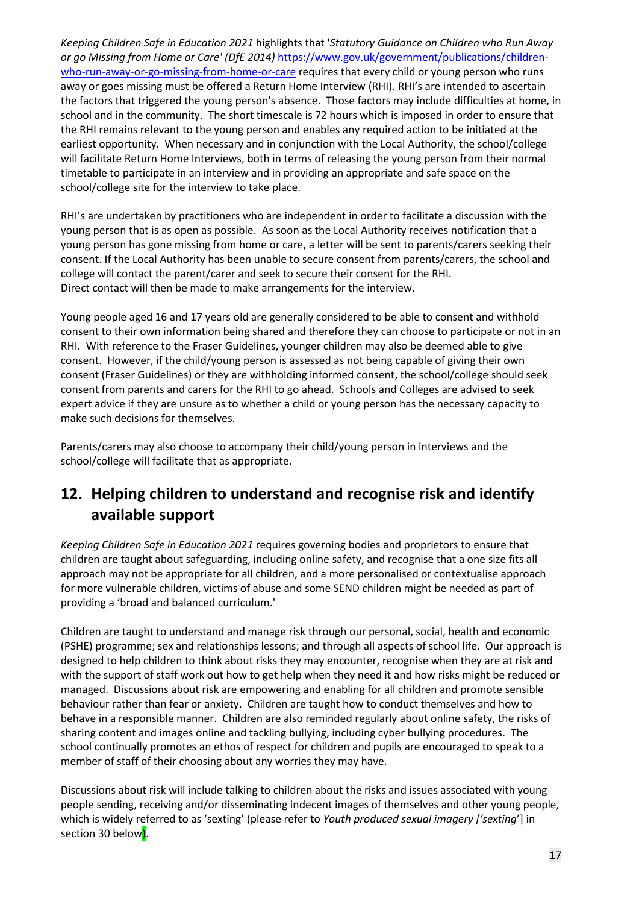*Keeping Children Safe in Education 2021* highlights that '*Statutory Guidance on Children who Run Away or go Missing from Home or Care' (DfE 2014)* [https://www.gov.uk/government/publications/children](https://www.gov.uk/government/publications/children-who-run-away-or-go-missing-from-home-or-care)[who-run-away-or-go-missing-from-home-or-care](https://www.gov.uk/government/publications/children-who-run-away-or-go-missing-from-home-or-care) requires that every child or young person who runs away or goes missing must be offered a Return Home Interview (RHI). RHI's are intended to ascertain the factors that triggered the young person's absence. Those factors may include difficulties at home, in school and in the community. The short timescale is 72 hours which is imposed in order to ensure that the RHI remains relevant to the young person and enables any required action to be initiated at the earliest opportunity. When necessary and in conjunction with the Local Authority, the school/college will facilitate Return Home Interviews, both in terms of releasing the young person from their normal timetable to participate in an interview and in providing an appropriate and safe space on the school/college site for the interview to take place.

RHI's are undertaken by practitioners who are independent in order to facilitate a discussion with the young person that is as open as possible. As soon as the Local Authority receives notification that a young person has gone missing from home or care, a letter will be sent to parents/carers seeking their consent. If the Local Authority has been unable to secure consent from parents/carers, the school and college will contact the parent/carer and seek to secure their consent for the RHI. Direct contact will then be made to make arrangements for the interview.

Young people aged 16 and 17 years old are generally considered to be able to consent and withhold consent to their own information being shared and therefore they can choose to participate or not in an RHI. With reference to the Fraser Guidelines, younger children may also be deemed able to give consent. However, if the child/young person is assessed as not being capable of giving their own consent (Fraser Guidelines) or they are withholding informed consent, the school/college should seek consent from parents and carers for the RHI to go ahead. Schools and Colleges are advised to seek expert advice if they are unsure as to whether a child or young person has the necessary capacity to make such decisions for themselves.

Parents/carers may also choose to accompany their child/young person in interviews and the school/college will facilitate that as appropriate.

### **12. Helping children to understand and recognise risk and identify available support**

*Keeping Children Safe in Education 2021* requires governing bodies and proprietors to ensure that children are taught about safeguarding, including online safety, and recognise that a one size fits all approach may not be appropriate for all children, and a more personalised or contextualise approach for more vulnerable children, victims of abuse and some SEND children might be needed as part of providing a 'broad and balanced curriculum.'

Children are taught to understand and manage risk through our personal, social, health and economic (PSHE) programme; sex and relationships lessons; and through all aspects of school life. Our approach is designed to help children to think about risks they may encounter, recognise when they are at risk and with the support of staff work out how to get help when they need it and how risks might be reduced or managed. Discussions about risk are empowering and enabling for all children and promote sensible behaviour rather than fear or anxiety. Children are taught how to conduct themselves and how to behave in a responsible manner. Children are also reminded regularly about online safety, the risks of sharing content and images online and tackling bullying, including cyber bullying procedures. The school continually promotes an ethos of respect for children and pupils are encouraged to speak to a member of staff of their choosing about any worries they may have.

Discussions about risk will include talking to children about the risks and issues associated with young people sending, receiving and/or disseminating indecent images of themselves and other young people, which is widely referred to as 'sexting' (please refer to *Youth produced sexual imagery ['sexting*'] in section 30 below).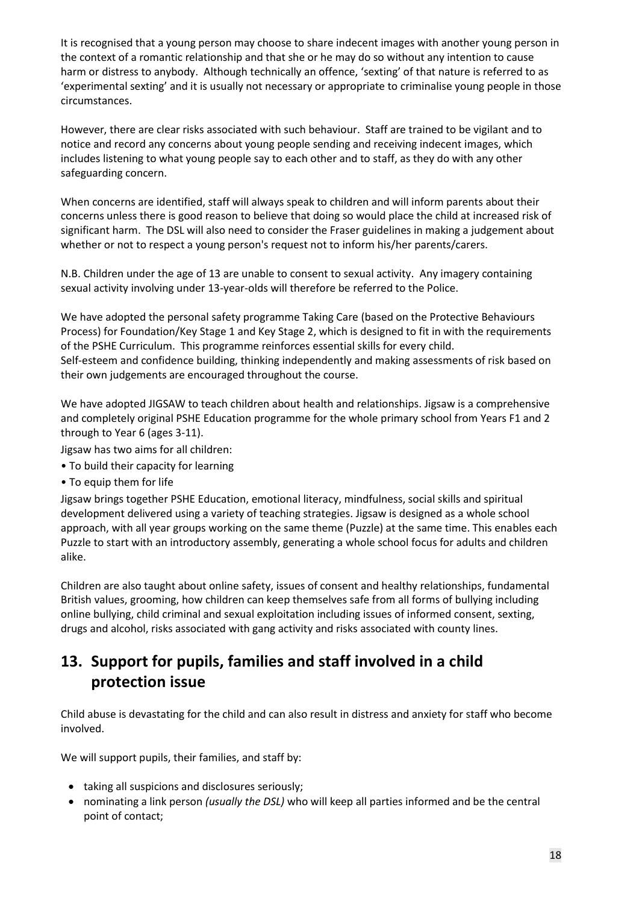It is recognised that a young person may choose to share indecent images with another young person in the context of a romantic relationship and that she or he may do so without any intention to cause harm or distress to anybody. Although technically an offence, 'sexting' of that nature is referred to as 'experimental sexting' and it is usually not necessary or appropriate to criminalise young people in those circumstances.

However, there are clear risks associated with such behaviour. Staff are trained to be vigilant and to notice and record any concerns about young people sending and receiving indecent images, which includes listening to what young people say to each other and to staff, as they do with any other safeguarding concern.

When concerns are identified, staff will always speak to children and will inform parents about their concerns unless there is good reason to believe that doing so would place the child at increased risk of significant harm. The DSL will also need to consider the Fraser guidelines in making a judgement about whether or not to respect a young person's request not to inform his/her parents/carers.

N.B. Children under the age of 13 are unable to consent to sexual activity. Any imagery containing sexual activity involving under 13-year-olds will therefore be referred to the Police.

We have adopted the personal safety programme Taking Care (based on the Protective Behaviours Process) for Foundation/Key Stage 1 and Key Stage 2, which is designed to fit in with the requirements of the PSHE Curriculum. This programme reinforces essential skills for every child. Self-esteem and confidence building, thinking independently and making assessments of risk based on their own judgements are encouraged throughout the course.

We have adopted JIGSAW to teach children about health and relationships. Jigsaw is a comprehensive and completely original PSHE Education programme for the whole primary school from Years F1 and 2 through to Year 6 (ages 3-11).

- Jigsaw has two aims for all children:
- To build their capacity for learning
- To equip them for life

Jigsaw brings together PSHE Education, emotional literacy, mindfulness, social skills and spiritual development delivered using a variety of teaching strategies. Jigsaw is designed as a whole school approach, with all year groups working on the same theme (Puzzle) at the same time. This enables each Puzzle to start with an introductory assembly, generating a whole school focus for adults and children alike.

Children are also taught about online safety, issues of consent and healthy relationships, fundamental British values, grooming, how children can keep themselves safe from all forms of bullying including online bullying, child criminal and sexual exploitation including issues of informed consent, sexting, drugs and alcohol, risks associated with gang activity and risks associated with county lines.

## **13. Support for pupils, families and staff involved in a child protection issue**

Child abuse is devastating for the child and can also result in distress and anxiety for staff who become involved.

We will support pupils, their families, and staff by:

- taking all suspicions and disclosures seriously;
- nominating a link person *(usually the DSL)* who will keep all parties informed and be the central point of contact;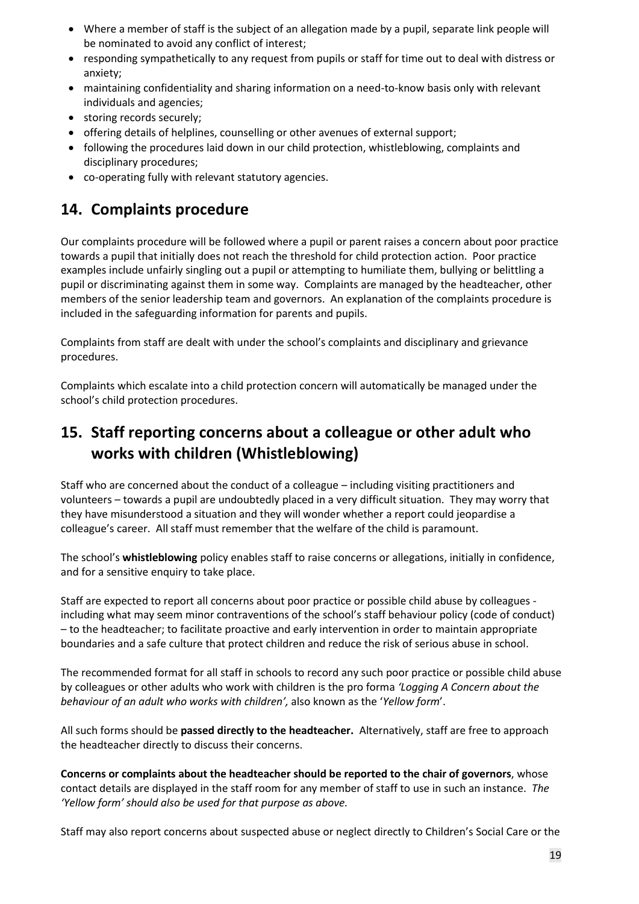- Where a member of staff is the subject of an allegation made by a pupil, separate link people will be nominated to avoid any conflict of interest;
- responding sympathetically to any request from pupils or staff for time out to deal with distress or anxiety;
- maintaining confidentiality and sharing information on a need-to-know basis only with relevant individuals and agencies;
- storing records securely;
- offering details of helplines, counselling or other avenues of external support;
- following the procedures laid down in our child protection, whistleblowing, complaints and disciplinary procedures;
- co-operating fully with relevant statutory agencies.

### **14. Complaints procedure**

Our complaints procedure will be followed where a pupil or parent raises a concern about poor practice towards a pupil that initially does not reach the threshold for child protection action. Poor practice examples include unfairly singling out a pupil or attempting to humiliate them, bullying or belittling a pupil or discriminating against them in some way. Complaints are managed by the headteacher, other members of the senior leadership team and governors. An explanation of the complaints procedure is included in the safeguarding information for parents and pupils.

Complaints from staff are dealt with under the school's complaints and disciplinary and grievance procedures.

Complaints which escalate into a child protection concern will automatically be managed under the school's child protection procedures.

### **15. Staff reporting concerns about a colleague or other adult who works with children (Whistleblowing)**

Staff who are concerned about the conduct of a colleague – including visiting practitioners and volunteers – towards a pupil are undoubtedly placed in a very difficult situation. They may worry that they have misunderstood a situation and they will wonder whether a report could jeopardise a colleague's career. All staff must remember that the welfare of the child is paramount.

The school's **whistleblowing** policy enables staff to raise concerns or allegations, initially in confidence, and for a sensitive enquiry to take place.

Staff are expected to report all concerns about poor practice or possible child abuse by colleagues including what may seem minor contraventions of the school's staff behaviour policy (code of conduct) – to the headteacher; to facilitate proactive and early intervention in order to maintain appropriate boundaries and a safe culture that protect children and reduce the risk of serious abuse in school.

The recommended format for all staff in schools to record any such poor practice or possible child abuse by colleagues or other adults who work with children is the pro forma *'Logging A Concern about the behaviour of an adult who works with children',* also known as the '*Yellow form*'.

All such forms should be **passed directly to the headteacher.** Alternatively, staff are free to approach the headteacher directly to discuss their concerns.

**Concerns or complaints about the headteacher should be reported to the chair of governors**, whose contact details are displayed in the staff room for any member of staff to use in such an instance. *The 'Yellow form' should also be used for that purpose as above.*

Staff may also report concerns about suspected abuse or neglect directly to Children's Social Care or the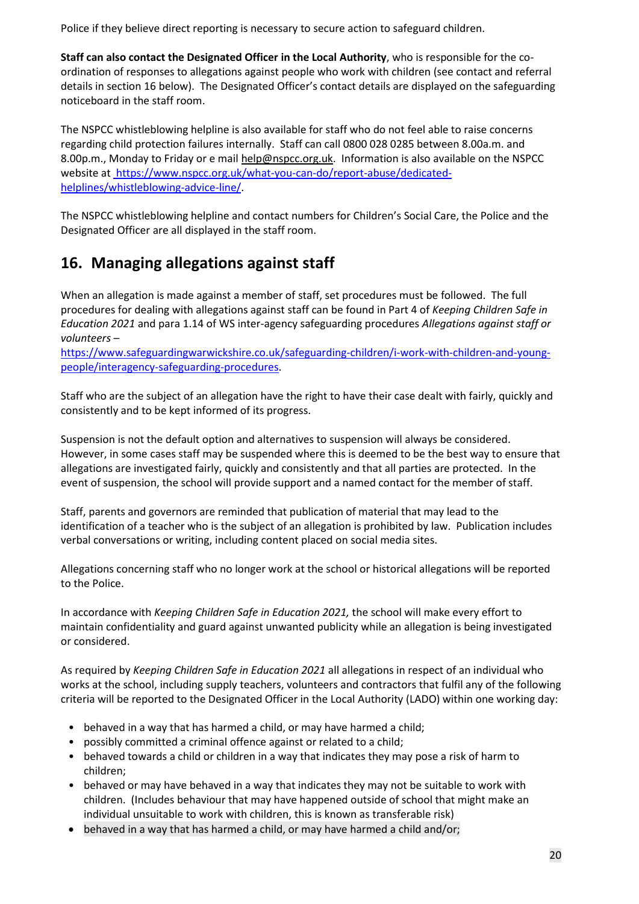Police if they believe direct reporting is necessary to secure action to safeguard children.

**Staff can also contact the Designated Officer in the Local Authority**, who is responsible for the coordination of responses to allegations against people who work with children (see contact and referral details in section 16 below). The Designated Officer's contact details are displayed on the safeguarding noticeboard in the staff room.

The NSPCC whistleblowing helpline is also available for staff who do not feel able to raise concerns regarding child protection failures internally. Staff can call 0800 028 0285 between 8.00a.m. and 8.00p.m., Monday to Friday or e mai[l help@nspcc.org.uk.](mailto:help@nspcc.org.uk) Information is also available on the NSPCC website at [https://www.nspcc.org.uk/what-you-can-do/report-abuse/dedicated](https://www.nspcc.org.uk/what-you-can-do/report-abuse/dedicated-helplines/whistleblowing-advice-line/)[helplines/whistleblowing-advice-line/.](https://www.nspcc.org.uk/what-you-can-do/report-abuse/dedicated-helplines/whistleblowing-advice-line/)

The NSPCC whistleblowing helpline and contact numbers for Children's Social Care, the Police and the Designated Officer are all displayed in the staff room.

### **16. Managing allegations against staff**

When an allegation is made against a member of staff, set procedures must be followed. The full procedures for dealing with allegations against staff can be found in Part 4 of *Keeping Children Safe in Education 2021* and para 1.14 of WS inter-agency safeguarding procedures *Allegations against staff or volunteers* –

[https://www.safeguardingwarwickshire.co.uk/safeguarding-children/i-work-with-children-and-young](https://www.safeguardingwarwickshire.co.uk/safeguarding-children/i-work-with-children-and-young-people/interagency-safeguarding-procedures)[people/interagency-safeguarding-procedures.](https://www.safeguardingwarwickshire.co.uk/safeguarding-children/i-work-with-children-and-young-people/interagency-safeguarding-procedures)

Staff who are the subject of an allegation have the right to have their case dealt with fairly, quickly and consistently and to be kept informed of its progress.

Suspension is not the default option and alternatives to suspension will always be considered. However, in some cases staff may be suspended where this is deemed to be the best way to ensure that allegations are investigated fairly, quickly and consistently and that all parties are protected. In the event of suspension, the school will provide support and a named contact for the member of staff.

Staff, parents and governors are reminded that publication of material that may lead to the identification of a teacher who is the subject of an allegation is prohibited by law. Publication includes verbal conversations or writing, including content placed on social media sites.

Allegations concerning staff who no longer work at the school or historical allegations will be reported to the Police.

In accordance with *Keeping Children Safe in Education 2021,* the school will make every effort to maintain confidentiality and guard against unwanted publicity while an allegation is being investigated or considered.

As required by *Keeping Children Safe in Education 2021* all allegations in respect of an individual who works at the school, including supply teachers, volunteers and contractors that fulfil any of the following criteria will be reported to the Designated Officer in the Local Authority (LADO) within one working day:

- behaved in a way that has harmed a child, or may have harmed a child;
- possibly committed a criminal offence against or related to a child;
- behaved towards a child or children in a way that indicates they may pose a risk of harm to children;
- behaved or may have behaved in a way that indicates they may not be suitable to work with children. (Includes behaviour that may have happened outside of school that might make an individual unsuitable to work with children, this is known as transferable risk)
- behaved in a way that has harmed a child, or may have harmed a child and/or;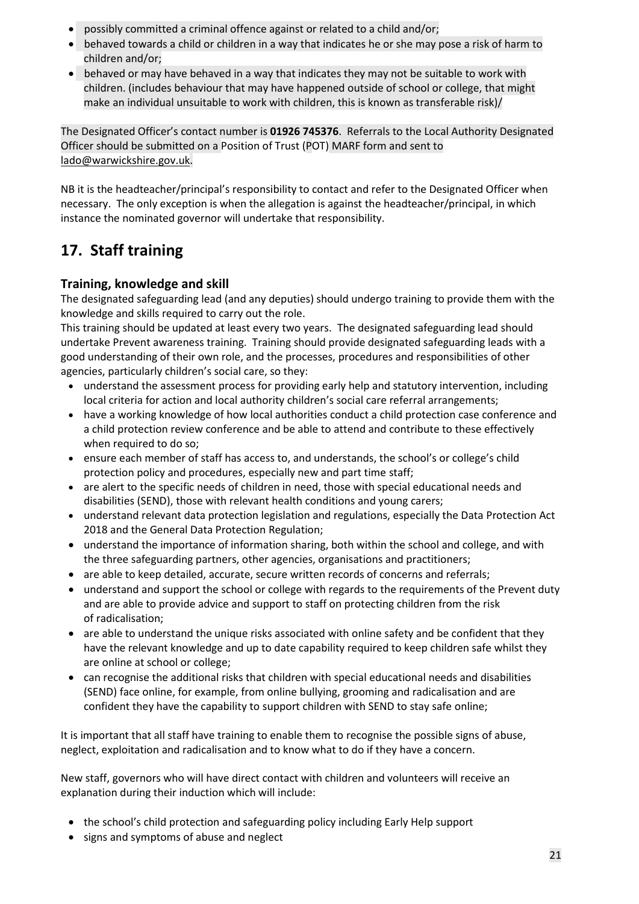- possibly committed a criminal offence against or related to a child and/or;
- behaved towards a child or children in a way that indicates he or she may pose a risk of harm to children and/or;
- behaved or may have behaved in a way that indicates they may not be suitable to work with children. (includes behaviour that may have happened outside of school or college, that might make an individual unsuitable to work with children, this is known as transferable risk)/

The Designated Officer's contact number is **01926 745376**. Referrals to the Local Authority Designated Officer should be submitted on a Position of Trust (POT) MARF form and sent to [lado@warwickshire.gov.uk.](mailto:lado@warwickshire.gov.uk)

NB it is the headteacher/principal's responsibility to contact and refer to the Designated Officer when necessary. The only exception is when the allegation is against the headteacher/principal, in which instance the nominated governor will undertake that responsibility.

## **17. Staff training**

#### **Training, knowledge and skill**

The designated safeguarding lead (and any deputies) should undergo training to provide them with the knowledge and skills required to carry out the role.

This training should be updated at least every two years. The designated safeguarding lead should undertake Prevent awareness training. Training should provide designated safeguarding leads with a good understanding of their own role, and the processes, procedures and responsibilities of other agencies, particularly children's social care, so they:

- understand the assessment process for providing early help and statutory intervention, including local criteria for action and local authority children's social care referral arrangements;
- have a working knowledge of how local authorities conduct a child protection case conference and a child protection review conference and be able to attend and contribute to these effectively when required to do so;
- ensure each member of staff has access to, and understands, the school's or college's child protection policy and procedures, especially new and part time staff;
- are alert to the specific needs of children in need, those with special educational needs and disabilities (SEND), those with relevant health conditions and young carers;
- understand relevant data protection legislation and regulations, especially the Data Protection Act 2018 and the General Data Protection Regulation;
- understand the importance of information sharing, both within the school and college, and with the three safeguarding partners, other agencies, organisations and practitioners;
- are able to keep detailed, accurate, secure written records of concerns and referrals;
- understand and support the school or college with regards to the requirements of the Prevent duty and are able to provide advice and support to staff on protecting children from the risk of radicalisation;
- are able to understand the unique risks associated with online safety and be confident that they have the relevant knowledge and up to date capability required to keep children safe whilst they are online at school or college;
- can recognise the additional risks that children with special educational needs and disabilities (SEND) face online, for example, from online bullying, grooming and radicalisation and are confident they have the capability to support children with SEND to stay safe online;

It is important that all staff have training to enable them to recognise the possible signs of abuse, neglect, exploitation and radicalisation and to know what to do if they have a concern.

New staff, governors who will have direct contact with children and volunteers will receive an explanation during their induction which will include:

- the school's child protection and safeguarding policy including Early Help support
- signs and symptoms of abuse and neglect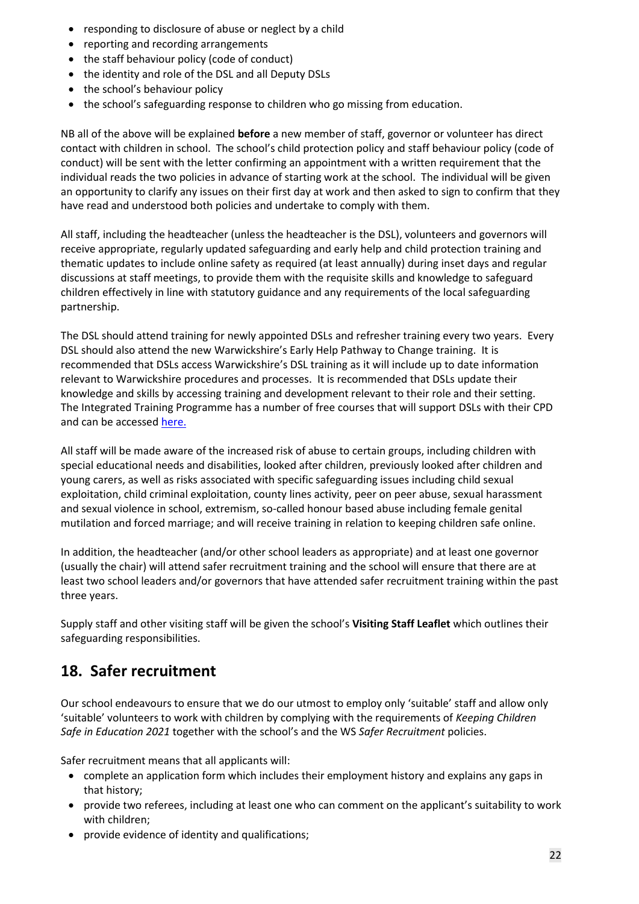- responding to disclosure of abuse or neglect by a child
- reporting and recording arrangements
- the staff behaviour policy (code of conduct)
- the identity and role of the DSL and all Deputy DSLs
- the school's behaviour policy
- the school's safeguarding response to children who go missing from education.

NB all of the above will be explained **before** a new member of staff, governor or volunteer has direct contact with children in school. The school's child protection policy and staff behaviour policy (code of conduct) will be sent with the letter confirming an appointment with a written requirement that the individual reads the two policies in advance of starting work at the school. The individual will be given an opportunity to clarify any issues on their first day at work and then asked to sign to confirm that they have read and understood both policies and undertake to comply with them.

All staff, including the headteacher (unless the headteacher is the DSL), volunteers and governors will receive appropriate, regularly updated safeguarding and early help and child protection training and thematic updates to include online safety as required (at least annually) during inset days and regular discussions at staff meetings, to provide them with the requisite skills and knowledge to safeguard children effectively in line with statutory guidance and any requirements of the local safeguarding partnership.

The DSL should attend training for newly appointed DSLs and refresher training every two years. Every DSL should also attend the new Warwickshire's Early Help Pathway to Change training. It is recommended that DSLs access Warwickshire's DSL training as it will include up to date information relevant to Warwickshire procedures and processes. It is recommended that DSLs update their knowledge and skills by accessing training and development relevant to their role and their setting. The Integrated Training Programme has a number of free courses that will support DSLs with their CPD and can be accessed [here.](https://www.safeguardingwarwickshire.co.uk/safeguarding-children/education-safeguarding-service-training)

All staff will be made aware of the increased risk of abuse to certain groups, including children with special educational needs and disabilities, looked after children, previously looked after children and young carers, as well as risks associated with specific safeguarding issues including child sexual exploitation, child criminal exploitation, county lines activity, peer on peer abuse, sexual harassment and sexual violence in school, extremism, so-called honour based abuse including female genital mutilation and forced marriage; and will receive training in relation to keeping children safe online.

In addition, the headteacher (and/or other school leaders as appropriate) and at least one governor (usually the chair) will attend safer recruitment training and the school will ensure that there are at least two school leaders and/or governors that have attended safer recruitment training within the past three years.

Supply staff and other visiting staff will be given the school's **Visiting Staff Leaflet** which outlines their safeguarding responsibilities.

### **18. Safer recruitment**

Our school endeavours to ensure that we do our utmost to employ only 'suitable' staff and allow only 'suitable' volunteers to work with children by complying with the requirements of *Keeping Children Safe in Education 2021* together with the school's and the WS *Safer Recruitment* policies.

Safer recruitment means that all applicants will:

- complete an application form which includes their employment history and explains any gaps in that history;
- provide two referees, including at least one who can comment on the applicant's suitability to work with children;
- provide evidence of identity and qualifications;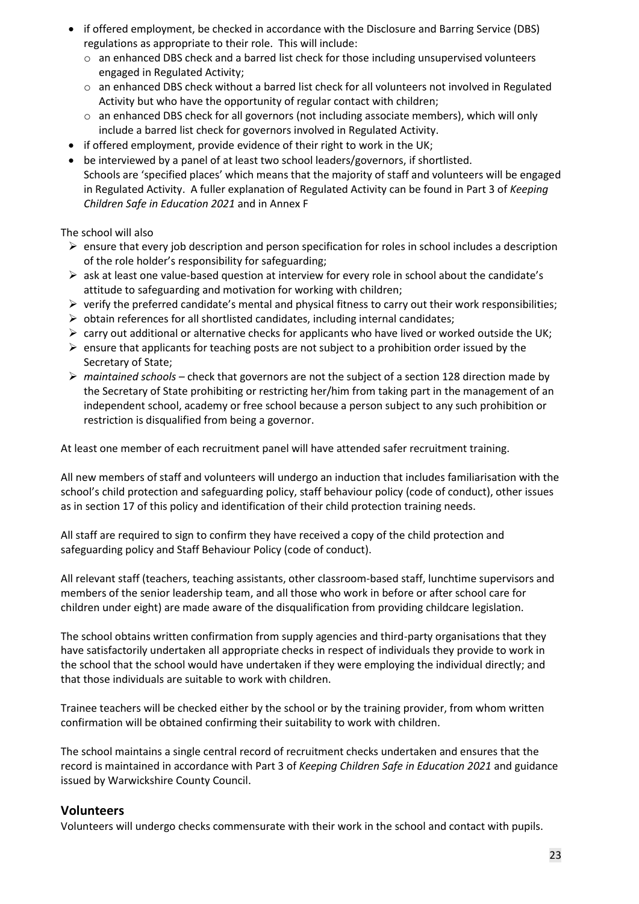- if offered employment, be checked in accordance with the Disclosure and Barring Service (DBS) regulations as appropriate to their role. This will include:
	- $\circ$  an enhanced DBS check and a barred list check for those including unsupervised volunteers engaged in Regulated Activity;
	- o an enhanced DBS check without a barred list check for all volunteers not involved in Regulated Activity but who have the opportunity of regular contact with children;
	- $\circ$  an enhanced DBS check for all governors (not including associate members), which will only include a barred list check for governors involved in Regulated Activity.
- if offered employment, provide evidence of their right to work in the UK;
- be interviewed by a panel of at least two school leaders/governors, if shortlisted. Schools are 'specified places' which means that the majority of staff and volunteers will be engaged in Regulated Activity. A fuller explanation of Regulated Activity can be found in Part 3 of *Keeping Children Safe in Education 2021* and in Annex F

The school will also

- $\triangleright$  ensure that every job description and person specification for roles in school includes a description of the role holder's responsibility for safeguarding;
- $\triangleright$  ask at least one value-based question at interview for every role in school about the candidate's attitude to safeguarding and motivation for working with children;
- $\triangleright$  verify the preferred candidate's mental and physical fitness to carry out their work responsibilities;
- $\triangleright$  obtain references for all shortlisted candidates, including internal candidates;
- $\triangleright$  carry out additional or alternative checks for applicants who have lived or worked outside the UK;
- $\triangleright$  ensure that applicants for teaching posts are not subject to a prohibition order issued by the Secretary of State;
- ➢ *maintained schools –* check that governors are not the subject of a section 128 direction made by the Secretary of State prohibiting or restricting her/him from taking part in the management of an independent school, academy or free school because a person subject to any such prohibition or restriction is disqualified from being a governor.

At least one member of each recruitment panel will have attended safer recruitment training.

All new members of staff and volunteers will undergo an induction that includes familiarisation with the school's child protection and safeguarding policy, staff behaviour policy (code of conduct), other issues as in section 17 of this policy and identification of their child protection training needs.

All staff are required to sign to confirm they have received a copy of the child protection and safeguarding policy and Staff Behaviour Policy (code of conduct).

All relevant staff (teachers, teaching assistants, other classroom-based staff, lunchtime supervisors and members of the senior leadership team, and all those who work in before or after school care for children under eight) are made aware of the disqualification from providing childcare legislation.

The school obtains written confirmation from supply agencies and third-party organisations that they have satisfactorily undertaken all appropriate checks in respect of individuals they provide to work in the school that the school would have undertaken if they were employing the individual directly; and that those individuals are suitable to work with children.

Trainee teachers will be checked either by the school or by the training provider, from whom written confirmation will be obtained confirming their suitability to work with children.

The school maintains a single central record of recruitment checks undertaken and ensures that the record is maintained in accordance with Part 3 of *Keeping Children Safe in Education 2021* and guidance issued by Warwickshire County Council.

#### **Volunteers**

Volunteers will undergo checks commensurate with their work in the school and contact with pupils.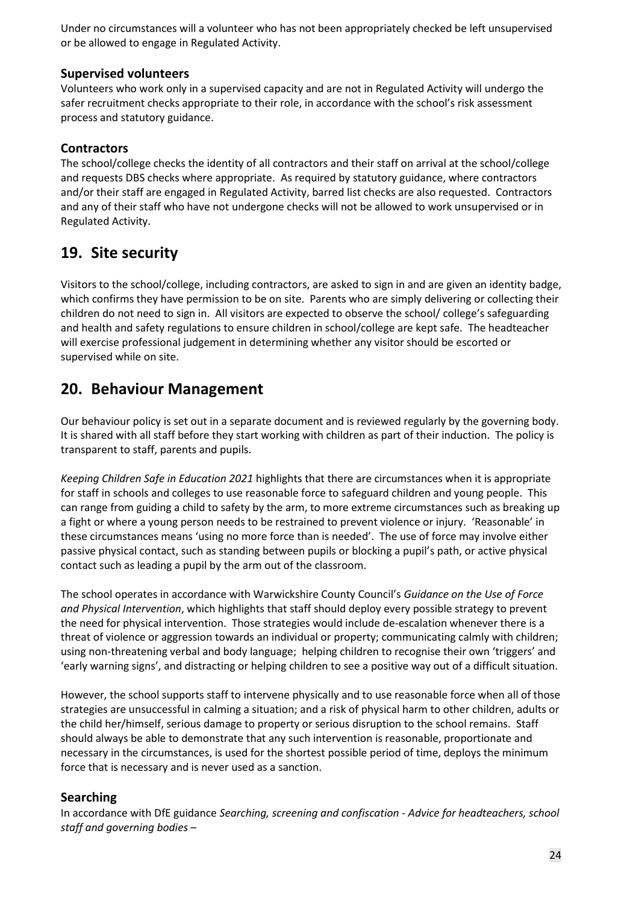Under no circumstances will a volunteer who has not been appropriately checked be left unsupervised or be allowed to engage in Regulated Activity.

#### **Supervised volunteers**

Volunteers who work only in a supervised capacity and are not in Regulated Activity will undergo the safer recruitment checks appropriate to their role, in accordance with the school's risk assessment process and statutory guidance.

#### **Contractors**

The school/college checks the identity of all contractors and their staff on arrival at the school/college and requests DBS checks where appropriate. As required by statutory guidance, where contractors and/or their staff are engaged in Regulated Activity, barred list checks are also requested. Contractors and any of their staff who have not undergone checks will not be allowed to work unsupervised or in Regulated Activity.

### **19. Site security**

Visitors to the school/college, including contractors, are asked to sign in and are given an identity badge, which confirms they have permission to be on site. Parents who are simply delivering or collecting their children do not need to sign in. All visitors are expected to observe the school/ college's safeguarding and health and safety regulations to ensure children in school/college are kept safe. The headteacher will exercise professional judgement in determining whether any visitor should be escorted or supervised while on site.

### **20. Behaviour Management**

Our behaviour policy is set out in a separate document and is reviewed regularly by the governing body. It is shared with all staff before they start working with children as part of their induction. The policy is transparent to staff, parents and pupils.

*Keeping Children Safe in Education 2021* highlights that there are circumstances when it is appropriate for staff in schools and colleges to use reasonable force to safeguard children and young people. This can range from guiding a child to safety by the arm, to more extreme circumstances such as breaking up a fight or where a young person needs to be restrained to prevent violence or injury. 'Reasonable' in these circumstances means 'using no more force than is needed'. The use of force may involve either passive physical contact, such as standing between pupils or blocking a pupil's path, or active physical contact such as leading a pupil by the arm out of the classroom.

The school operates in accordance with Warwickshire County Council's *Guidance on the Use of Force and Physical Intervention*, which highlights that staff should deploy every possible strategy to prevent the need for physical intervention. Those strategies would include de-escalation whenever there is a threat of violence or aggression towards an individual or property; communicating calmly with children; using non-threatening verbal and body language; helping children to recognise their own 'triggers' and 'early warning signs', and distracting or helping children to see a positive way out of a difficult situation.

However, the school supports staff to intervene physically and to use reasonable force when all of those strategies are unsuccessful in calming a situation; and a risk of physical harm to other children, adults or the child her/himself, serious damage to property or serious disruption to the school remains. Staff should always be able to demonstrate that any such intervention is reasonable, proportionate and necessary in the circumstances, is used for the shortest possible period of time, deploys the minimum force that is necessary and is never used as a sanction.

#### **Searching**

In accordance with DfE guidance *Searching, screening and confiscation - Advice for headteachers, school staff and governing bodies* –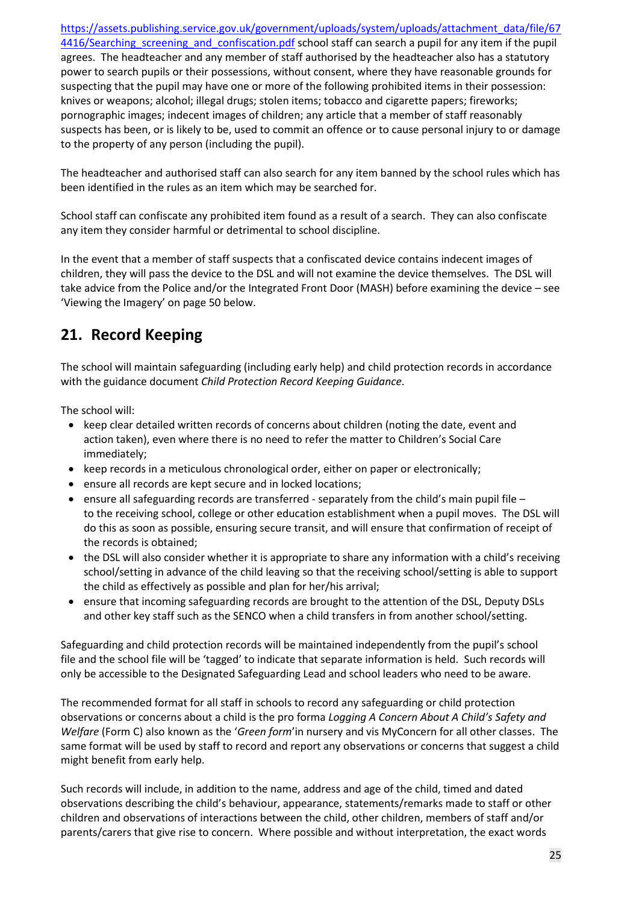[https://assets.publishing.service.gov.uk/government/uploads/system/uploads/attachment\\_data/file/67](https://assets.publishing.service.gov.uk/government/uploads/system/uploads/attachment_data/file/674416/Searching_screening_and_confiscation.pdf) 4416/Searching screening and confiscation.pdf school staff can search a pupil for any item if the pupil agrees. The headteacher and any member of staff authorised by the headteacher also has a statutory power to search pupils or their possessions, without consent, where they have reasonable grounds for suspecting that the pupil may have one or more of the following prohibited items in their possession: knives or weapons; alcohol; illegal drugs; stolen items; tobacco and cigarette papers; fireworks; pornographic images; indecent images of children; any article that a member of staff reasonably suspects has been, or is likely to be, used to commit an offence or to cause personal injury to or damage to the property of any person (including the pupil).

The headteacher and authorised staff can also search for any item banned by the school rules which has been identified in the rules as an item which may be searched for.

School staff can confiscate any prohibited item found as a result of a search. They can also confiscate any item they consider harmful or detrimental to school discipline.

In the event that a member of staff suspects that a confiscated device contains indecent images of children, they will pass the device to the DSL and will not examine the device themselves. The DSL will take advice from the Police and/or the Integrated Front Door (MASH) before examining the device – see 'Viewing the Imagery' on page 50 below.

### **21. Record Keeping**

The school will maintain safeguarding (including early help) and child protection records in accordance with the guidance document *Child Protection Record Keeping Guidance*.

The school will:

- keep clear detailed written records of concerns about children (noting the date, event and action taken), even where there is no need to refer the matter to Children's Social Care immediately;
- keep records in a meticulous chronological order, either on paper or electronically;
- ensure all records are kept secure and in locked locations;
- ensure all safeguarding records are transferred separately from the child's main pupil file to the receiving school, college or other education establishment when a pupil moves. The DSL will do this as soon as possible, ensuring secure transit, and will ensure that confirmation of receipt of the records is obtained;
- the DSL will also consider whether it is appropriate to share any information with a child's receiving school/setting in advance of the child leaving so that the receiving school/setting is able to support the child as effectively as possible and plan for her/his arrival;
- ensure that incoming safeguarding records are brought to the attention of the DSL, Deputy DSLs and other key staff such as the SENCO when a child transfers in from another school/setting.

Safeguarding and child protection records will be maintained independently from the pupil's school file and the school file will be 'tagged' to indicate that separate information is held. Such records will only be accessible to the Designated Safeguarding Lead and school leaders who need to be aware.

The recommended format for all staff in schools to record any safeguarding or child protection observations or concerns about a child is the pro forma *Logging A Concern About A Child's Safety and Welfare* (Form C) also known as the '*Green form*'in nursery and vis MyConcern for all other classes. The same format will be used by staff to record and report any observations or concerns that suggest a child might benefit from early help.

Such records will include, in addition to the name, address and age of the child, timed and dated observations describing the child's behaviour, appearance, statements/remarks made to staff or other children and observations of interactions between the child, other children, members of staff and/or parents/carers that give rise to concern. Where possible and without interpretation, the exact words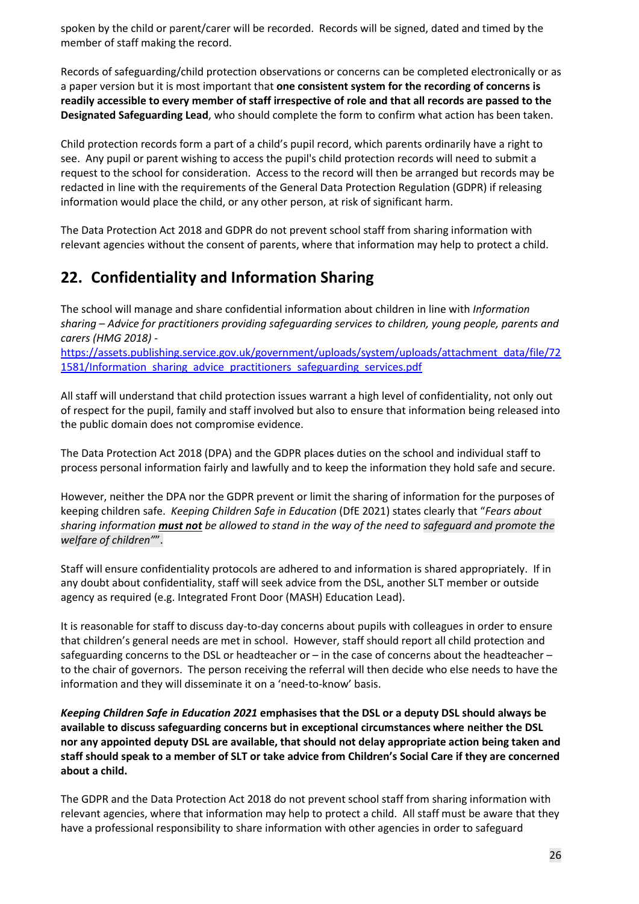spoken by the child or parent/carer will be recorded. Records will be signed, dated and timed by the member of staff making the record.

Records of safeguarding/child protection observations or concerns can be completed electronically or as a paper version but it is most important that **one consistent system for the recording of concerns is readily accessible to every member of staff irrespective of role and that all records are passed to the Designated Safeguarding Lead**, who should complete the form to confirm what action has been taken.

Child protection records form a part of a child's pupil record, which parents ordinarily have a right to see. Any pupil or parent wishing to access the pupil's child protection records will need to submit a request to the school for consideration. Access to the record will then be arranged but records may be redacted in line with the requirements of the General Data Protection Regulation (GDPR) if releasing information would place the child, or any other person, at risk of significant harm.

The Data Protection Act 2018 and GDPR do not prevent school staff from sharing information with relevant agencies without the consent of parents, where that information may help to protect a child.

### **22. Confidentiality and Information Sharing**

The school will manage and share confidential information about children in line with *Information sharing* – *Advice for practitioners providing safeguarding services to children, young people, parents and carers (HMG 2018) -*

[https://assets.publishing.service.gov.uk/government/uploads/system/uploads/attachment\\_data/file/72](https://assets.publishing.service.gov.uk/government/uploads/system/uploads/attachment_data/file/721581/Information_sharing_advice_practitioners_safeguarding_services.pdf) [1581/Information\\_sharing\\_advice\\_practitioners\\_safeguarding\\_services.pdf](https://assets.publishing.service.gov.uk/government/uploads/system/uploads/attachment_data/file/721581/Information_sharing_advice_practitioners_safeguarding_services.pdf)

All staff will understand that child protection issues warrant a high level of confidentiality, not only out of respect for the pupil, family and staff involved but also to ensure that information being released into the public domain does not compromise evidence.

The Data Protection Act 2018 (DPA) and the GDPR places duties on the school and individual staff to process personal information fairly and lawfully and to keep the information they hold safe and secure.

However, neither the DPA nor the GDPR prevent or limit the sharing of information for the purposes of keeping children safe.*Keeping Children Safe in Education* (DfE 2021) states clearly that "*Fears about sharing information must not be allowed to stand in the way of the need to safeguard and promote the welfare of children"*".

Staff will ensure confidentiality protocols are adhered to and information is shared appropriately. If in any doubt about confidentiality, staff will seek advice from the DSL, another SLT member or outside agency as required (e.g. Integrated Front Door (MASH) Education Lead).

It is reasonable for staff to discuss day-to-day concerns about pupils with colleagues in order to ensure that children's general needs are met in school. However, staff should report all child protection and safeguarding concerns to the DSL or headteacher or – in the case of concerns about the headteacher – to the chair of governors. The person receiving the referral will then decide who else needs to have the information and they will disseminate it on a 'need-to-know' basis.

*Keeping Children Safe in Education 2021* **emphasises that the DSL or a deputy DSL should always be available to discuss safeguarding concerns but in exceptional circumstances where neither the DSL nor any appointed deputy DSL are available, that should not delay appropriate action being taken and staff should speak to a member of SLT or take advice from Children's Social Care if they are concerned about a child.**

The GDPR and the Data Protection Act 2018 do not prevent school staff from sharing information with relevant agencies, where that information may help to protect a child. All staff must be aware that they have a professional responsibility to share information with other agencies in order to safeguard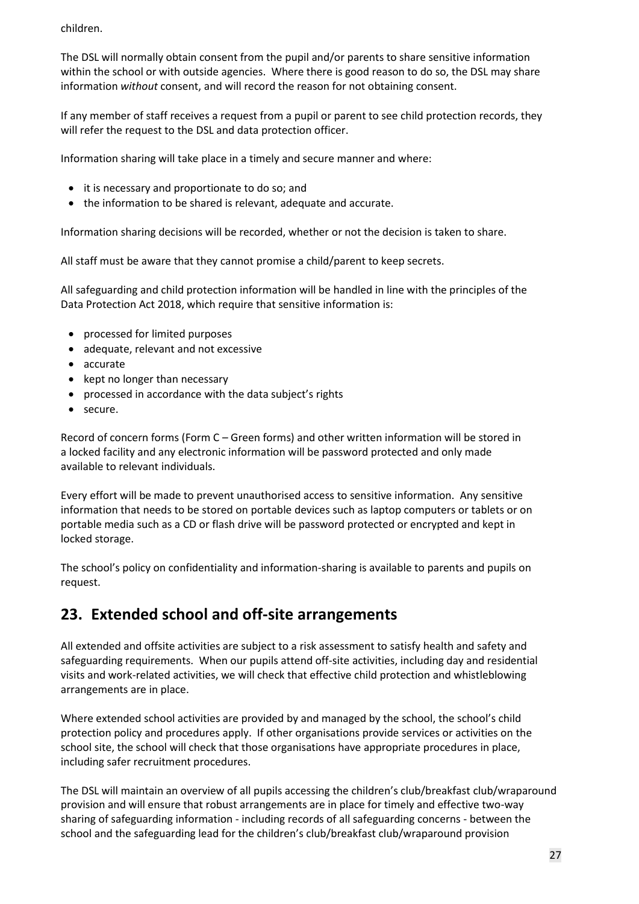children.

The DSL will normally obtain consent from the pupil and/or parents to share sensitive information within the school or with outside agencies. Where there is good reason to do so, the DSL may share information *without* consent, and will record the reason for not obtaining consent.

If any member of staff receives a request from a pupil or parent to see child protection records, they will refer the request to the DSL and data protection officer.

Information sharing will take place in a timely and secure manner and where:

- it is necessary and proportionate to do so; and
- the information to be shared is relevant, adequate and accurate.

Information sharing decisions will be recorded, whether or not the decision is taken to share.

All staff must be aware that they cannot promise a child/parent to keep secrets.

All safeguarding and child protection information will be handled in line with the principles of the Data Protection Act 2018, which require that sensitive information is:

- processed for limited purposes
- adequate, relevant and not excessive
- accurate
- kept no longer than necessary
- processed in accordance with the data subject's rights
- secure.

Record of concern forms (Form C – Green forms) and other written information will be stored in a locked facility and any electronic information will be password protected and only made available to relevant individuals.

Every effort will be made to prevent unauthorised access to sensitive information. Any sensitive information that needs to be stored on portable devices such as laptop computers or tablets or on portable media such as a CD or flash drive will be password protected or encrypted and kept in locked storage.

The school's policy on confidentiality and information-sharing is available to parents and pupils on request.

### **23. Extended school and off-site arrangements**

All extended and offsite activities are subject to a risk assessment to satisfy health and safety and safeguarding requirements. When our pupils attend off-site activities, including day and residential visits and work-related activities, we will check that effective child protection and whistleblowing arrangements are in place.

Where extended school activities are provided by and managed by the school, the school's child protection policy and procedures apply. If other organisations provide services or activities on the school site, the school will check that those organisations have appropriate procedures in place, including safer recruitment procedures.

The DSL will maintain an overview of all pupils accessing the children's club/breakfast club/wraparound provision and will ensure that robust arrangements are in place for timely and effective two-way sharing of safeguarding information - including records of all safeguarding concerns - between the school and the safeguarding lead for the children's club/breakfast club/wraparound provision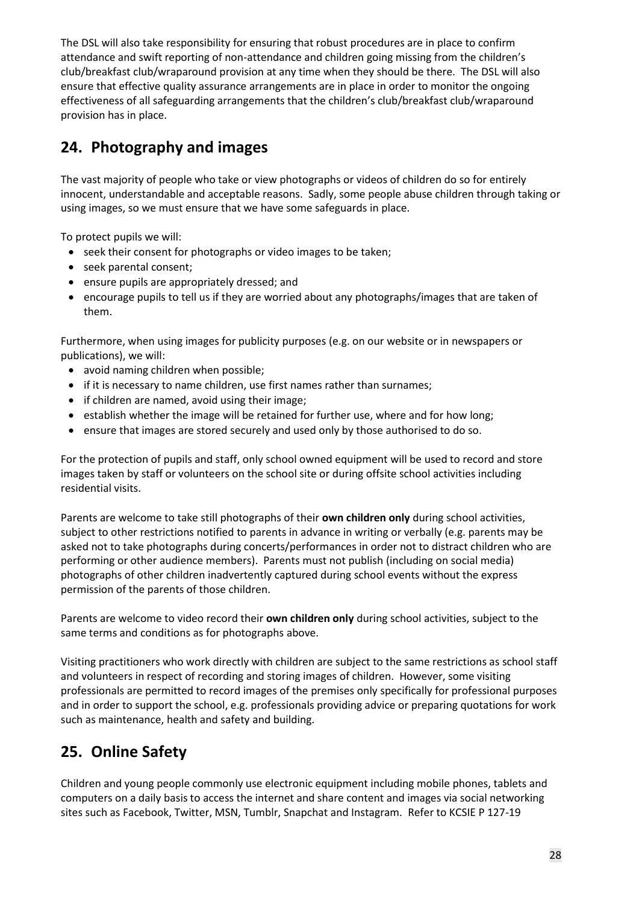The DSL will also take responsibility for ensuring that robust procedures are in place to confirm attendance and swift reporting of non-attendance and children going missing from the children's club/breakfast club/wraparound provision at any time when they should be there. The DSL will also ensure that effective quality assurance arrangements are in place in order to monitor the ongoing effectiveness of all safeguarding arrangements that the children's club/breakfast club/wraparound provision has in place.

### **24. Photography and images**

The vast majority of people who take or view photographs or videos of children do so for entirely innocent, understandable and acceptable reasons. Sadly, some people abuse children through taking or using images, so we must ensure that we have some safeguards in place.

To protect pupils we will:

- seek their consent for photographs or video images to be taken;
- seek parental consent;
- ensure pupils are appropriately dressed; and
- encourage pupils to tell us if they are worried about any photographs/images that are taken of them.

Furthermore, when using images for publicity purposes (e.g. on our website or in newspapers or publications), we will:

- avoid naming children when possible;
- if it is necessary to name children, use first names rather than surnames;
- if children are named, avoid using their image;
- establish whether the image will be retained for further use, where and for how long;
- ensure that images are stored securely and used only by those authorised to do so.

For the protection of pupils and staff, only school owned equipment will be used to record and store images taken by staff or volunteers on the school site or during offsite school activities including residential visits.

Parents are welcome to take still photographs of their **own children only** during school activities, subject to other restrictions notified to parents in advance in writing or verbally (e.g. parents may be asked not to take photographs during concerts/performances in order not to distract children who are performing or other audience members). Parents must not publish (including on social media) photographs of other children inadvertently captured during school events without the express permission of the parents of those children.

Parents are welcome to video record their **own children only** during school activities, subject to the same terms and conditions as for photographs above.

Visiting practitioners who work directly with children are subject to the same restrictions as school staff and volunteers in respect of recording and storing images of children. However, some visiting professionals are permitted to record images of the premises only specifically for professional purposes and in order to support the school, e.g. professionals providing advice or preparing quotations for work such as maintenance, health and safety and building.

## **25. Online Safety**

Children and young people commonly use electronic equipment including mobile phones, tablets and computers on a daily basis to access the internet and share content and images via social networking sites such as Facebook, Twitter, MSN, Tumblr, Snapchat and Instagram. Refer to KCSIE P 127-19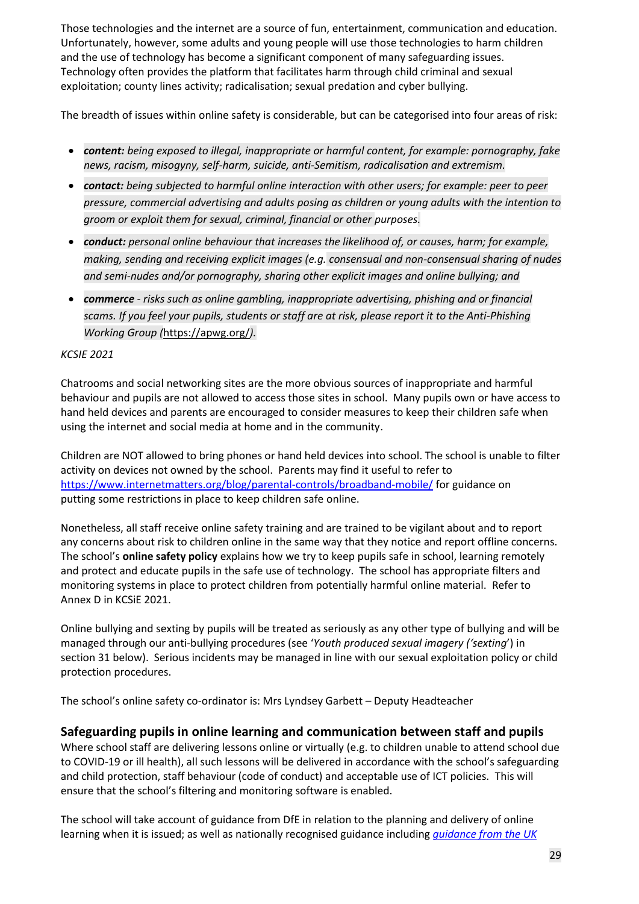Those technologies and the internet are a source of fun, entertainment, communication and education. Unfortunately, however, some adults and young people will use those technologies to harm children and the use of technology has become a significant component of many safeguarding issues. Technology often provides the platform that facilitates harm through child criminal and sexual exploitation; county lines activity; radicalisation; sexual predation and cyber bullying.

The breadth of issues within online safety is considerable, but can be categorised into four areas of risk:

- *content: being exposed to illegal, inappropriate or harmful content, for example: pornography, fake news, racism, misogyny, self-harm, suicide, anti-Semitism, radicalisation and extremism.*
- *contact: being subjected to harmful online interaction with other users; for example: peer to peer pressure, commercial advertising and adults posing as children or young adults with the intention to groom or exploit them for sexual, criminal, financial or other purposes.*
- *conduct: personal online behaviour that increases the likelihood of, or causes, harm; for example, making, sending and receiving explicit images (e.g. consensual and non-consensual sharing of nudes and semi-nudes and/or pornography, sharing other explicit images and online bullying; and*
- *commerce - risks such as online gambling, inappropriate advertising, phishing and or financial scams. If you feel your pupils, students or staff are at risk, please report it to the Anti-Phishing Working Group (*<https://apwg.org/>*).*

#### *KCSIE 2021*

Chatrooms and social networking sites are the more obvious sources of inappropriate and harmful behaviour and pupils are not allowed to access those sites in school. Many pupils own or have access to hand held devices and parents are encouraged to consider measures to keep their children safe when using the internet and social media at home and in the community.

Children are NOT allowed to bring phones or hand held devices into school. The school is unable to filter activity on devices not owned by the school. Parents may find it useful to refer to <https://www.internetmatters.org/blog/parental-controls/broadband-mobile/> for guidance on putting some restrictions in place to keep children safe online.

Nonetheless, all staff receive online safety training and are trained to be vigilant about and to report any concerns about risk to children online in the same way that they notice and report offline concerns. The school's **online safety policy** explains how we try to keep pupils safe in school, learning remotely and protect and educate pupils in the safe use of technology. The school has appropriate filters and monitoring systems in place to protect children from potentially harmful online material. Refer to Annex D in KCSiE 2021.

Online bullying and sexting by pupils will be treated as seriously as any other type of bullying and will be managed through our anti-bullying procedures (see '*Youth produced sexual imagery ('sexting*') in section 31 below). Serious incidents may be managed in line with our sexual exploitation policy or child protection procedures.

The school's online safety co-ordinator is: Mrs Lyndsey Garbett – Deputy Headteacher

#### **Safeguarding pupils in online learning and communication between staff and pupils**

Where school staff are delivering lessons online or virtually (e.g. to children unable to attend school due to COVID-19 or ill health), all such lessons will be delivered in accordance with the school's safeguarding and child protection, staff behaviour (code of conduct) and acceptable use of ICT policies. This will ensure that the school's filtering and monitoring software is enabled.

The school will take account of guidance from DfE in relation to the planning and delivery of online learning when it is issued; as well as nationally recognised guidance including *[guidance](https://swgfl.org.uk/resources/safe-remote-learning/) from the UK*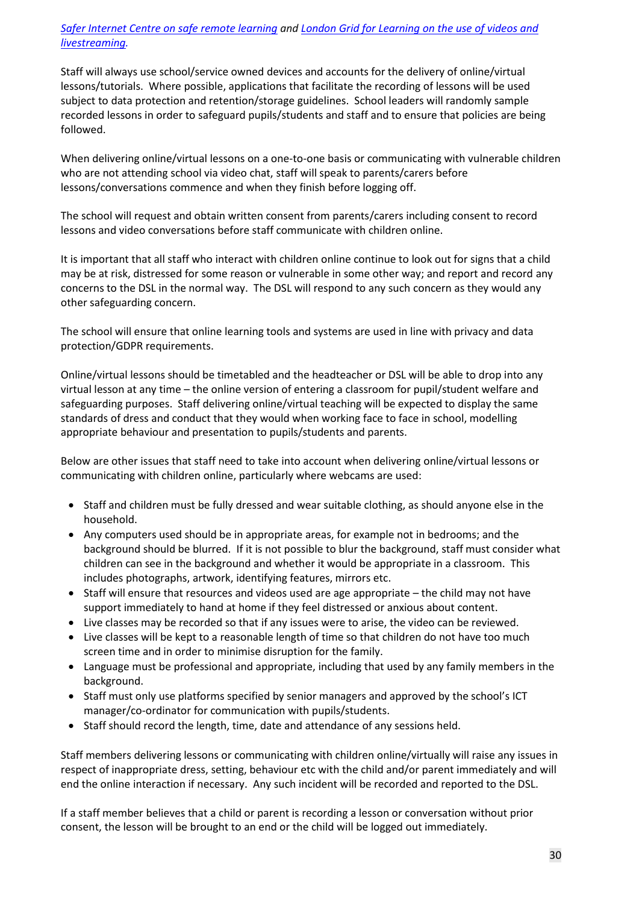#### Safer Internet Centre on safe remote [learning](https://swgfl.org.uk/resources/safe-remote-learning/) and London Grid for [Learning](https://static.lgfl.net/LgflNet/downloads/digisafe/Safe-Lessons-by-Video-and-Livestream.pdf) on the use of videos and *[livestreaming.](https://static.lgfl.net/LgflNet/downloads/digisafe/Safe-Lessons-by-Video-and-Livestream.pdf)*

Staff will always use school/service owned devices and accounts for the delivery of online/virtual lessons/tutorials. Where possible, applications that facilitate the recording of lessons will be used subject to data protection and retention/storage guidelines. School leaders will randomly sample recorded lessons in order to safeguard pupils/students and staff and to ensure that policies are being followed.

When delivering online/virtual lessons on a one-to-one basis or communicating with vulnerable children who are not attending school via video chat, staff will speak to parents/carers before lessons/conversations commence and when they finish before logging off.

The school will request and obtain written consent from parents/carers including consent to record lessons and video conversations before staff communicate with children online.

It is important that all staff who interact with children online continue to look out for signs that a child may be at risk, distressed for some reason or vulnerable in some other way; and report and record any concerns to the DSL in the normal way. The DSL will respond to any such concern as they would any other safeguarding concern.

The school will ensure that online learning tools and systems are used in line with privacy and data protection/GDPR requirements.

Online/virtual lessons should be timetabled and the headteacher or DSL will be able to drop into any virtual lesson at any time – the online version of entering a classroom for pupil/student welfare and safeguarding purposes. Staff delivering online/virtual teaching will be expected to display the same standards of dress and conduct that they would when working face to face in school, modelling appropriate behaviour and presentation to pupils/students and parents.

Below are other issues that staff need to take into account when delivering online/virtual lessons or communicating with children online, particularly where webcams are used:

- Staff and children must be fully dressed and wear suitable clothing, as should anyone else in the household.
- Any computers used should be in appropriate areas, for example not in bedrooms; and the background should be blurred. If it is not possible to blur the background, staff must consider what children can see in the background and whether it would be appropriate in a classroom. This includes photographs, artwork, identifying features, mirrors etc.
- Staff will ensure that resources and videos used are age appropriate the child may not have support immediately to hand at home if they feel distressed or anxious about content.
- Live classes may be recorded so that if any issues were to arise, the video can be reviewed.
- Live classes will be kept to a reasonable length of time so that children do not have too much screen time and in order to minimise disruption for the family.
- Language must be professional and appropriate, including that used by any family members in the background.
- Staff must only use platforms specified by senior managers and approved by the school's ICT manager/co-ordinator for communication with pupils/students.
- Staff should record the length, time, date and attendance of any sessions held.

Staff members delivering lessons or communicating with children online/virtually will raise any issues in respect of inappropriate dress, setting, behaviour etc with the child and/or parent immediately and will end the online interaction if necessary. Any such incident will be recorded and reported to the DSL.

If a staff member believes that a child or parent is recording a lesson or conversation without prior consent, the lesson will be brought to an end or the child will be logged out immediately.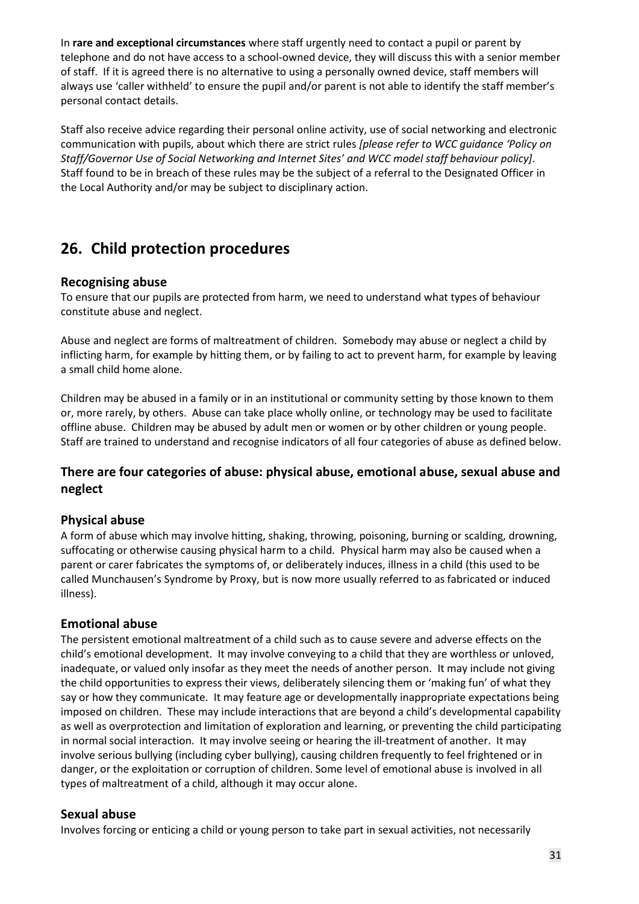In **rare and exceptional circumstances** where staff urgently need to contact a pupil or parent by telephone and do not have access to a school-owned device, they will discuss this with a senior member of staff. If it is agreed there is no alternative to using a personally owned device, staff members will always use 'caller withheld' to ensure the pupil and/or parent is not able to identify the staff member's personal contact details.

Staff also receive advice regarding their personal online activity, use of social networking and electronic communication with pupils, about which there are strict rules *[please refer to WCC guidance 'Policy on Staff/Governor Use of Social Networking and Internet Sites' and WCC model staff behaviour policy]*. Staff found to be in breach of these rules may be the subject of a referral to the Designated Officer in the Local Authority and/or may be subject to disciplinary action.

### **26. Child protection procedures**

#### **Recognising abuse**

To ensure that our pupils are protected from harm, we need to understand what types of behaviour constitute abuse and neglect.

Abuse and neglect are forms of maltreatment of children. Somebody may abuse or neglect a child by inflicting harm, for example by hitting them, or by failing to act to prevent harm, for example by leaving a small child home alone.

Children may be abused in a family or in an institutional or community setting by those known to them or, more rarely, by others. Abuse can take place wholly online, or technology may be used to facilitate offline abuse. Children may be abused by adult men or women or by other children or young people. Staff are trained to understand and recognise indicators of all four categories of abuse as defined below.

#### **There are four categories of abuse: physical abuse, emotional abuse, sexual abuse and neglect**

#### **Physical abuse**

A form of abuse which may involve hitting, shaking, throwing, poisoning, burning or scalding, drowning, suffocating or otherwise causing physical harm to a child. Physical harm may also be caused when a parent or carer fabricates the symptoms of, or deliberately induces, illness in a child (this used to be called Munchausen's Syndrome by Proxy, but is now more usually referred to as fabricated or induced illness).

#### **Emotional abuse**

The persistent emotional maltreatment of a child such as to cause severe and adverse effects on the child's emotional development. It may involve conveying to a child that they are worthless or unloved, inadequate, or valued only insofar as they meet the needs of another person. It may include not giving the child opportunities to express their views, deliberately silencing them or 'making fun' of what they say or how they communicate. It may feature age or developmentally inappropriate expectations being imposed on children. These may include interactions that are beyond a child's developmental capability as well as overprotection and limitation of exploration and learning, or preventing the child participating in normal social interaction. It may involve seeing or hearing the ill-treatment of another. It may involve serious bullying (including cyber bullying), causing children frequently to feel frightened or in danger, or the exploitation or corruption of children. Some level of emotional abuse is involved in all types of maltreatment of a child, although it may occur alone.

#### **Sexual abuse**

Involves forcing or enticing a child or young person to take part in sexual activities, not necessarily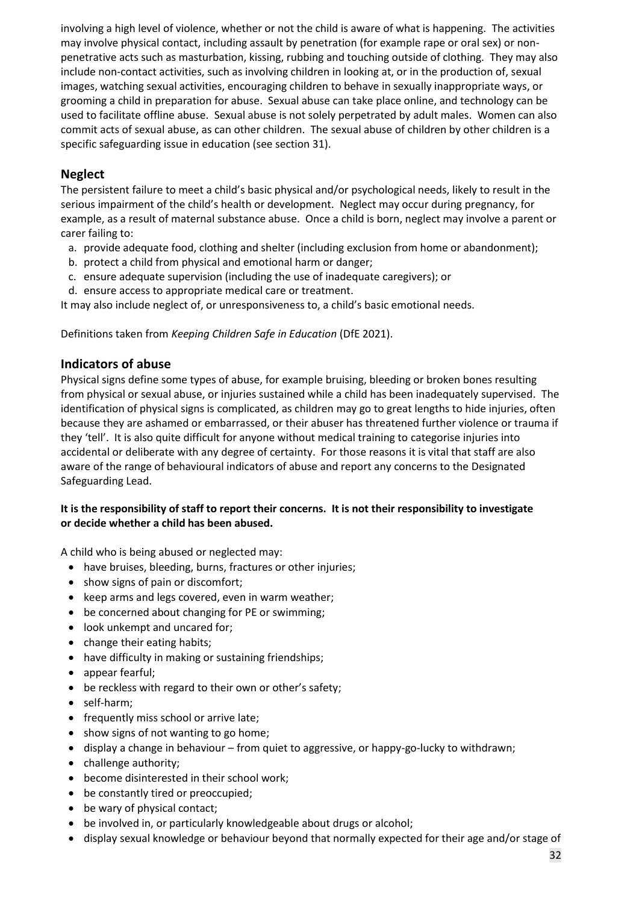involving a high level of violence, whether or not the child is aware of what is happening. The activities may involve physical contact, including assault by penetration (for example rape or oral sex) or nonpenetrative acts such as masturbation, kissing, rubbing and touching outside of clothing. They may also include non-contact activities, such as involving children in looking at, or in the production of, sexual images, watching sexual activities, encouraging children to behave in sexually inappropriate ways, or grooming a child in preparation for abuse. Sexual abuse can take place online, and technology can be used to facilitate offline abuse. Sexual abuse is not solely perpetrated by adult males. Women can also commit acts of sexual abuse, as can other children. The sexual abuse of children by other children is a specific safeguarding issue in education (see section 31).

#### **Neglect**

The persistent failure to meet a child's basic physical and/or psychological needs, likely to result in the serious impairment of the child's health or development. Neglect may occur during pregnancy, for example, as a result of maternal substance abuse. Once a child is born, neglect may involve a parent or carer failing to:

- a. provide adequate food, clothing and shelter (including exclusion from home or abandonment);
- b. protect a child from physical and emotional harm or danger;
- c. ensure adequate supervision (including the use of inadequate caregivers); or
- d. ensure access to appropriate medical care or treatment.

It may also include neglect of, or unresponsiveness to, a child's basic emotional needs.

Definitions taken from *Keeping Children Safe in Education* (DfE 2021).

#### **Indicators of abuse**

Physical signs define some types of abuse, for example bruising, bleeding or broken bones resulting from physical or sexual abuse, or injuries sustained while a child has been inadequately supervised. The identification of physical signs is complicated, as children may go to great lengths to hide injuries, often because they are ashamed or embarrassed, or their abuser has threatened further violence or trauma if they 'tell'. It is also quite difficult for anyone without medical training to categorise injuries into accidental or deliberate with any degree of certainty. For those reasons it is vital that staff are also aware of the range of behavioural indicators of abuse and report any concerns to the Designated Safeguarding Lead.

#### **It is the responsibility of staff to report their concerns. It is not their responsibility to investigate or decide whether a child has been abused.**

A child who is being abused or neglected may:

- have bruises, bleeding, burns, fractures or other injuries;
- show signs of pain or discomfort;
- keep arms and legs covered, even in warm weather;
- be concerned about changing for PE or swimming;
- look unkempt and uncared for;
- change their eating habits;
- have difficulty in making or sustaining friendships;
- appear fearful;
- be reckless with regard to their own or other's safety;
- self-harm;
- frequently miss school or arrive late;
- show signs of not wanting to go home;
- display a change in behaviour from quiet to aggressive, or happy-go-lucky to withdrawn;
- challenge authority;
- become disinterested in their school work;
- be constantly tired or preoccupied;
- be wary of physical contact;
- be involved in, or particularly knowledgeable about drugs or alcohol;
- display sexual knowledge or behaviour beyond that normally expected for their age and/or stage of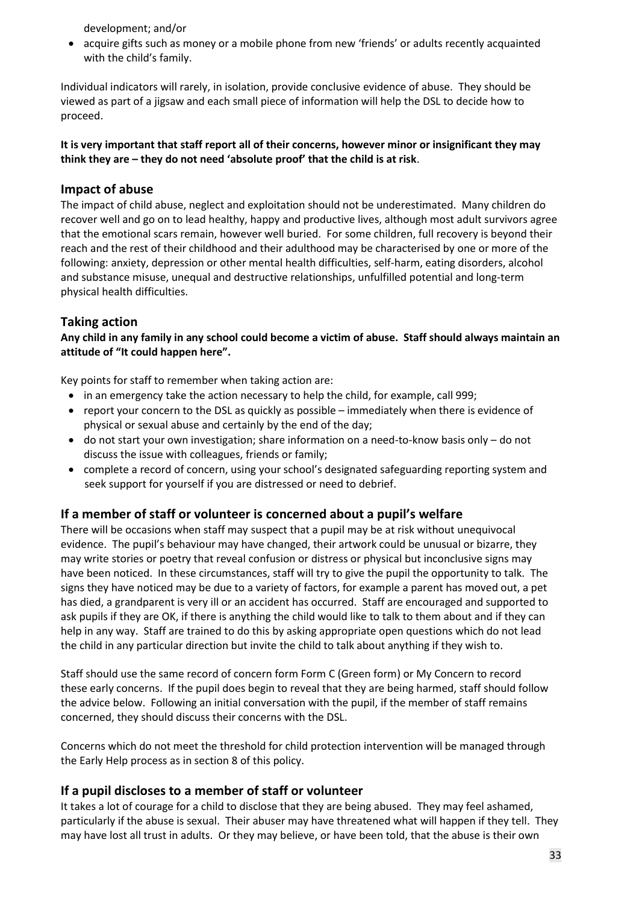development; and/or

• acquire gifts such as money or a mobile phone from new 'friends' or adults recently acquainted with the child's family.

Individual indicators will rarely, in isolation, provide conclusive evidence of abuse. They should be viewed as part of a jigsaw and each small piece of information will help the DSL to decide how to proceed.

#### **It is very important that staff report all of their concerns, however minor or insignificant they may think they are – they do not need 'absolute proof' that the child is at risk**.

#### **Impact of abuse**

The impact of child abuse, neglect and exploitation should not be underestimated. Many children do recover well and go on to lead healthy, happy and productive lives, although most adult survivors agree that the emotional scars remain, however well buried. For some children, full recovery is beyond their reach and the rest of their childhood and their adulthood may be characterised by one or more of the following: anxiety, depression or other mental health difficulties, self-harm, eating disorders, alcohol and substance misuse, unequal and destructive relationships, unfulfilled potential and long-term physical health difficulties.

#### **Taking action**

**Any child in any family in any school could become a victim of abuse. Staff should always maintain an attitude of "It could happen here".**

Key points for staff to remember when taking action are:

- in an emergency take the action necessary to help the child, for example, call 999;
- report your concern to the DSL as quickly as possible immediately when there is evidence of physical or sexual abuse and certainly by the end of the day;
- do not start your own investigation; share information on a need-to-know basis only do not discuss the issue with colleagues, friends or family;
- complete a record of concern, using your school's designated safeguarding reporting system and seek support for yourself if you are distressed or need to debrief.

#### **If a member of staff or volunteer is concerned about a pupil's welfare**

There will be occasions when staff may suspect that a pupil may be at risk without unequivocal evidence. The pupil's behaviour may have changed, their artwork could be unusual or bizarre, they may write stories or poetry that reveal confusion or distress or physical but inconclusive signs may have been noticed. In these circumstances, staff will try to give the pupil the opportunity to talk. The signs they have noticed may be due to a variety of factors, for example a parent has moved out, a pet has died, a grandparent is very ill or an accident has occurred. Staff are encouraged and supported to ask pupils if they are OK, if there is anything the child would like to talk to them about and if they can help in any way. Staff are trained to do this by asking appropriate open questions which do not lead the child in any particular direction but invite the child to talk about anything if they wish to.

Staff should use the same record of concern form Form C (Green form) or My Concern to record these early concerns. If the pupil does begin to reveal that they are being harmed, staff should follow the advice below. Following an initial conversation with the pupil, if the member of staff remains concerned, they should discuss their concerns with the DSL.

Concerns which do not meet the threshold for child protection intervention will be managed through the Early Help process as in section 8 of this policy.

#### **If a pupil discloses to a member of staff or volunteer**

It takes a lot of courage for a child to disclose that they are being abused. They may feel ashamed, particularly if the abuse is sexual. Their abuser may have threatened what will happen if they tell. They may have lost all trust in adults. Or they may believe, or have been told, that the abuse is their own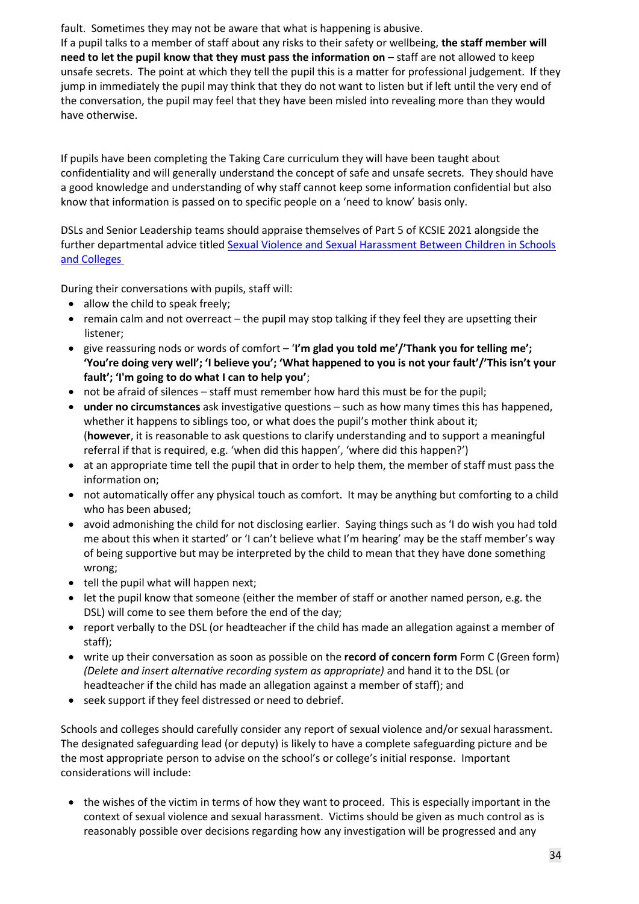fault. Sometimes they may not be aware that what is happening is abusive.

If a pupil talks to a member of staff about any risks to their safety or wellbeing, **the staff member will need to let the pupil know that they must pass the information on** – staff are not allowed to keep unsafe secrets. The point at which they tell the pupil this is a matter for professional judgement. If they jump in immediately the pupil may think that they do not want to listen but if left until the very end of the conversation, the pupil may feel that they have been misled into revealing more than they would have otherwise.

If pupils have been completing the Taking Care curriculum they will have been taught about confidentiality and will generally understand the concept of safe and unsafe secrets. They should have a good knowledge and understanding of why staff cannot keep some information confidential but also know that information is passed on to specific people on a 'need to know' basis only.

DSLs and Senior Leadership teams should appraise themselves of Part 5 of KCSIE 2021 alongside the further departmental advice titled [Sexual V](https://www.gov.uk/government/publications/sexual-violence-and-sexual-harassment-between-children-in-schools-and-colleges)iolence and Sexual Harassment Between Children in Schools and [Colleges](https://www.gov.uk/government/publications/sexual-violence-and-sexual-harassment-between-children-in-schools-and-colleges)

During their conversations with pupils, staff will:

- allow the child to speak freely;
- remain calm and not overreact the pupil may stop talking if they feel they are upsetting their listener;
- give reassuring nods or words of comfort '**I'm glad you told me'/'Thank you for telling me'; 'You're doing very well'; 'I believe you'; 'What happened to you is not your fault'/'This isn't your fault'; 'I'm going to do what I can to help you'**;
- not be afraid of silences staff must remember how hard this must be for the pupil;
- **under no circumstances** ask investigative questions such as how many times this has happened, whether it happens to siblings too, or what does the pupil's mother think about it; (**however**, it is reasonable to ask questions to clarify understanding and to support a meaningful referral if that is required, e.g. 'when did this happen', 'where did this happen?')
- at an appropriate time tell the pupil that in order to help them, the member of staff must pass the information on;
- not automatically offer any physical touch as comfort. It may be anything but comforting to a child who has been abused;
- avoid admonishing the child for not disclosing earlier. Saying things such as 'I do wish you had told me about this when it started' or 'I can't believe what I'm hearing' may be the staff member's way of being supportive but may be interpreted by the child to mean that they have done something wrong;
- tell the pupil what will happen next;
- let the pupil know that someone (either the member of staff or another named person, e.g. the DSL) will come to see them before the end of the day;
- report verbally to the DSL (or headteacher if the child has made an allegation against a member of staff);
- write up their conversation as soon as possible on the **record of concern form** Form C (Green form) *(Delete and insert alternative recording system as appropriate)* and hand it to the DSL (or headteacher if the child has made an allegation against a member of staff); and
- seek support if they feel distressed or need to debrief.

Schools and colleges should carefully consider any report of sexual violence and/or sexual harassment. The designated safeguarding lead (or deputy) is likely to have a complete safeguarding picture and be the most appropriate person to advise on the school's or college's initial response. Important considerations will include:

• the wishes of the victim in terms of how they want to proceed. This is especially important in the context of sexual violence and sexual harassment. Victims should be given as much control as is reasonably possible over decisions regarding how any investigation will be progressed and any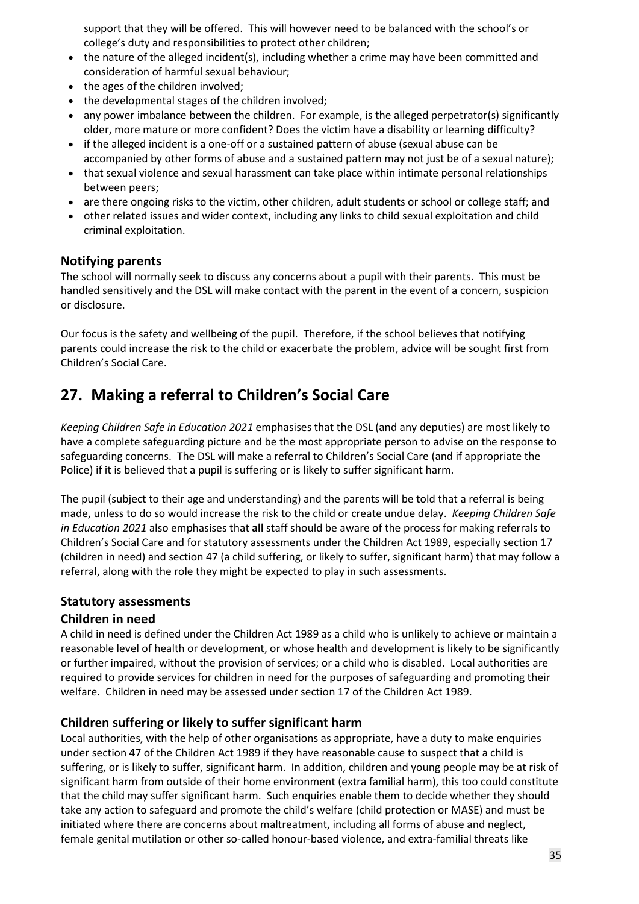support that they will be offered. This will however need to be balanced with the school's or college's duty and responsibilities to protect other children;

- the nature of the alleged incident(s), including whether a crime may have been committed and consideration of harmful sexual behaviour;
- the ages of the children involved;
- the developmental stages of the children involved;
- any power imbalance between the children. For example, is the alleged perpetrator(s) significantly older, more mature or more confident? Does the victim have a disability or learning difficulty?
- if the alleged incident is a one-off or a sustained pattern of abuse (sexual abuse can be accompanied by other forms of abuse and a sustained pattern may not just be of a sexual nature);
- that sexual violence and sexual harassment can take place within intimate personal relationships between peers;
- are there ongoing risks to the victim, other children, adult students or school or college staff; and
- other related issues and wider context, including any links to child sexual exploitation and child criminal exploitation.

#### **Notifying parents**

The school will normally seek to discuss any concerns about a pupil with their parents. This must be handled sensitively and the DSL will make contact with the parent in the event of a concern, suspicion or disclosure.

Our focus is the safety and wellbeing of the pupil. Therefore, if the school believes that notifying parents could increase the risk to the child or exacerbate the problem, advice will be sought first from Children's Social Care.

### **27. Making a referral to Children's Social Care**

*Keeping Children Safe in Education 2021* emphasises that the DSL (and any deputies) are most likely to have a complete safeguarding picture and be the most appropriate person to advise on the response to safeguarding concerns. The DSL will make a referral to Children's Social Care (and if appropriate the Police) if it is believed that a pupil is suffering or is likely to suffer significant harm.

The pupil (subject to their age and understanding) and the parents will be told that a referral is being made, unless to do so would increase the risk to the child or create undue delay. *Keeping Children Safe in Education 2021* also emphasises that **all** staff should be aware of the process for making referrals to Children's Social Care and for statutory assessments under the Children Act 1989, especially section 17 (children in need) and section 47 (a child suffering, or likely to suffer, significant harm) that may follow a referral, along with the role they might be expected to play in such assessments.

#### **Statutory assessments**

#### **Children in need**

A child in need is defined under the Children Act 1989 as a child who is unlikely to achieve or maintain a reasonable level of health or development, or whose health and development is likely to be significantly or further impaired, without the provision of services; or a child who is disabled. Local authorities are required to provide services for children in need for the purposes of safeguarding and promoting their welfare. Children in need may be assessed under section 17 of the Children Act 1989.

#### **Children suffering or likely to suffer significant harm**

Local authorities, with the help of other organisations as appropriate, have a duty to make enquiries under section 47 of the Children Act 1989 if they have reasonable cause to suspect that a child is suffering, or is likely to suffer, significant harm. In addition, children and young people may be at risk of significant harm from outside of their home environment (extra familial harm), this too could constitute that the child may suffer significant harm. Such enquiries enable them to decide whether they should take any action to safeguard and promote the child's welfare (child protection or MASE) and must be initiated where there are concerns about maltreatment, including all forms of abuse and neglect, female genital mutilation or other so-called honour-based violence, and extra-familial threats like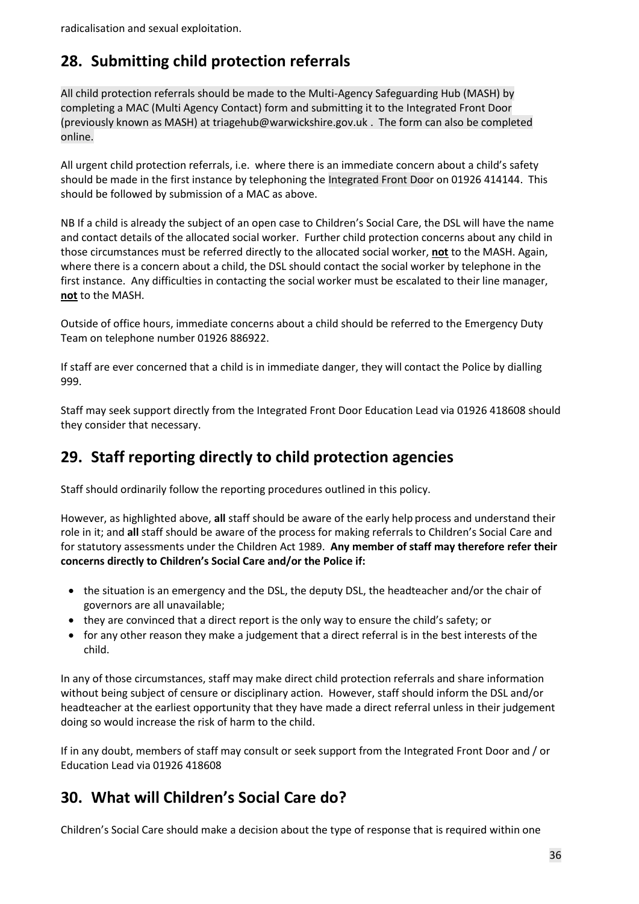## **28. Submitting child protection referrals**

All child protection referrals should be made to the Multi-Agency Safeguarding Hub (MASH) by completing a MAC (Multi Agency Contact) form and submitting it to the Integrated Front Door (previously known as MASH) at triagehub@warwickshire.gov.uk . The form can also be completed online.

All urgent child protection referrals, i.e. where there is an immediate concern about a child's safety should be made in the first instance by telephoning the Integrated Front Door on 01926 414144. This should be followed by submission of a MAC as above.

NB If a child is already the subject of an open case to Children's Social Care, the DSL will have the name and contact details of the allocated social worker. Further child protection concerns about any child in those circumstances must be referred directly to the allocated social worker, **not** to the MASH. Again, where there is a concern about a child, the DSL should contact the social worker by telephone in the first instance. Any difficulties in contacting the social worker must be escalated to their line manager, **not** to the MASH.

Outside of office hours, immediate concerns about a child should be referred to the Emergency Duty Team on telephone number 01926 886922.

If staff are ever concerned that a child is in immediate danger, they will contact the Police by dialling 999.

Staff may seek support directly from the Integrated Front Door Education Lead via 01926 418608 should they consider that necessary.

## **29. Staff reporting directly to child protection agencies**

Staff should ordinarily follow the reporting procedures outlined in this policy.

However, as highlighted above, **all** staff should be aware of the early help process and understand their role in it; and **all** staff should be aware of the process for making referrals to Children's Social Care and for statutory assessments under the Children Act 1989. **Any member of staff may therefore refer their concerns directly to Children's Social Care and/or the Police if:** 

- the situation is an emergency and the DSL, the deputy DSL, the headteacher and/or the chair of governors are all unavailable;
- they are convinced that a direct report is the only way to ensure the child's safety; or
- for any other reason they make a judgement that a direct referral is in the best interests of the child.

In any of those circumstances, staff may make direct child protection referrals and share information without being subject of censure or disciplinary action. However, staff should inform the DSL and/or headteacher at the earliest opportunity that they have made a direct referral unless in their judgement doing so would increase the risk of harm to the child.

If in any doubt, members of staff may consult or seek support from the Integrated Front Door and / or Education Lead via 01926 418608

### **30. What will Children's Social Care do?**

Children's Social Care should make a decision about the type of response that is required within one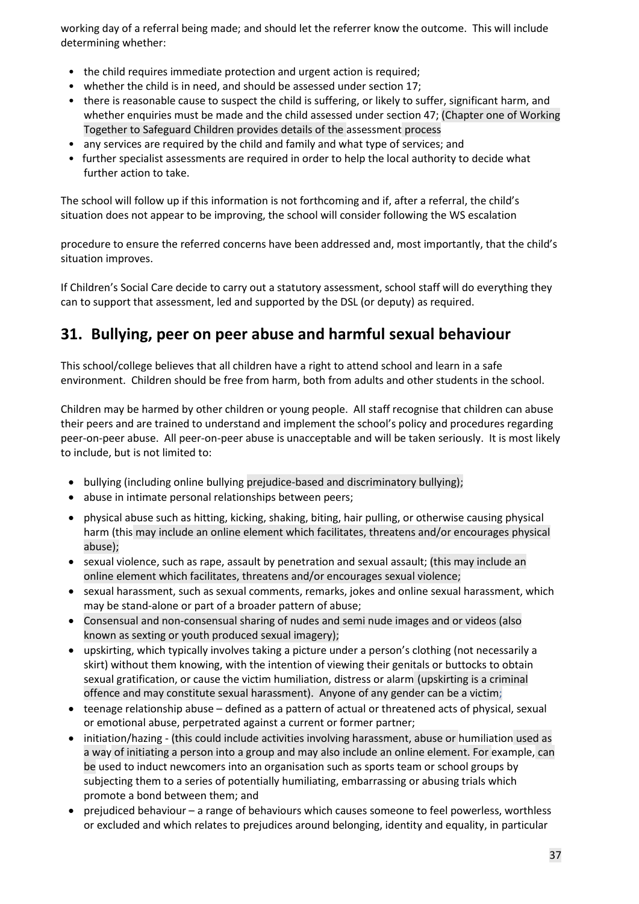working day of a referral being made; and should let the referrer know the outcome. This will include determining whether:

- the child requires immediate protection and urgent action is required;
- whether the child is in need, and should be assessed under section 17;
- there is reasonable cause to suspect the child is suffering, or likely to suffer, significant harm, and whether enquiries must be made and the child assessed under section 47; (Chapter one of Working Together to Safeguard Children provides details of the assessment process
- any services are required by the child and family and what type of services; and
- further specialist assessments are required in order to help the local authority to decide what further action to take.

The school will follow up if this information is not forthcoming and if, after a referral, the child's situation does not appear to be improving, the school will consider following the WS escalation

procedure to ensure the referred concerns have been addressed and, most importantly, that the child's situation improves.

If Children's Social Care decide to carry out a statutory assessment, school staff will do everything they can to support that assessment, led and supported by the DSL (or deputy) as required.

### **31. Bullying, peer on peer abuse and harmful sexual behaviour**

This school/college believes that all children have a right to attend school and learn in a safe environment. Children should be free from harm, both from adults and other students in the school.

Children may be harmed by other children or young people. All staff recognise that children can abuse their peers and are trained to understand and implement the school's policy and procedures regarding peer-on-peer abuse. All peer-on-peer abuse is unacceptable and will be taken seriously. It is most likely to include, but is not limited to:

- bullying (including online bullying prejudice-based and discriminatory bullying);
- abuse in intimate personal relationships between peers;
- physical abuse such as hitting, kicking, shaking, biting, hair pulling, or otherwise causing physical harm (this may include an online element which facilitates, threatens and/or encourages physical abuse);
- sexual violence, such as rape, assault by penetration and sexual assault; (this may include an online element which facilitates, threatens and/or encourages sexual violence;
- sexual harassment, such as sexual comments, remarks, jokes and online sexual harassment, which may be stand-alone or part of a broader pattern of abuse;
- Consensual and non-consensual sharing of nudes and semi nude images and or videos (also known as sexting or youth produced sexual imagery);
- upskirting, which typically involves taking a picture under a person's clothing (not necessarily a skirt) without them knowing, with the intention of viewing their genitals or buttocks to obtain sexual gratification, or cause the victim humiliation, distress or alarm (upskirting is a criminal offence and may constitute sexual harassment). Anyone of any gender can be a victim;
- teenage relationship abuse defined as a pattern of actual or threatened acts of physical, sexual or emotional abuse, perpetrated against a current or former partner;
- initiation/hazing (this could include activities involving harassment, abuse or humiliation used as a way of initiating a person into a group and may also include an online element. For example, can be used to induct newcomers into an organisation such as sports team or school groups by subjecting them to a series of potentially humiliating, embarrassing or abusing trials which promote a bond between them; and
- prejudiced behaviour a range of behaviours which causes someone to feel powerless, worthless or excluded and which relates to prejudices around belonging, identity and equality, in particular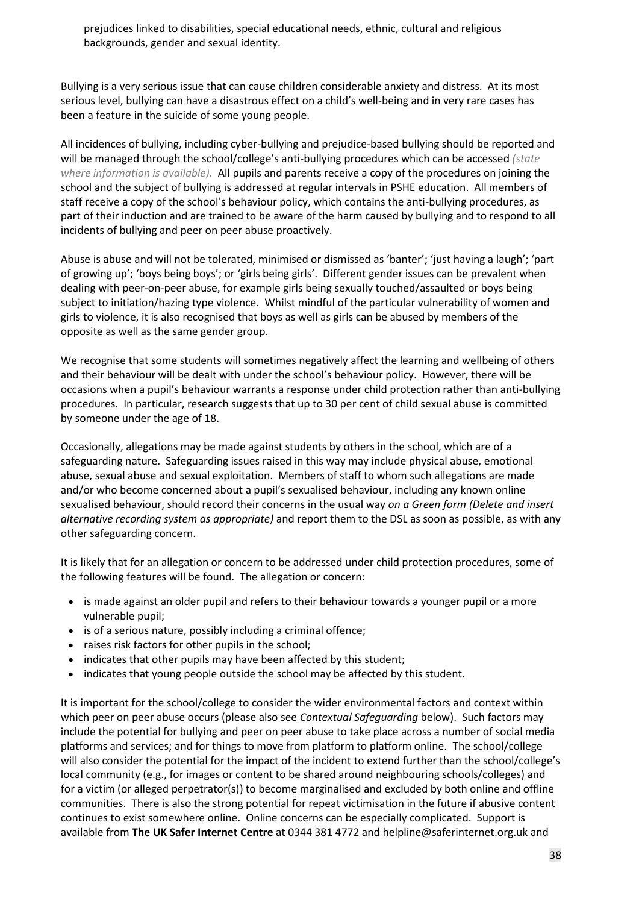prejudices linked to disabilities, special educational needs, ethnic, cultural and religious backgrounds, gender and sexual identity.

Bullying is a very serious issue that can cause children considerable anxiety and distress. At its most serious level, bullying can have a disastrous effect on a child's well-being and in very rare cases has been a feature in the suicide of some young people.

All incidences of bullying, including cyber-bullying and prejudice-based bullying should be reported and will be managed through the school/college's anti-bullying procedures which can be accessed *(state where information is available).* All pupils and parents receive a copy of the procedures on joining the school and the subject of bullying is addressed at regular intervals in PSHE education. All members of staff receive a copy of the school's behaviour policy, which contains the anti-bullying procedures, as part of their induction and are trained to be aware of the harm caused by bullying and to respond to all incidents of bullying and peer on peer abuse proactively.

Abuse is abuse and will not be tolerated, minimised or dismissed as 'banter'; 'just having a laugh'; 'part of growing up'; 'boys being boys'; or 'girls being girls'. Different gender issues can be prevalent when dealing with peer-on-peer abuse, for example girls being sexually touched/assaulted or boys being subject to initiation/hazing type violence. Whilst mindful of the particular vulnerability of women and girls to violence, it is also recognised that boys as well as girls can be abused by members of the opposite as well as the same gender group.

We recognise that some students will sometimes negatively affect the learning and wellbeing of others and their behaviour will be dealt with under the school's behaviour policy. However, there will be occasions when a pupil's behaviour warrants a response under child protection rather than anti-bullying procedures. In particular, research suggests that up to 30 per cent of child sexual abuse is committed by someone under the age of 18.

Occasionally, allegations may be made against students by others in the school, which are of a safeguarding nature. Safeguarding issues raised in this way may include physical abuse, emotional abuse, sexual abuse and sexual exploitation. Members of staff to whom such allegations are made and/or who become concerned about a pupil's sexualised behaviour, including any known online sexualised behaviour, should record their concerns in the usual way *on a Green form (Delete and insert alternative recording system as appropriate)* and report them to the DSL as soon as possible, as with any other safeguarding concern.

It is likely that for an allegation or concern to be addressed under child protection procedures, some of the following features will be found. The allegation or concern:

- is made against an older pupil and refers to their behaviour towards a younger pupil or a more vulnerable pupil;
- is of a serious nature, possibly including a criminal offence;
- raises risk factors for other pupils in the school;
- indicates that other pupils may have been affected by this student;
- indicates that young people outside the school may be affected by this student.

It is important for the school/college to consider the wider environmental factors and context within which peer on peer abuse occurs (please also see *Contextual Safeguarding* below). Such factors may include the potential for bullying and peer on peer abuse to take place across a number of social media platforms and services; and for things to move from platform to platform online. The school/college will also consider the potential for the impact of the incident to extend further than the school/college's local community (e.g., for images or content to be shared around neighbouring schools/colleges) and for a victim (or alleged perpetrator(s)) to become marginalised and excluded by both online and offline communities. There is also the strong potential for repeat victimisation in the future if abusive content continues to exist somewhere online. Online concerns can be especially complicated. Support is available from **The UK Safer Internet Centre** at 0344 381 4772 an[d helpline@saferinternet.org.uk](mailto:helpline@saferinternet.org.uk) and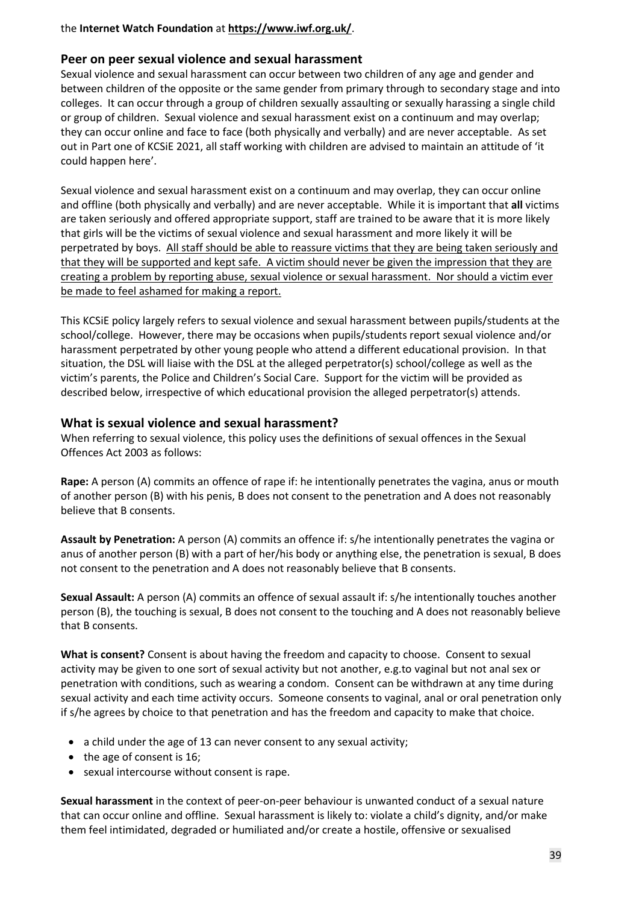#### the **Internet Watch Foundation** at **<https://www.iwf.org.uk/>**.

#### **Peer on peer sexual violence and sexual harassment**

Sexual violence and sexual harassment can occur between two children of any age and gender and between children of the opposite or the same gender from primary through to secondary stage and into colleges. It can occur through a group of children sexually assaulting or sexually harassing a single child or group of children. Sexual violence and sexual harassment exist on a continuum and may overlap; they can occur online and face to face (both physically and verbally) and are never acceptable. As set out in Part one of KCSiE 2021, all staff working with children are advised to maintain an attitude of 'it could happen here'.

Sexual violence and sexual harassment exist on a continuum and may overlap, they can occur online and offline (both physically and verbally) and are never acceptable. While it is important that **all** victims are taken seriously and offered appropriate support, staff are trained to be aware that it is more likely that girls will be the victims of sexual violence and sexual harassment and more likely it will be perpetrated by boys. All staff should be able to reassure victims that they are being taken seriously and that they will be supported and kept safe. A victim should never be given the impression that they are creating a problem by reporting abuse, sexual violence or sexual harassment. Nor should a victim ever be made to feel ashamed for making a report.

This KCSiE policy largely refers to sexual violence and sexual harassment between pupils/students at the school/college. However, there may be occasions when pupils/students report sexual violence and/or harassment perpetrated by other young people who attend a different educational provision. In that situation, the DSL will liaise with the DSL at the alleged perpetrator(s) school/college as well as the victim's parents, the Police and Children's Social Care. Support for the victim will be provided as described below, irrespective of which educational provision the alleged perpetrator(s) attends.

#### **What is sexual violence and sexual harassment?**

When referring to sexual violence, this policy uses the definitions of sexual offences in the Sexual Offences Act 2003 as follows:

**Rape:** A person (A) commits an offence of rape if: he intentionally penetrates the vagina, anus or mouth of another person (B) with his penis, B does not consent to the penetration and A does not reasonably believe that B consents.

**Assault by Penetration:** A person (A) commits an offence if: s/he intentionally penetrates the vagina or anus of another person (B) with a part of her/his body or anything else, the penetration is sexual, B does not consent to the penetration and A does not reasonably believe that B consents.

**Sexual Assault:** A person (A) commits an offence of sexual assault if: s/he intentionally touches another person (B), the touching is sexual, B does not consent to the touching and A does not reasonably believe that B consents.

**What is consent?** Consent is about having the freedom and capacity to choose. Consent to sexual activity may be given to one sort of sexual activity but not another, e.g.to vaginal but not anal sex or penetration with conditions, such as wearing a condom. Consent can be withdrawn at any time during sexual activity and each time activity occurs. Someone consents to vaginal, anal or oral penetration only if s/he agrees by choice to that penetration and has the freedom and capacity to make that choice.

- a child under the age of 13 can never consent to any sexual activity;
- the age of consent is 16;
- sexual intercourse without consent is rape.

**Sexual harassment** in the context of peer-on-peer behaviour is unwanted conduct of a sexual nature that can occur online and offline. Sexual harassment is likely to: violate a child's dignity, and/or make them feel intimidated, degraded or humiliated and/or create a hostile, offensive or sexualised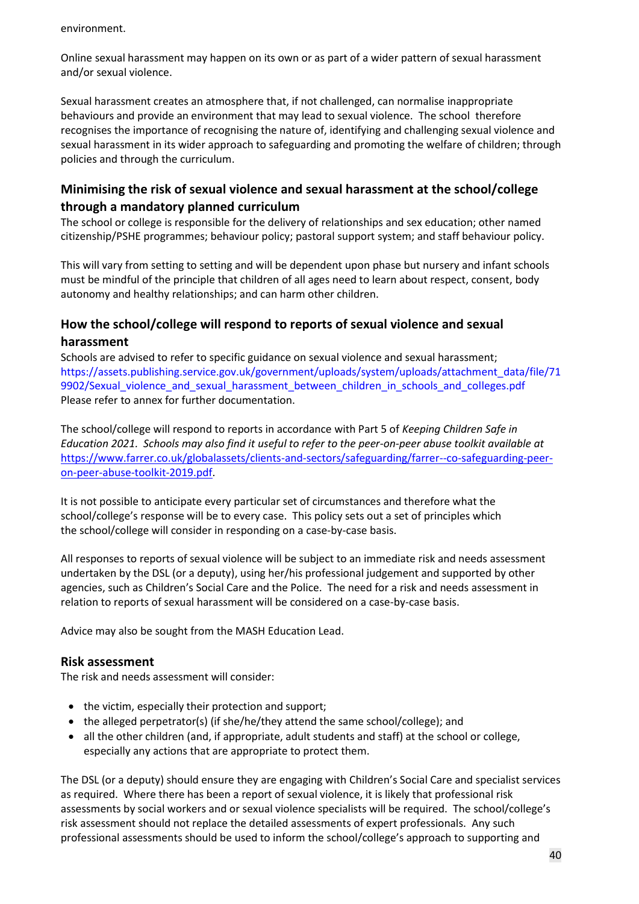environment.

Online sexual harassment may happen on its own or as part of a wider pattern of sexual harassment and/or sexual violence.

Sexual harassment creates an atmosphere that, if not challenged, can normalise inappropriate behaviours and provide an environment that may lead to sexual violence. The school therefore recognises the importance of recognising the nature of, identifying and challenging sexual violence and sexual harassment in its wider approach to safeguarding and promoting the welfare of children; through policies and through the curriculum.

#### **Minimising the risk of sexual violence and sexual harassment at the school/college through a mandatory planned curriculum**

The school or college is responsible for the delivery of relationships and sex education; other named citizenship/PSHE programmes; behaviour policy; pastoral support system; and staff behaviour policy.

This will vary from setting to setting and will be dependent upon phase but nursery and infant schools must be mindful of the principle that children of all ages need to learn about respect, consent, body autonomy and healthy relationships; and can harm other children.

#### **How the school/college will respond to reports of sexual violence and sexual harassment**

Schools are advised to refer to specific guidance on sexual violence and sexual harassment; https://assets.publishing.service.gov.uk/government/uploads/system/uploads/attachment\_data/file/71 9902/Sexual\_violence\_and\_sexual\_harassment\_between\_children\_in\_schools\_and\_colleges.pdf Please refer to annex for further documentation.

The school/college will respond to reports in accordance with Part 5 of *Keeping Children Safe in Education 2021. Schools may also find it useful to refer to the peer-on-peer abuse toolkit available at* [https://www.farrer.co.uk/globalassets/clients-and-sectors/safeguarding/farrer--co-safeguarding-peer](https://www.farrer.co.uk/globalassets/clients-and-sectors/safeguarding/farrer--co-safeguarding-peer-on-peer-abuse-toolkit-2019.pdf)[on-peer-abuse-toolkit-2019.pdf.](https://www.farrer.co.uk/globalassets/clients-and-sectors/safeguarding/farrer--co-safeguarding-peer-on-peer-abuse-toolkit-2019.pdf)

It is not possible to anticipate every particular set of circumstances and therefore what the school/college's response will be to every case. This policy sets out a set of principles which the school/college will consider in responding on a case-by-case basis.

All responses to reports of sexual violence will be subject to an immediate risk and needs assessment undertaken by the DSL (or a deputy), using her/his professional judgement and supported by other agencies, such as Children's Social Care and the Police. The need for a risk and needs assessment in relation to reports of sexual harassment will be considered on a case-by-case basis.

Advice may also be sought from the MASH Education Lead.

#### **Risk assessment**

The risk and needs assessment will consider:

- the victim, especially their protection and support;
- the alleged perpetrator(s) (if she/he/they attend the same school/college); and
- all the other children (and, if appropriate, adult students and staff) at the school or college, especially any actions that are appropriate to protect them.

The DSL (or a deputy) should ensure they are engaging with Children's Social Care and specialist services as required. Where there has been a report of sexual violence, it is likely that professional risk assessments by social workers and or sexual violence specialists will be required. The school/college's risk assessment should not replace the detailed assessments of expert professionals. Any such professional assessments should be used to inform the school/college's approach to supporting and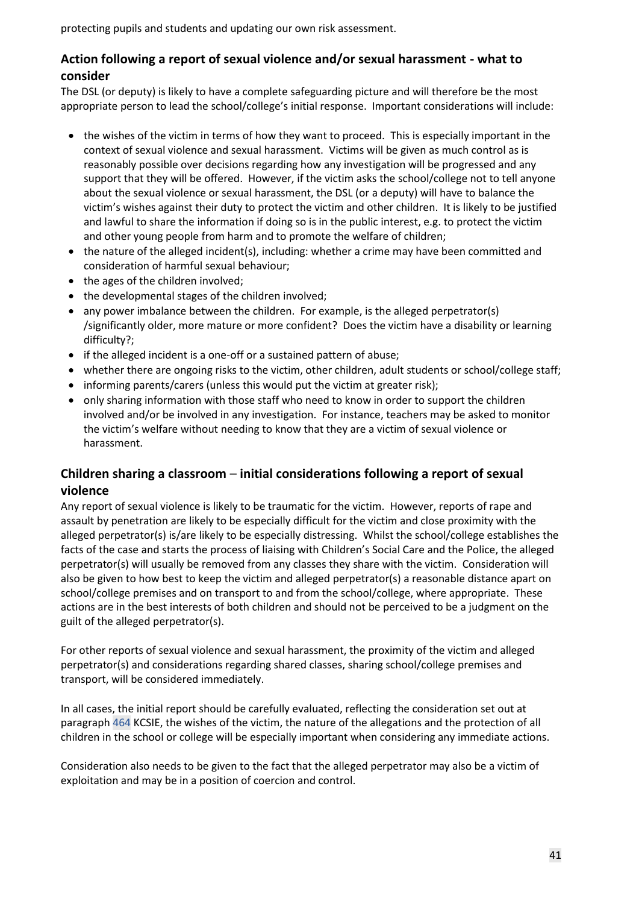protecting pupils and students and updating our own risk assessment.

#### **Action following a report of sexual violence and/or sexual harassment - what to consider**

The DSL (or deputy) is likely to have a complete safeguarding picture and will therefore be the most appropriate person to lead the school/college's initial response. Important considerations will include:

- the wishes of the victim in terms of how they want to proceed. This is especially important in the context of sexual violence and sexual harassment. Victims will be given as much control as is reasonably possible over decisions regarding how any investigation will be progressed and any support that they will be offered. However, if the victim asks the school/college not to tell anyone about the sexual violence or sexual harassment, the DSL (or a deputy) will have to balance the victim's wishes against their duty to protect the victim and other children. It is likely to be justified and lawful to share the information if doing so is in the public interest, e.g. to protect the victim and other young people from harm and to promote the welfare of children;
- the nature of the alleged incident(s), including: whether a crime may have been committed and consideration of harmful sexual behaviour;
- the ages of the children involved;
- the developmental stages of the children involved;
- any power imbalance between the children. For example, is the alleged perpetrator(s) /significantly older, more mature or more confident? Does the victim have a disability or learning difficulty?;
- if the alleged incident is a one-off or a sustained pattern of abuse;
- whether there are ongoing risks to the victim, other children, adult students or school/college staff;
- informing parents/carers (unless this would put the victim at greater risk);
- only sharing information with those staff who need to know in order to support the children involved and/or be involved in any investigation. For instance, teachers may be asked to monitor the victim's welfare without needing to know that they are a victim of sexual violence or harassment.

#### **Children sharing a classroom** – **initial considerations following a report of sexual violence**

Any report of sexual violence is likely to be traumatic for the victim. However, reports of rape and assault by penetration are likely to be especially difficult for the victim and close proximity with the alleged perpetrator(s) is/are likely to be especially distressing. Whilst the school/college establishes the facts of the case and starts the process of liaising with Children's Social Care and the Police, the alleged perpetrator(s) will usually be removed from any classes they share with the victim. Consideration will also be given to how best to keep the victim and alleged perpetrator(s) a reasonable distance apart on school/college premises and on transport to and from the school/college, where appropriate. These actions are in the best interests of both children and should not be perceived to be a judgment on the guilt of the alleged perpetrator(s).

For other reports of sexual violence and sexual harassment, the proximity of the victim and alleged perpetrator(s) and considerations regarding shared classes, sharing school/college premises and transport, will be considered immediately.

In all cases, the initial report should be carefully evaluated, reflecting the consideration set out at paragraph 464 KCSIE, the wishes of the victim, the nature of the allegations and the protection of all children in the school or college will be especially important when considering any immediate actions.

Consideration also needs to be given to the fact that the alleged perpetrator may also be a victim of exploitation and may be in a position of coercion and control.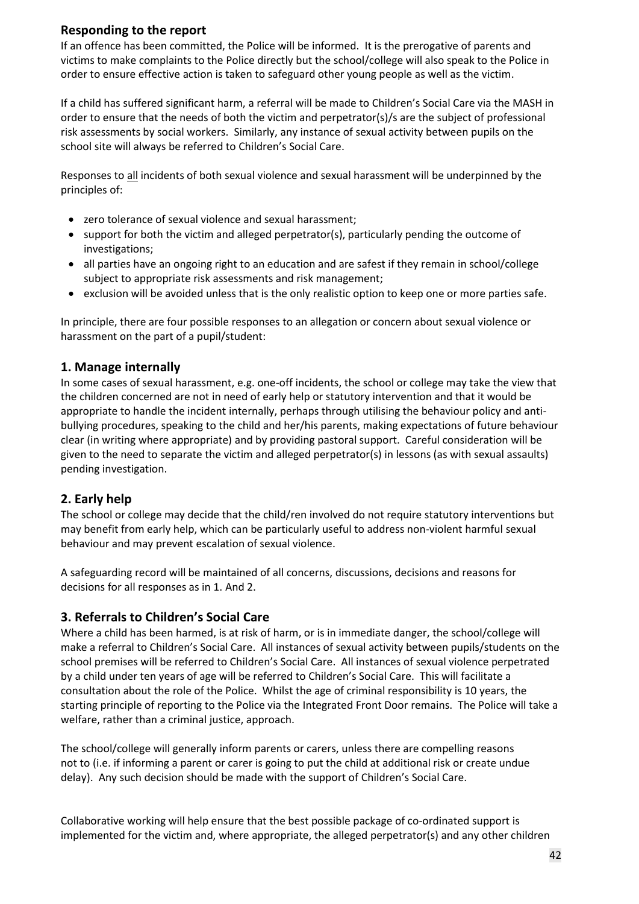#### **Responding to the report**

If an offence has been committed, the Police will be informed. It is the prerogative of parents and victims to make complaints to the Police directly but the school/college will also speak to the Police in order to ensure effective action is taken to safeguard other young people as well as the victim.

If a child has suffered significant harm, a referral will be made to Children's Social Care via the MASH in order to ensure that the needs of both the victim and perpetrator(s)/s are the subject of professional risk assessments by social workers. Similarly, any instance of sexual activity between pupils on the school site will always be referred to Children's Social Care.

Responses to all incidents of both sexual violence and sexual harassment will be underpinned by the principles of:

- zero tolerance of sexual violence and sexual harassment;
- support for both the victim and alleged perpetrator(s), particularly pending the outcome of investigations;
- all parties have an ongoing right to an education and are safest if they remain in school/college subject to appropriate risk assessments and risk management;
- exclusion will be avoided unless that is the only realistic option to keep one or more parties safe.

In principle, there are four possible responses to an allegation or concern about sexual violence or harassment on the part of a pupil/student:

#### **1. Manage internally**

In some cases of sexual harassment, e.g. one-off incidents, the school or college may take the view that the children concerned are not in need of early help or statutory intervention and that it would be appropriate to handle the incident internally, perhaps through utilising the behaviour policy and antibullying procedures, speaking to the child and her/his parents, making expectations of future behaviour clear (in writing where appropriate) and by providing pastoral support. Careful consideration will be given to the need to separate the victim and alleged perpetrator(s) in lessons (as with sexual assaults) pending investigation.

#### **2. Early help**

The school or college may decide that the child/ren involved do not require statutory interventions but may benefit from early help, which can be particularly useful to address non-violent harmful sexual behaviour and may prevent escalation of sexual violence.

A safeguarding record will be maintained of all concerns, discussions, decisions and reasons for decisions for all responses as in 1. And 2.

#### **3. Referrals to Children's Social Care**

Where a child has been harmed, is at risk of harm, or is in immediate danger, the school/college will make a referral to Children's Social Care. All instances of sexual activity between pupils/students on the school premises will be referred to Children's Social Care. All instances of sexual violence perpetrated by a child under ten years of age will be referred to Children's Social Care. This will facilitate a consultation about the role of the Police. Whilst the age of criminal responsibility is 10 years, the starting principle of reporting to the Police via the Integrated Front Door remains. The Police will take a welfare, rather than a criminal justice, approach.

The school/college will generally inform parents or carers, unless there are compelling reasons not to (i.e. if informing a parent or carer is going to put the child at additional risk or create undue delay). Any such decision should be made with the support of Children's Social Care.

Collaborative working will help ensure that the best possible package of co-ordinated support is implemented for the victim and, where appropriate, the alleged perpetrator(s) and any other children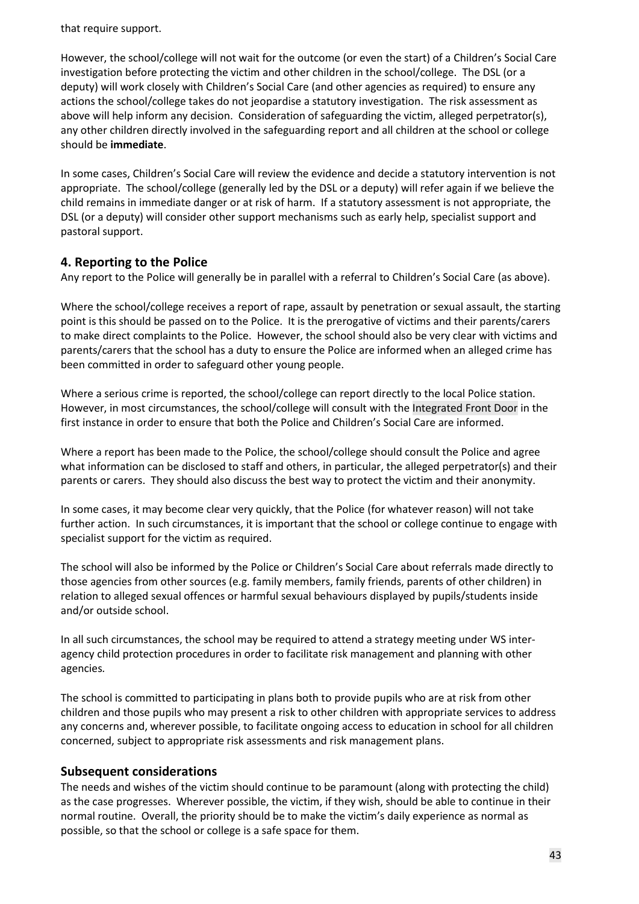that require support.

However, the school/college will not wait for the outcome (or even the start) of a Children's Social Care investigation before protecting the victim and other children in the school/college. The DSL (or a deputy) will work closely with Children's Social Care (and other agencies as required) to ensure any actions the school/college takes do not jeopardise a statutory investigation. The risk assessment as above will help inform any decision. Consideration of safeguarding the victim, alleged perpetrator(s), any other children directly involved in the safeguarding report and all children at the school or college should be **immediate**.

In some cases, Children's Social Care will review the evidence and decide a statutory intervention is not appropriate. The school/college (generally led by the DSL or a deputy) will refer again if we believe the child remains in immediate danger or at risk of harm. If a statutory assessment is not appropriate, the DSL (or a deputy) will consider other support mechanisms such as early help, specialist support and pastoral support.

#### **4. Reporting to the Police**

Any report to the Police will generally be in parallel with a referral to Children's Social Care (as above).

Where the school/college receives a report of rape, assault by penetration or sexual assault, the starting point is this should be passed on to the Police. It is the prerogative of victims and their parents/carers to make direct complaints to the Police. However, the school should also be very clear with victims and parents/carers that the school has a duty to ensure the Police are informed when an alleged crime has been committed in order to safeguard other young people.

Where a serious crime is reported, the school/college can report directly to the local Police station. However, in most circumstances, the school/college will consult with the Integrated Front Door in the first instance in order to ensure that both the Police and Children's Social Care are informed.

Where a report has been made to the Police, the school/college should consult the Police and agree what information can be disclosed to staff and others, in particular, the alleged perpetrator(s) and their parents or carers. They should also discuss the best way to protect the victim and their anonymity.

In some cases, it may become clear very quickly, that the Police (for whatever reason) will not take further action. In such circumstances, it is important that the school or college continue to engage with specialist support for the victim as required.

The school will also be informed by the Police or Children's Social Care about referrals made directly to those agencies from other sources (e.g. family members, family friends, parents of other children) in relation to alleged sexual offences or harmful sexual behaviours displayed by pupils/students inside and/or outside school.

In all such circumstances, the school may be required to attend a strategy meeting under WS interagency child protection procedures in order to facilitate risk management and planning with other agencies*.* 

The school is committed to participating in plans both to provide pupils who are at risk from other children and those pupils who may present a risk to other children with appropriate services to address any concerns and, wherever possible, to facilitate ongoing access to education in school for all children concerned, subject to appropriate risk assessments and risk management plans.

#### **Subsequent considerations**

The needs and wishes of the victim should continue to be paramount (along with protecting the child) as the case progresses. Wherever possible, the victim, if they wish, should be able to continue in their normal routine. Overall, the priority should be to make the victim's daily experience as normal as possible, so that the school or college is a safe space for them.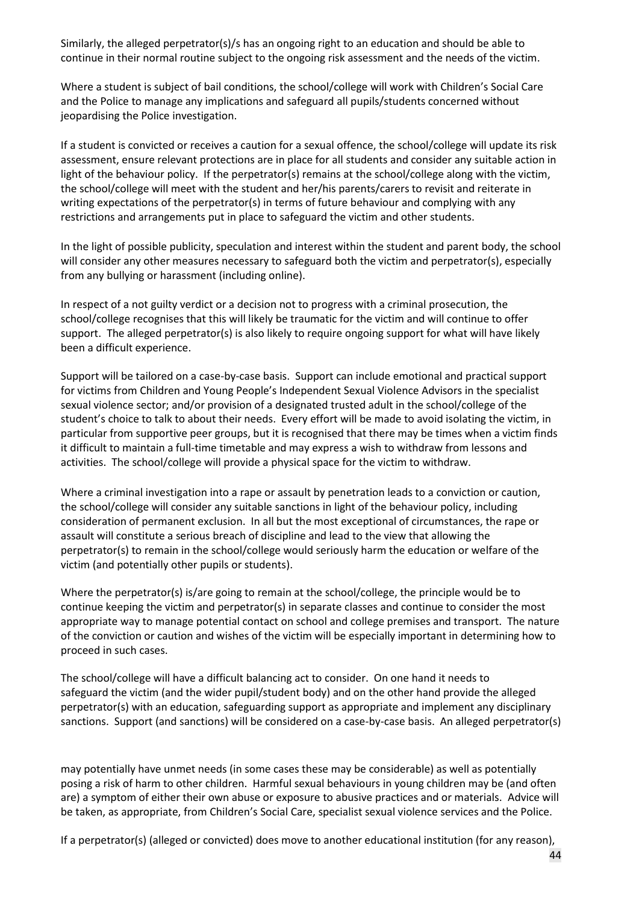Similarly, the alleged perpetrator(s)/s has an ongoing right to an education and should be able to continue in their normal routine subject to the ongoing risk assessment and the needs of the victim.

Where a student is subject of bail conditions, the school/college will work with Children's Social Care and the Police to manage any implications and safeguard all pupils/students concerned without jeopardising the Police investigation.

If a student is convicted or receives a caution for a sexual offence, the school/college will update its risk assessment, ensure relevant protections are in place for all students and consider any suitable action in light of the behaviour policy. If the perpetrator(s) remains at the school/college along with the victim, the school/college will meet with the student and her/his parents/carers to revisit and reiterate in writing expectations of the perpetrator(s) in terms of future behaviour and complying with any restrictions and arrangements put in place to safeguard the victim and other students.

In the light of possible publicity, speculation and interest within the student and parent body, the school will consider any other measures necessary to safeguard both the victim and perpetrator(s), especially from any bullying or harassment (including online).

In respect of a not guilty verdict or a decision not to progress with a criminal prosecution, the school/college recognises that this will likely be traumatic for the victim and will continue to offer support. The alleged perpetrator(s) is also likely to require ongoing support for what will have likely been a difficult experience.

Support will be tailored on a case-by-case basis. Support can include emotional and practical support for victims from Children and Young People's Independent Sexual Violence Advisors in the specialist sexual violence sector; and/or provision of a designated trusted adult in the school/college of the student's choice to talk to about their needs. Every effort will be made to avoid isolating the victim, in particular from supportive peer groups, but it is recognised that there may be times when a victim finds it difficult to maintain a full-time timetable and may express a wish to withdraw from lessons and activities. The school/college will provide a physical space for the victim to withdraw.

Where a criminal investigation into a rape or assault by penetration leads to a conviction or caution, the school/college will consider any suitable sanctions in light of the behaviour policy, including consideration of permanent exclusion. In all but the most exceptional of circumstances, the rape or assault will constitute a serious breach of discipline and lead to the view that allowing the perpetrator(s) to remain in the school/college would seriously harm the education or welfare of the victim (and potentially other pupils or students).

Where the perpetrator(s) is/are going to remain at the school/college, the principle would be to continue keeping the victim and perpetrator(s) in separate classes and continue to consider the most appropriate way to manage potential contact on school and college premises and transport. The nature of the conviction or caution and wishes of the victim will be especially important in determining how to proceed in such cases.

The school/college will have a difficult balancing act to consider. On one hand it needs to safeguard the victim (and the wider pupil/student body) and on the other hand provide the alleged perpetrator(s) with an education, safeguarding support as appropriate and implement any disciplinary sanctions. Support (and sanctions) will be considered on a case-by-case basis. An alleged perpetrator(s)

may potentially have unmet needs (in some cases these may be considerable) as well as potentially posing a risk of harm to other children. Harmful sexual behaviours in young children may be (and often are) a symptom of either their own abuse or exposure to abusive practices and or materials. Advice will be taken, as appropriate, from Children's Social Care, specialist sexual violence services and the Police.

If a perpetrator(s) (alleged or convicted) does move to another educational institution (for any reason),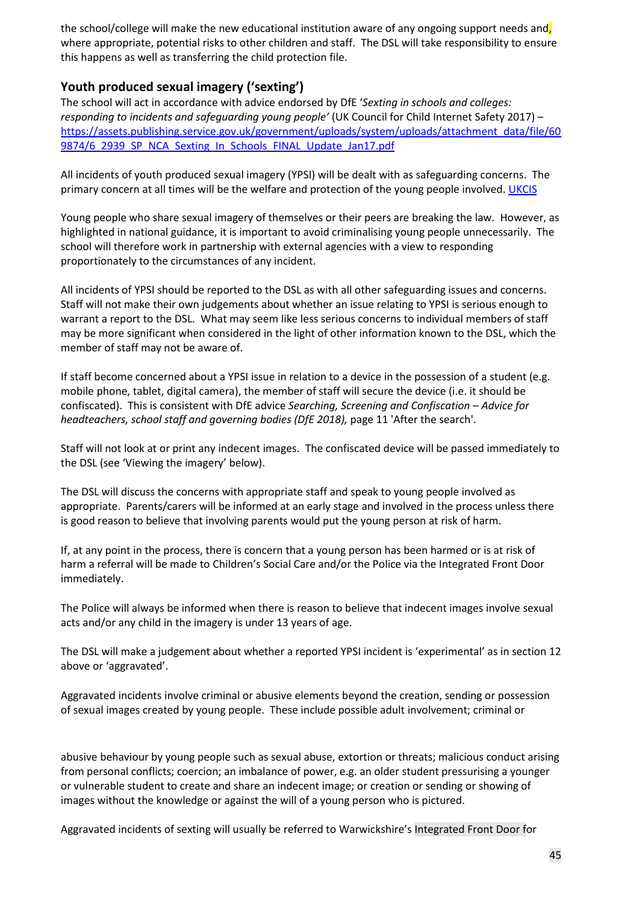the school/college will make the new educational institution aware of any ongoing support needs and, where appropriate, potential risks to other children and staff. The DSL will take responsibility to ensure this happens as well as transferring the child protection file.

### **Youth produced sexual imagery ('sexting')**

The school will act in accordance with advice endorsed by DfE '*Sexting in schools and colleges: responding to incidents and safequarding young people'* (UK Council for Child Internet Safety 2017) – [https://assets.publishing.service.gov.uk/government/uploads/system/uploads/attachment\\_data/file/60](https://assets.publishing.service.gov.uk/government/uploads/system/uploads/attachment_data/file/609874/6_2939_SP_NCA_Sexting_In_Schools_FINAL_Update_Jan17.pdf) [9874/6\\_2939\\_SP\\_NCA\\_Sexting\\_In\\_Schools\\_FINAL\\_Update\\_Jan17.pdf](https://assets.publishing.service.gov.uk/government/uploads/system/uploads/attachment_data/file/609874/6_2939_SP_NCA_Sexting_In_Schools_FINAL_Update_Jan17.pdf)

All incidents of youth produced sexual imagery (YPSI) will be dealt with as safeguarding concerns. The primary concern at all times will be the welfare and protection of the young people involved. [UKCIS](https://www.gov.uk/government/publications/sharing-nudes-and-semi-nudes-advice-for-education-settings-working-with-children-and-young-people)

Young people who share sexual imagery of themselves or their peers are breaking the law. However, as highlighted in national guidance, it is important to avoid criminalising young people unnecessarily. The school will therefore work in partnership with external agencies with a view to responding proportionately to the circumstances of any incident.

All incidents of YPSI should be reported to the DSL as with all other safeguarding issues and concerns. Staff will not make their own judgements about whether an issue relating to YPSI is serious enough to warrant a report to the DSL. What may seem like less serious concerns to individual members of staff may be more significant when considered in the light of other information known to the DSL, which the member of staff may not be aware of.

If staff become concerned about a YPSI issue in relation to a device in the possession of a student (e.g. mobile phone, tablet, digital camera), the member of staff will secure the device (i.e. it should be confiscated). This is consistent with DfE advice *Searching, Screening and Confiscation – Advice for headteachers, school staff and governing bodies (DfE 2018),* page 11 'After the search'.

Staff will not look at or print any indecent images. The confiscated device will be passed immediately to the DSL (see 'Viewing the imagery' below).

The DSL will discuss the concerns with appropriate staff and speak to young people involved as appropriate. Parents/carers will be informed at an early stage and involved in the process unless there is good reason to believe that involving parents would put the young person at risk of harm.

If, at any point in the process, there is concern that a young person has been harmed or is at risk of harm a referral will be made to Children's Social Care and/or the Police via the Integrated Front Door immediately.

The Police will always be informed when there is reason to believe that indecent images involve sexual acts and/or any child in the imagery is under 13 years of age.

The DSL will make a judgement about whether a reported YPSI incident is 'experimental' as in section 12 above or 'aggravated'.

Aggravated incidents involve criminal or abusive elements beyond the creation, sending or possession of sexual images created by young people. These include possible adult involvement; criminal or

abusive behaviour by young people such as sexual abuse, extortion or threats; malicious conduct arising from personal conflicts; coercion; an imbalance of power, e.g. an older student pressurising a younger or vulnerable student to create and share an indecent image; or creation or sending or showing of images without the knowledge or against the will of a young person who is pictured.

Aggravated incidents of sexting will usually be referred to Warwickshire's Integrated Front Door for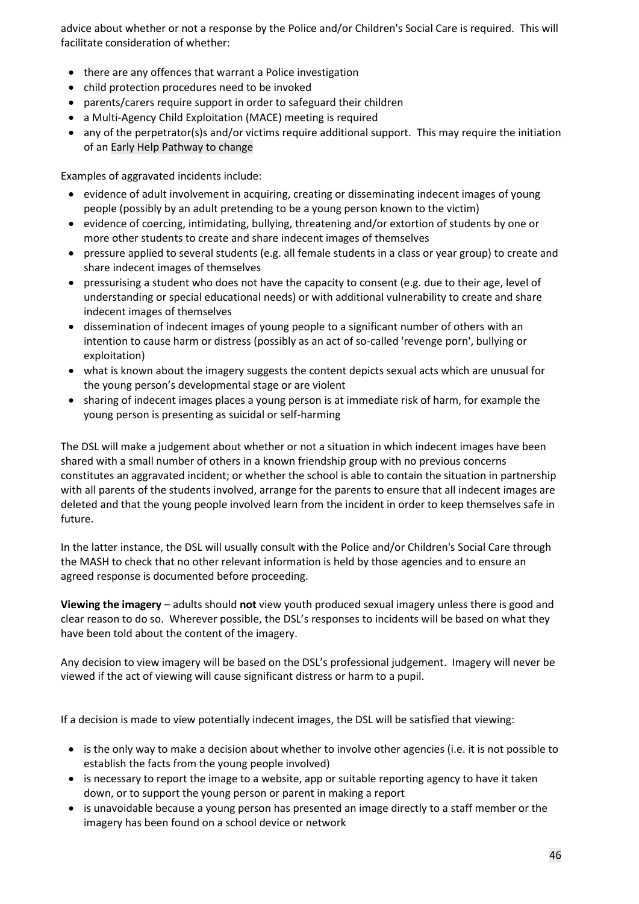advice about whether or not a response by the Police and/or Children's Social Care is required. This will facilitate consideration of whether:

- there are any offences that warrant a Police investigation
- child protection procedures need to be invoked
- parents/carers require support in order to safeguard their children
- a Multi-Agency Child Exploitation (MACE) meeting is required
- any of the perpetrator(s)s and/or victims require additional support. This may require the initiation of an Early Help Pathway to change

Examples of aggravated incidents include:

- evidence of adult involvement in acquiring, creating or disseminating indecent images of young people (possibly by an adult pretending to be a young person known to the victim)
- evidence of coercing, intimidating, bullying, threatening and/or extortion of students by one or more other students to create and share indecent images of themselves
- pressure applied to several students (e.g. all female students in a class or year group) to create and share indecent images of themselves
- pressurising a student who does not have the capacity to consent (e.g. due to their age, level of understanding or special educational needs) or with additional vulnerability to create and share indecent images of themselves
- dissemination of indecent images of young people to a significant number of others with an intention to cause harm or distress (possibly as an act of so-called 'revenge porn', bullying or exploitation)
- what is known about the imagery suggests the content depicts sexual acts which are unusual for the young person's developmental stage or are violent
- sharing of indecent images places a young person is at immediate risk of harm, for example the young person is presenting as suicidal or self-harming

The DSL will make a judgement about whether or not a situation in which indecent images have been shared with a small number of others in a known friendship group with no previous concerns constitutes an aggravated incident; or whether the school is able to contain the situation in partnership with all parents of the students involved, arrange for the parents to ensure that all indecent images are deleted and that the young people involved learn from the incident in order to keep themselves safe in future.

In the latter instance, the DSL will usually consult with the Police and/or Children's Social Care through the MASH to check that no other relevant information is held by those agencies and to ensure an agreed response is documented before proceeding.

**Viewing the imagery** – adults should **not** view youth produced sexual imagery unless there is good and clear reason to do so. Wherever possible, the DSL's responses to incidents will be based on what they have been told about the content of the imagery.

Any decision to view imagery will be based on the DSL's professional judgement. Imagery will never be viewed if the act of viewing will cause significant distress or harm to a pupil.

If a decision is made to view potentially indecent images, the DSL will be satisfied that viewing:

- is the only way to make a decision about whether to involve other agencies (i.e. it is not possible to establish the facts from the young people involved)
- is necessary to report the image to a website, app or suitable reporting agency to have it taken down, or to support the young person or parent in making a report
- is unavoidable because a young person has presented an image directly to a staff member or the imagery has been found on a school device or network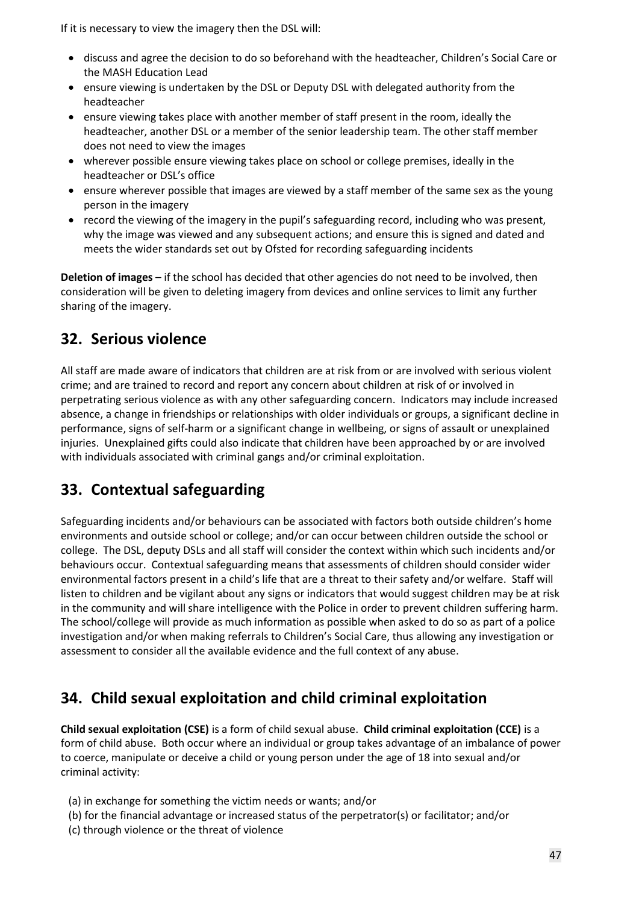If it is necessary to view the imagery then the DSL will:

- discuss and agree the decision to do so beforehand with the headteacher, Children's Social Care or the MASH Education Lead
- ensure viewing is undertaken by the DSL or Deputy DSL with delegated authority from the headteacher
- ensure viewing takes place with another member of staff present in the room, ideally the headteacher, another DSL or a member of the senior leadership team. The other staff member does not need to view the images
- wherever possible ensure viewing takes place on school or college premises, ideally in the headteacher or DSL's office
- ensure wherever possible that images are viewed by a staff member of the same sex as the young person in the imagery
- record the viewing of the imagery in the pupil's safeguarding record, including who was present, why the image was viewed and any subsequent actions; and ensure this is signed and dated and meets the wider standards set out by Ofsted for recording safeguarding incidents

**Deletion of images** – if the school has decided that other agencies do not need to be involved, then consideration will be given to deleting imagery from devices and online services to limit any further sharing of the imagery.

## **32. Serious violence**

All staff are made aware of indicators that children are at risk from or are involved with serious violent crime; and are trained to record and report any concern about children at risk of or involved in perpetrating serious violence as with any other safeguarding concern. Indicators may include increased absence, a change in friendships or relationships with older individuals or groups, a significant decline in performance, signs of self-harm or a significant change in wellbeing, or signs of assault or unexplained injuries. Unexplained gifts could also indicate that children have been approached by or are involved with individuals associated with criminal gangs and/or criminal exploitation.

## **33. Contextual safeguarding**

Safeguarding incidents and/or behaviours can be associated with factors both outside children's home environments and outside school or college; and/or can occur between children outside the school or college. The DSL, deputy DSLs and all staff will consider the context within which such incidents and/or behaviours occur. Contextual safeguarding means that assessments of children should consider wider environmental factors present in a child's life that are a threat to their safety and/or welfare. Staff will listen to children and be vigilant about any signs or indicators that would suggest children may be at risk in the community and will share intelligence with the Police in order to prevent children suffering harm. The school/college will provide as much information as possible when asked to do so as part of a police investigation and/or when making referrals to Children's Social Care, thus allowing any investigation or assessment to consider all the available evidence and the full context of any abuse.

## **34. Child sexual exploitation and child criminal exploitation**

**Child sexual exploitation (CSE)** is a form of child sexual abuse. **Child criminal exploitation (CCE)** is a form of child abuse. Both occur where an individual or group takes advantage of an imbalance of power to coerce, manipulate or deceive a child or young person under the age of 18 into sexual and/or criminal activity:

- (a) in exchange for something the victim needs or wants; and/or
- (b) for the financial advantage or increased status of the perpetrator(s) or facilitator; and/or
- (c) through violence or the threat of violence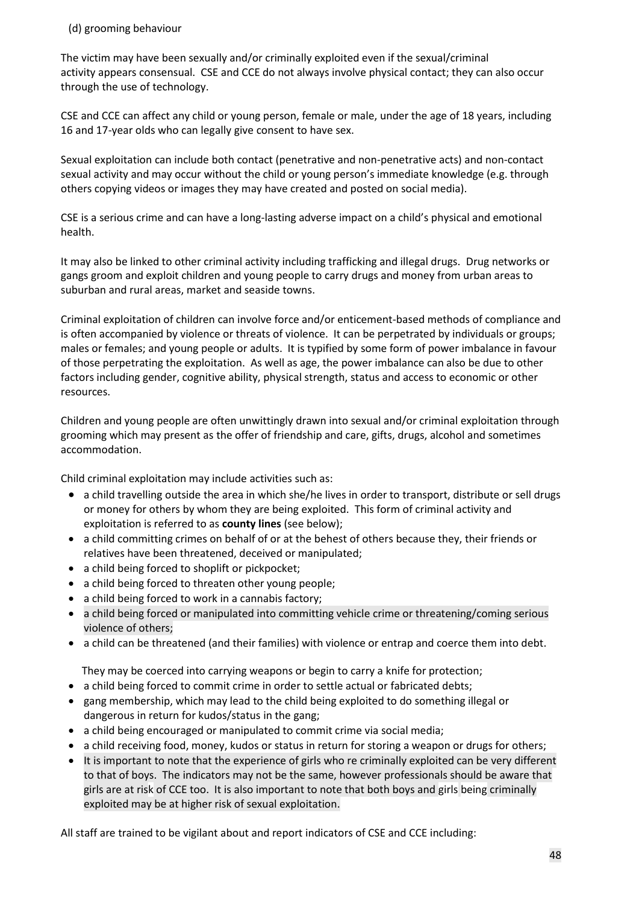#### (d) grooming behaviour

The victim may have been sexually and/or criminally exploited even if the sexual/criminal activity appears consensual. CSE and CCE do not always involve physical contact; they can also occur through the use of technology.

CSE and CCE can affect any child or young person, female or male, under the age of 18 years, including 16 and 17-year olds who can legally give consent to have sex.

Sexual exploitation can include both contact (penetrative and non-penetrative acts) and non-contact sexual activity and may occur without the child or young person's immediate knowledge (e.g. through others copying videos or images they may have created and posted on social media).

CSE is a serious crime and can have a long-lasting adverse impact on a child's physical and emotional health.

It may also be linked to other criminal activity including trafficking and illegal drugs. Drug networks or gangs groom and exploit children and young people to carry drugs and money from urban areas to suburban and rural areas, market and seaside towns.

Criminal exploitation of children can involve force and/or enticement-based methods of compliance and is often accompanied by violence or threats of violence. It can be perpetrated by individuals or groups; males or females; and young people or adults. It is typified by some form of power imbalance in favour of those perpetrating the exploitation. As well as age, the power imbalance can also be due to other factors including gender, cognitive ability, physical strength, status and access to economic or other resources.

Children and young people are often unwittingly drawn into sexual and/or criminal exploitation through grooming which may present as the offer of friendship and care, gifts, drugs, alcohol and sometimes accommodation.

Child criminal exploitation may include activities such as:

- a child travelling outside the area in which she/he lives in order to transport, distribute or sell drugs or money for others by whom they are being exploited. This form of criminal activity and exploitation is referred to as **county lines** (see below);
- a child committing crimes on behalf of or at the behest of others because they, their friends or relatives have been threatened, deceived or manipulated;
- a child being forced to shoplift or pickpocket;
- a child being forced to threaten other young people;
- a child being forced to work in a cannabis factory;
- a child being forced or manipulated into committing vehicle crime or threatening/coming serious violence of others;
- a child can be threatened (and their families) with violence or entrap and coerce them into debt.

They may be coerced into carrying weapons or begin to carry a knife for protection;

- a child being forced to commit crime in order to settle actual or fabricated debts;
- gang membership, which may lead to the child being exploited to do something illegal or dangerous in return for kudos/status in the gang;
- a child being encouraged or manipulated to commit crime via social media;
- a child receiving food, money, kudos or status in return for storing a weapon or drugs for others;
- It is important to note that the experience of girls who re criminally exploited can be very different to that of boys. The indicators may not be the same, however professionals should be aware that girls are at risk of CCE too. It is also important to note that both boys and girls being criminally exploited may be at higher risk of sexual exploitation.

All staff are trained to be vigilant about and report indicators of CSE and CCE including: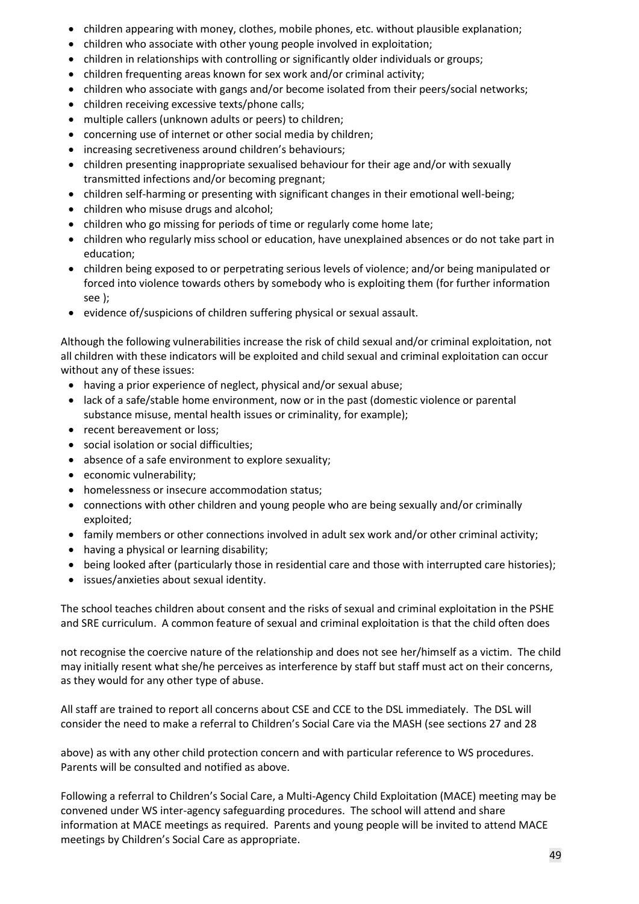- children appearing with money, clothes, mobile phones, etc. without plausible explanation;
- children who associate with other young people involved in exploitation;
- children in relationships with controlling or significantly older individuals or groups;
- children frequenting areas known for sex work and/or criminal activity;
- children who associate with gangs and/or become isolated from their peers/social networks;
- children receiving excessive texts/phone calls;
- multiple callers (unknown adults or peers) to children;
- concerning use of internet or other social media by children;
- increasing secretiveness around children's behaviours;
- children presenting inappropriate sexualised behaviour for their age and/or with sexually transmitted infections and/or becoming pregnant;
- children self-harming or presenting with significant changes in their emotional well-being;
- children who misuse drugs and alcohol;
- children who go missing for periods of time or regularly come home late;
- children who regularly miss school or education, have unexplained absences or do not take part in education;
- children being exposed to or perpetrating serious levels of violence; and/or being manipulated or forced into violence towards others by somebody who is exploiting them (for further information see );
- evidence of/suspicions of children suffering physical or sexual assault.

Although the following vulnerabilities increase the risk of child sexual and/or criminal exploitation, not all children with these indicators will be exploited and child sexual and criminal exploitation can occur without any of these issues:

- having a prior experience of neglect, physical and/or sexual abuse;
- lack of a safe/stable home environment, now or in the past (domestic violence or parental substance misuse, mental health issues or criminality, for example);
- recent bereavement or loss:
- social isolation or social difficulties;
- absence of a safe environment to explore sexuality;
- economic vulnerability;
- homelessness or insecure accommodation status;
- connections with other children and young people who are being sexually and/or criminally exploited;
- family members or other connections involved in adult sex work and/or other criminal activity;
- having a physical or learning disability;
- being looked after (particularly those in residential care and those with interrupted care histories);
- issues/anxieties about sexual identity.

The school teaches children about consent and the risks of sexual and criminal exploitation in the PSHE and SRE curriculum. A common feature of sexual and criminal exploitation is that the child often does

not recognise the coercive nature of the relationship and does not see her/himself as a victim. The child may initially resent what she/he perceives as interference by staff but staff must act on their concerns, as they would for any other type of abuse.

All staff are trained to report all concerns about CSE and CCE to the DSL immediately. The DSL will consider the need to make a referral to Children's Social Care via the MASH (see sections 27 and 28

above) as with any other child protection concern and with particular reference to WS procedures. Parents will be consulted and notified as above.

Following a referral to Children's Social Care, a Multi-Agency Child Exploitation (MACE) meeting may be convened under WS inter-agency safeguarding procedures. The school will attend and share information at MACE meetings as required. Parents and young people will be invited to attend MACE meetings by Children's Social Care as appropriate.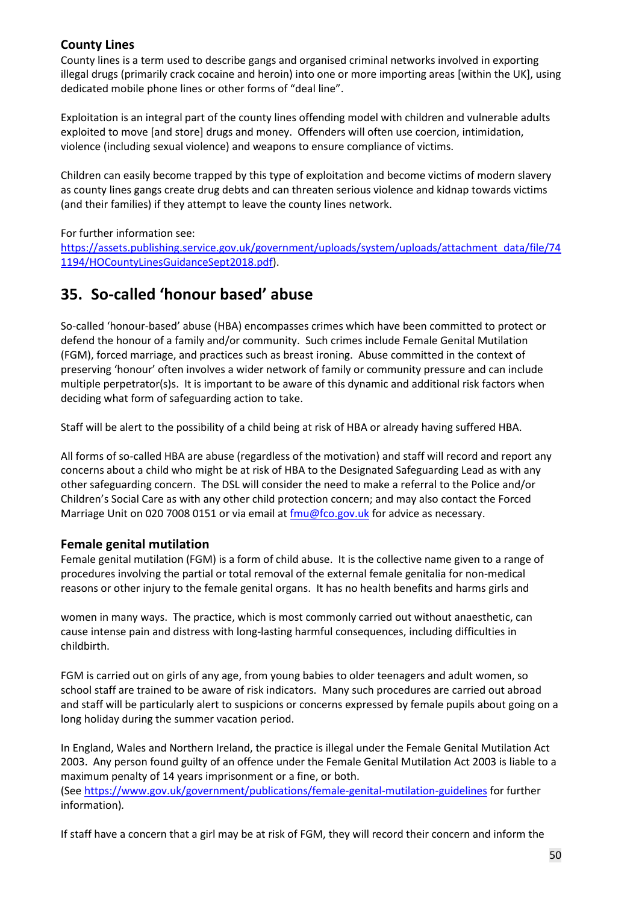#### **County Lines**

County lines is a term used to describe gangs and organised criminal networks involved in exporting illegal drugs (primarily crack cocaine and heroin) into one or more importing areas [within the UK], using dedicated mobile phone lines or other forms of "deal line".

Exploitation is an integral part of the county lines offending model with children and vulnerable adults exploited to move [and store] drugs and money. Offenders will often use coercion, intimidation, violence (including sexual violence) and weapons to ensure compliance of victims.

Children can easily become trapped by this type of exploitation and become victims of modern slavery as county lines gangs create drug debts and can threaten serious violence and kidnap towards victims (and their families) if they attempt to leave the county lines network.

For further information see:

[https://assets.publishing.service.gov.uk/government/uploads/system/uploads/attachment\\_data/file/74](https://assets.publishing.service.gov.uk/government/uploads/system/uploads/attachment_data/file/741194/HOCountyLinesGuidanceSept2018.pdf) [1194/HOCountyLinesGuidanceSept2018.pdf\)](https://assets.publishing.service.gov.uk/government/uploads/system/uploads/attachment_data/file/741194/HOCountyLinesGuidanceSept2018.pdf).

### **35. So-called 'honour based' abuse**

So-called 'honour-based' abuse (HBA) encompasses crimes which have been committed to protect or defend the honour of a family and/or community. Such crimes include Female Genital Mutilation (FGM), forced marriage, and practices such as breast ironing. Abuse committed in the context of preserving 'honour' often involves a wider network of family or community pressure and can include multiple perpetrator(s)s. It is important to be aware of this dynamic and additional risk factors when deciding what form of safeguarding action to take.

Staff will be alert to the possibility of a child being at risk of HBA or already having suffered HBA.

All forms of so-called HBA are abuse (regardless of the motivation) and staff will record and report any concerns about a child who might be at risk of HBA to the Designated Safeguarding Lead as with any other safeguarding concern. The DSL will consider the need to make a referral to the Police and/or Children's Social Care as with any other child protection concern; and may also contact the Forced Marriage Unit on 020 7008 0151 or via email at  $\frac{fmu@fco.gov.uk}{f}$  for advice as necessary.

#### **Female genital mutilation**

Female genital mutilation (FGM) is a form of child abuse. It is the collective name given to a range of procedures involving the partial or total removal of the external female genitalia for non-medical reasons or other injury to the female genital organs. It has no health benefits and harms girls and

women in many ways. The practice, which is most commonly carried out without anaesthetic, can cause intense pain and distress with long-lasting harmful consequences, including difficulties in childbirth.

FGM is carried out on girls of any age, from young babies to older teenagers and adult women, so school staff are trained to be aware of risk indicators. Many such procedures are carried out abroad and staff will be particularly alert to suspicions or concerns expressed by female pupils about going on a long holiday during the summer vacation period.

In England, Wales and Northern Ireland, the practice is illegal under the Female Genital Mutilation Act 2003. Any person found guilty of an offence under the Female Genital Mutilation Act 2003 is liable to a maximum penalty of 14 years imprisonment or a fine, or both. (See <https://www.gov.uk/government/publications/female-genital-mutilation-guidelines> for further information)*.*

If staff have a concern that a girl may be at risk of FGM, they will record their concern and inform the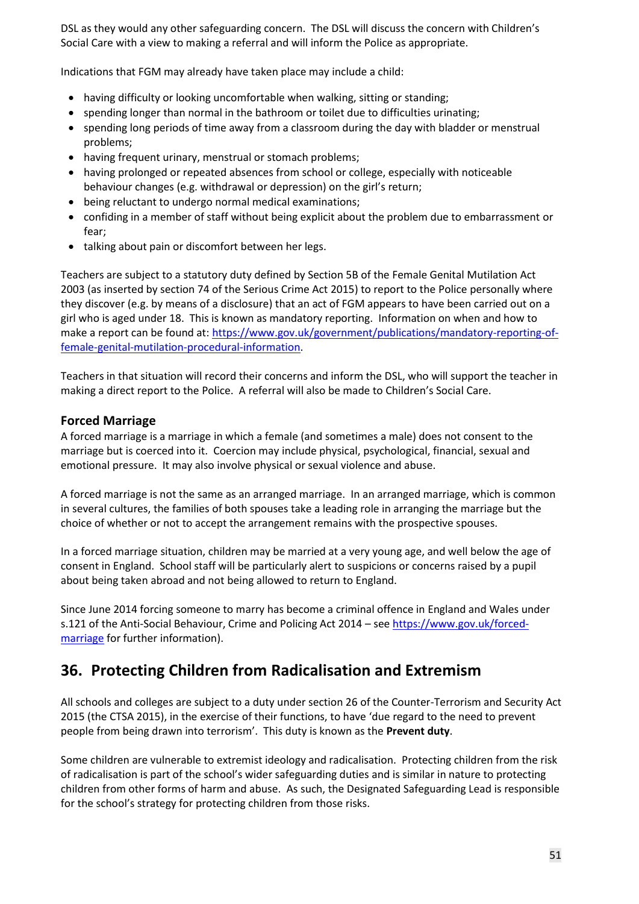DSL as they would any other safeguarding concern. The DSL will discuss the concern with Children's Social Care with a view to making a referral and will inform the Police as appropriate.

Indications that FGM may already have taken place may include a child:

- having difficulty or looking uncomfortable when walking, sitting or standing;
- spending longer than normal in the bathroom or toilet due to difficulties urinating;
- spending long periods of time away from a classroom during the day with bladder or menstrual problems;
- having frequent urinary, menstrual or stomach problems;
- having prolonged or repeated absences from school or college, especially with noticeable behaviour changes (e.g. withdrawal or depression) on the girl's return;
- being reluctant to undergo normal medical examinations;
- confiding in a member of staff without being explicit about the problem due to embarrassment or fear;
- talking about pain or discomfort between her legs.

Teachers are subject to a statutory duty defined by Section 5B of the Female Genital Mutilation Act 2003 (as inserted by section 74 of the Serious Crime Act 2015) to report to the Police personally where they discover (e.g. by means of a disclosure) that an act of FGM appears to have been carried out on a girl who is aged under 18. This is known as mandatory reporting. Information on when and how to make a report can be found at[: https://www.gov.uk/government/publications/mandatory-reporting-of](https://www.gov.uk/government/publications/mandatory-reporting-of-female-genital-mutilation-procedural-information)[female-genital-mutilation-procedural-information.](https://www.gov.uk/government/publications/mandatory-reporting-of-female-genital-mutilation-procedural-information)

Teachers in that situation will record their concerns and inform the DSL, who will support the teacher in making a direct report to the Police. A referral will also be made to Children's Social Care.

#### **Forced Marriage**

A forced marriage is a marriage in which a female (and sometimes a male) does not consent to the marriage but is coerced into it. Coercion may include physical, psychological, financial, sexual and emotional pressure. It may also involve physical or sexual violence and abuse.

A forced marriage is not the same as an arranged marriage. In an arranged marriage, which is common in several cultures, the families of both spouses take a leading role in arranging the marriage but the choice of whether or not to accept the arrangement remains with the prospective spouses.

In a forced marriage situation, children may be married at a very young age, and well below the age of consent in England. School staff will be particularly alert to suspicions or concerns raised by a pupil about being taken abroad and not being allowed to return to England.

Since June 2014 forcing someone to marry has become a criminal offence in England and Wales under s.121 of the Anti-Social Behaviour, Crime and Policing Act 2014 – see [https://www.gov.uk/forced](https://www.gov.uk/forced-marriage)[marriage](https://www.gov.uk/forced-marriage) for further information).

### **36. Protecting Children from Radicalisation and Extremism**

All schools and colleges are subject to a duty under section 26 of the Counter-Terrorism and Security Act 2015 (the CTSA 2015), in the exercise of their functions, to have 'due regard to the need to prevent people from being drawn into terrorism'. This duty is known as the **Prevent duty**.

Some children are vulnerable to extremist ideology and radicalisation. Protecting children from the risk of radicalisation is part of the school's wider safeguarding duties and is similar in nature to protecting children from other forms of harm and abuse. As such, the Designated Safeguarding Lead is responsible for the school's strategy for protecting children from those risks.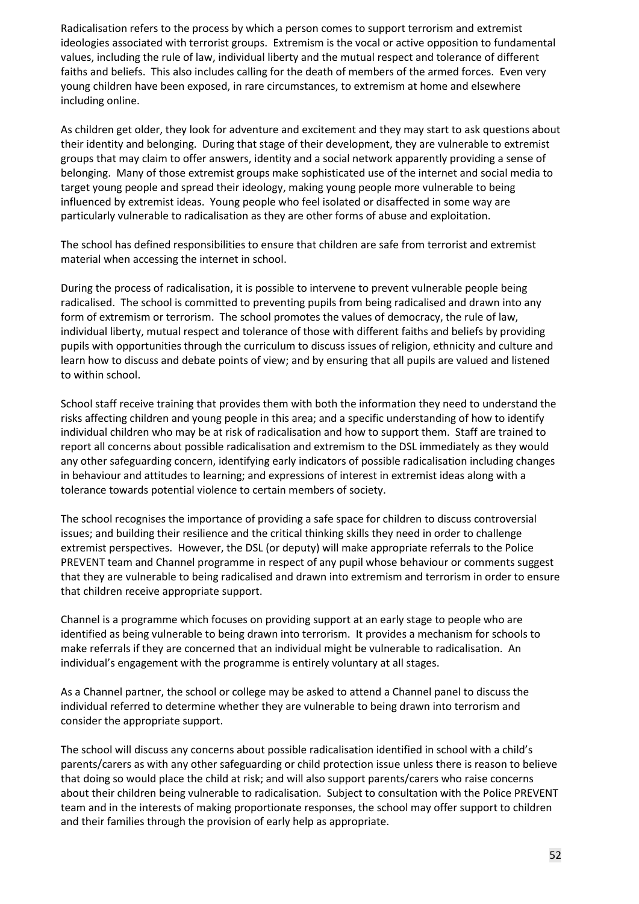Radicalisation refers to the process by which a person comes to support terrorism and extremist ideologies associated with terrorist groups. Extremism is the vocal or active opposition to fundamental values, including the rule of law, individual liberty and the mutual respect and tolerance of different faiths and beliefs. This also includes calling for the death of members of the armed forces. Even very young children have been exposed, in rare circumstances, to extremism at home and elsewhere including online.

As children get older, they look for adventure and excitement and they may start to ask questions about their identity and belonging. During that stage of their development, they are vulnerable to extremist groups that may claim to offer answers, identity and a social network apparently providing a sense of belonging. Many of those extremist groups make sophisticated use of the internet and social media to target young people and spread their ideology, making young people more vulnerable to being influenced by extremist ideas. Young people who feel isolated or disaffected in some way are particularly vulnerable to radicalisation as they are other forms of abuse and exploitation.

The school has defined responsibilities to ensure that children are safe from terrorist and extremist material when accessing the internet in school.

During the process of radicalisation, it is possible to intervene to prevent vulnerable people being radicalised. The school is committed to preventing pupils from being radicalised and drawn into any form of extremism or terrorism. The school promotes the values of democracy, the rule of law, individual liberty, mutual respect and tolerance of those with different faiths and beliefs by providing pupils with opportunities through the curriculum to discuss issues of religion, ethnicity and culture and learn how to discuss and debate points of view; and by ensuring that all pupils are valued and listened to within school.

School staff receive training that provides them with both the information they need to understand the risks affecting children and young people in this area; and a specific understanding of how to identify individual children who may be at risk of radicalisation and how to support them. Staff are trained to report all concerns about possible radicalisation and extremism to the DSL immediately as they would any other safeguarding concern, identifying early indicators of possible radicalisation including changes in behaviour and attitudes to learning; and expressions of interest in extremist ideas along with a tolerance towards potential violence to certain members of society.

The school recognises the importance of providing a safe space for children to discuss controversial issues; and building their resilience and the critical thinking skills they need in order to challenge extremist perspectives. However, the DSL (or deputy) will make appropriate referrals to the Police PREVENT team and Channel programme in respect of any pupil whose behaviour or comments suggest that they are vulnerable to being radicalised and drawn into extremism and terrorism in order to ensure that children receive appropriate support.

Channel is a programme which focuses on providing support at an early stage to people who are identified as being vulnerable to being drawn into terrorism. It provides a mechanism for schools to make referrals if they are concerned that an individual might be vulnerable to radicalisation. An individual's engagement with the programme is entirely voluntary at all stages.

As a Channel partner, the school or college may be asked to attend a Channel panel to discuss the individual referred to determine whether they are vulnerable to being drawn into terrorism and consider the appropriate support.

The school will discuss any concerns about possible radicalisation identified in school with a child's parents/carers as with any other safeguarding or child protection issue unless there is reason to believe that doing so would place the child at risk; and will also support parents/carers who raise concerns about their children being vulnerable to radicalisation. Subject to consultation with the Police PREVENT team and in the interests of making proportionate responses, the school may offer support to children and their families through the provision of early help as appropriate.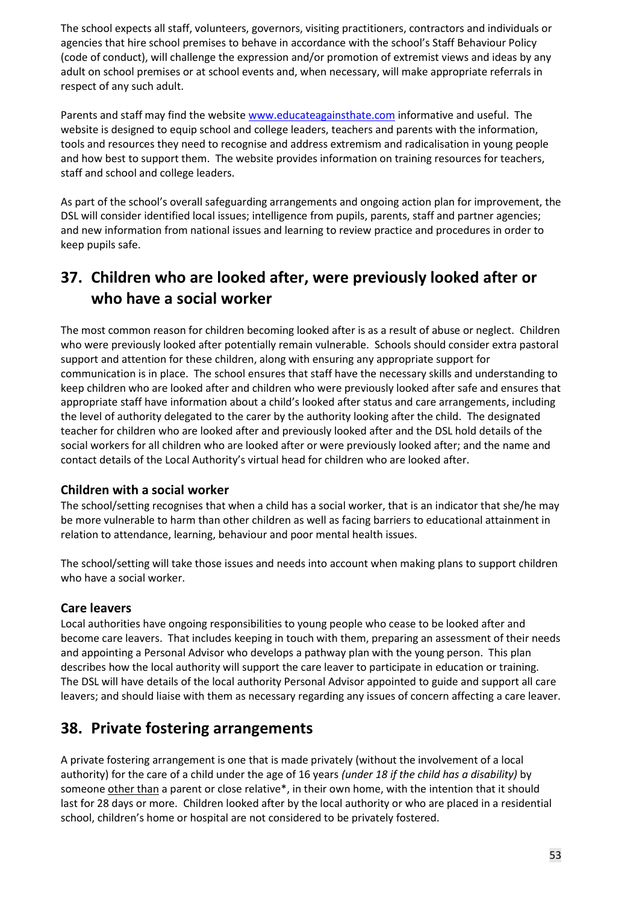The school expects all staff, volunteers, governors, visiting practitioners, contractors and individuals or agencies that hire school premises to behave in accordance with the school's Staff Behaviour Policy (code of conduct), will challenge the expression and/or promotion of extremist views and ideas by any adult on school premises or at school events and, when necessary, will make appropriate referrals in respect of any such adult.

Parents and staff may find the website [www.educateagainsthate.com](http://www.educateagainsthate.com/) informative and useful. The website is designed to equip school and college leaders, teachers and parents with the information, tools and resources they need to recognise and address extremism and radicalisation in young people and how best to support them. The website provides information on training resources for teachers, staff and school and college leaders.

As part of the school's overall safeguarding arrangements and ongoing action plan for improvement, the DSL will consider identified local issues; intelligence from pupils, parents, staff and partner agencies; and new information from national issues and learning to review practice and procedures in order to keep pupils safe.

### **37. Children who are looked after, were previously looked after or who have a social worker**

The most common reason for children becoming looked after is as a result of abuse or neglect. Children who were previously looked after potentially remain vulnerable. Schools should consider extra pastoral support and attention for these children, along with ensuring any appropriate support for communication is in place. The school ensures that staff have the necessary skills and understanding to keep children who are looked after and children who were previously looked after safe and ensures that appropriate staff have information about a child's looked after status and care arrangements, including the level of authority delegated to the carer by the authority looking after the child. The designated teacher for children who are looked after and previously looked after and the DSL hold details of the social workers for all children who are looked after or were previously looked after; and the name and contact details of the Local Authority's virtual head for children who are looked after.

#### **Children with a social worker**

The school/setting recognises that when a child has a social worker, that is an indicator that she/he may be more vulnerable to harm than other children as well as facing barriers to educational attainment in relation to attendance, learning, behaviour and poor mental health issues.

The school/setting will take those issues and needs into account when making plans to support children who have a social worker.

#### **Care leavers**

Local authorities have ongoing responsibilities to young people who cease to be looked after and become care leavers. That includes keeping in touch with them, preparing an assessment of their needs and appointing a Personal Advisor who develops a pathway plan with the young person. This plan describes how the local authority will support the care leaver to participate in education or training. The DSL will have details of the local authority Personal Advisor appointed to guide and support all care leavers; and should liaise with them as necessary regarding any issues of concern affecting a care leaver.

### **38. Private fostering arrangements**

A private fostering arrangement is one that is made privately (without the involvement of a local authority) for the care of a child under the age of 16 years *(under 18 if the child has a disability)* by someone other than a parent or close relative\*, in their own home, with the intention that it should last for 28 days or more. Children looked after by the local authority or who are placed in a residential school, children's home or hospital are not considered to be privately fostered.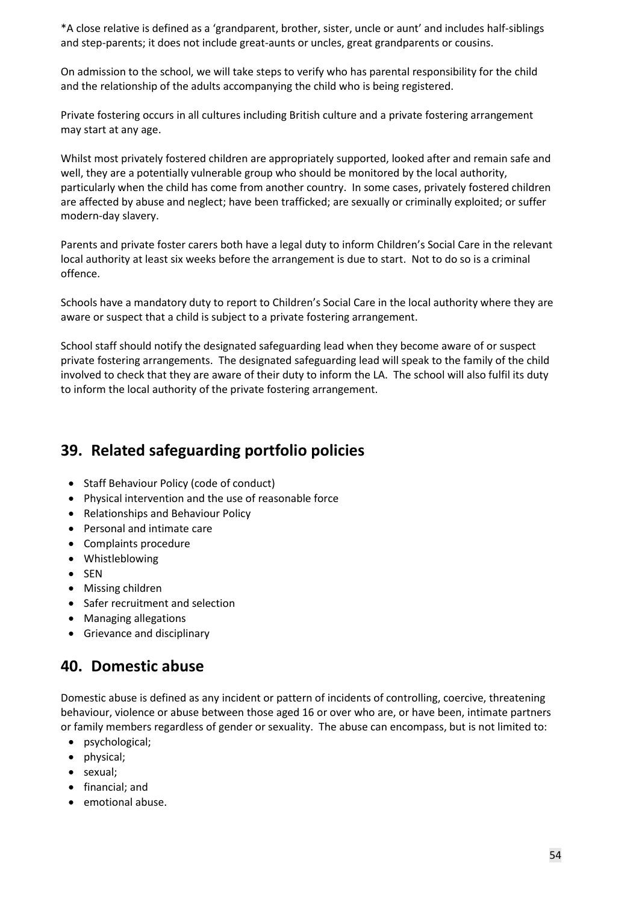\*A close relative is defined as a 'grandparent, brother, sister, uncle or aunt' and includes half-siblings and step-parents; it does not include great-aunts or uncles, great grandparents or cousins.

On admission to the school, we will take steps to verify who has parental responsibility for the child and the relationship of the adults accompanying the child who is being registered.

Private fostering occurs in all cultures including British culture and a private fostering arrangement may start at any age.

Whilst most privately fostered children are appropriately supported, looked after and remain safe and well, they are a potentially vulnerable group who should be monitored by the local authority, particularly when the child has come from another country. In some cases, privately fostered children are affected by abuse and neglect; have been trafficked; are sexually or criminally exploited; or suffer modern-day slavery.

Parents and private foster carers both have a legal duty to inform Children's Social Care in the relevant local authority at least six weeks before the arrangement is due to start. Not to do so is a criminal offence.

Schools have a mandatory duty to report to Children's Social Care in the local authority where they are aware or suspect that a child is subject to a private fostering arrangement.

School staff should notify the designated safeguarding lead when they become aware of or suspect private fostering arrangements. The designated safeguarding lead will speak to the family of the child involved to check that they are aware of their duty to inform the LA. The school will also fulfil its duty to inform the local authority of the private fostering arrangement.

### **39. Related safeguarding portfolio policies**

- Staff Behaviour Policy (code of conduct)
- Physical intervention and the use of reasonable force
- Relationships and Behaviour Policy
- Personal and intimate care
- Complaints procedure
- Whistleblowing
- SEN
- Missing children
- Safer recruitment and selection
- Managing allegations
- Grievance and disciplinary

### **40. Domestic abuse**

Domestic abuse is defined as any incident or pattern of incidents of controlling, coercive, threatening behaviour, violence or abuse between those aged 16 or over who are, or have been, intimate partners or family members regardless of gender or sexuality. The abuse can encompass, but is not limited to:

- psychological;
- physical;
- sexual;
- financial; and
- emotional abuse.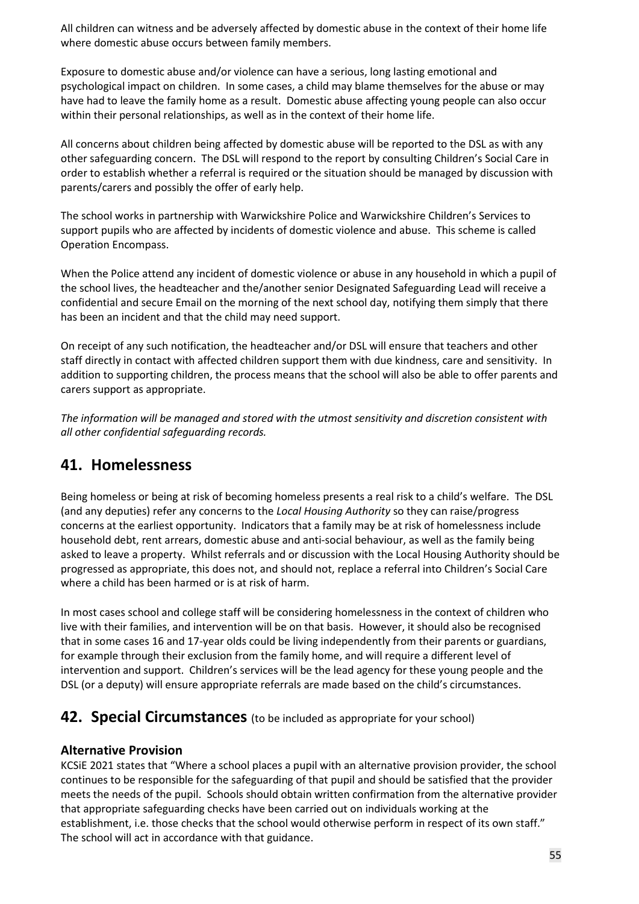All children can witness and be adversely affected by domestic abuse in the context of their home life where domestic abuse occurs between family members.

Exposure to domestic abuse and/or violence can have a serious, long lasting emotional and psychological impact on children. In some cases, a child may blame themselves for the abuse or may have had to leave the family home as a result. Domestic abuse affecting young people can also occur within their personal relationships, as well as in the context of their home life.

All concerns about children being affected by domestic abuse will be reported to the DSL as with any other safeguarding concern. The DSL will respond to the report by consulting Children's Social Care in order to establish whether a referral is required or the situation should be managed by discussion with parents/carers and possibly the offer of early help.

The school works in partnership with Warwickshire Police and Warwickshire Children's Services to support pupils who are affected by incidents of domestic violence and abuse. This scheme is called Operation Encompass.

When the Police attend any incident of domestic violence or abuse in any household in which a pupil of the school lives, the headteacher and the/another senior Designated Safeguarding Lead will receive a confidential and secure Email on the morning of the next school day, notifying them simply that there has been an incident and that the child may need support.

On receipt of any such notification, the headteacher and/or DSL will ensure that teachers and other staff directly in contact with affected children support them with due kindness, care and sensitivity. In addition to supporting children, the process means that the school will also be able to offer parents and carers support as appropriate.

*The information will be managed and stored with the utmost sensitivity and discretion consistent with all other confidential safeguarding records.* 

### **41. Homelessness**

Being homeless or being at risk of becoming homeless presents a real risk to a child's welfare. The DSL (and any deputies) refer any concerns to the *Local Housing Authority* so they can raise/progress concerns at the earliest opportunity. Indicators that a family may be at risk of homelessness include household debt, rent arrears, domestic abuse and anti-social behaviour, as well as the family being asked to leave a property. Whilst referrals and or discussion with the Local Housing Authority should be progressed as appropriate, this does not, and should not, replace a referral into Children's Social Care where a child has been harmed or is at risk of harm.

In most cases school and college staff will be considering homelessness in the context of children who live with their families, and intervention will be on that basis. However, it should also be recognised that in some cases 16 and 17-year olds could be living independently from their parents or guardians, for example through their exclusion from the family home, and will require a different level of intervention and support. Children's services will be the lead agency for these young people and the DSL (or a deputy) will ensure appropriate referrals are made based on the child's circumstances.

### **42. Special Circumstances** (to be included as appropriate for your school)

#### **Alternative Provision**

KCSiE 2021 states that "Where a school places a pupil with an alternative provision provider, the school continues to be responsible for the safeguarding of that pupil and should be satisfied that the provider meets the needs of the pupil. Schools should obtain written confirmation from the alternative provider that appropriate safeguarding checks have been carried out on individuals working at the establishment, i.e. those checks that the school would otherwise perform in respect of its own staff." The school will act in accordance with that guidance.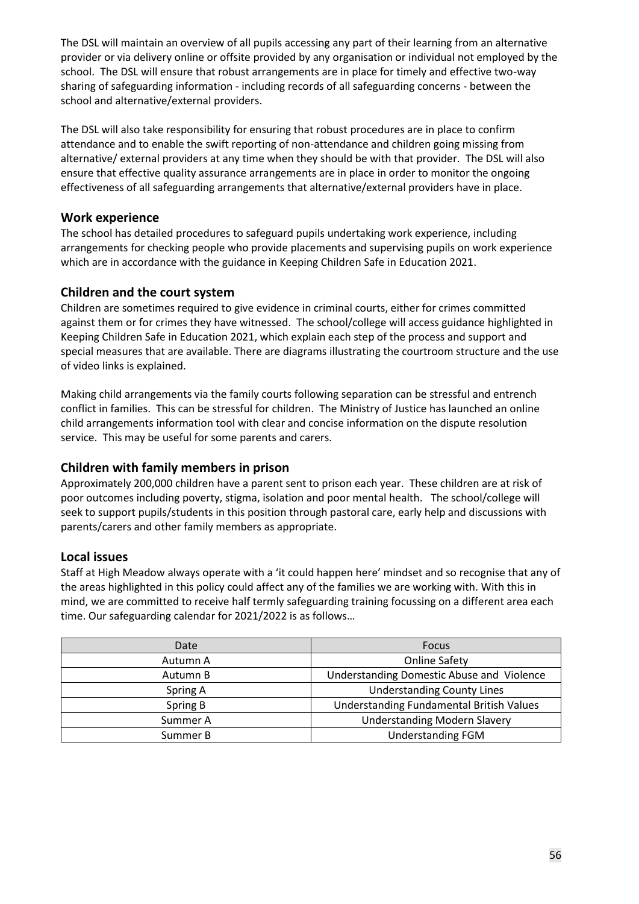The DSL will maintain an overview of all pupils accessing any part of their learning from an alternative provider or via delivery online or offsite provided by any organisation or individual not employed by the school. The DSL will ensure that robust arrangements are in place for timely and effective two-way sharing of safeguarding information - including records of all safeguarding concerns - between the school and alternative/external providers.

The DSL will also take responsibility for ensuring that robust procedures are in place to confirm attendance and to enable the swift reporting of non-attendance and children going missing from alternative/ external providers at any time when they should be with that provider. The DSL will also ensure that effective quality assurance arrangements are in place in order to monitor the ongoing effectiveness of all safeguarding arrangements that alternative/external providers have in place.

#### **Work experience**

The school has detailed procedures to safeguard pupils undertaking work experience, including arrangements for checking people who provide placements and supervising pupils on work experience which are in accordance with the guidance in Keeping Children Safe in Education 2021.

#### **Children and the court system**

Children are sometimes required to give evidence in criminal courts, either for crimes committed against them or for crimes they have witnessed. The school/college will access guidance highlighted in Keeping Children Safe in Education 2021, which explain each step of the process and support and special measures that are available. There are diagrams illustrating the courtroom structure and the use of video links is explained.

Making child arrangements via the family courts following separation can be stressful and entrench conflict in families. This can be stressful for children. The Ministry of Justice has launched an online child arrangements information tool with clear and concise information on the dispute resolution service. This may be useful for some parents and carers.

#### **Children with family members in prison**

Approximately 200,000 children have a parent sent to prison each year. These children are at risk of poor outcomes including poverty, stigma, isolation and poor mental health. The school/college will seek to support pupils/students in this position through pastoral care, early help and discussions with parents/carers and other family members as appropriate.

#### **Local issues**

Staff at High Meadow always operate with a 'it could happen here' mindset and so recognise that any of the areas highlighted in this policy could affect any of the families we are working with. With this in mind, we are committed to receive half termly safeguarding training focussing on a different area each time. Our safeguarding calendar for 2021/2022 is as follows…

| Date     | <b>Focus</b>                              |
|----------|-------------------------------------------|
| Autumn A | <b>Online Safety</b>                      |
| Autumn B | Understanding Domestic Abuse and Violence |
| Spring A | <b>Understanding County Lines</b>         |
| Spring B | Understanding Fundamental British Values  |
| Summer A | <b>Understanding Modern Slavery</b>       |
| Summer B | <b>Understanding FGM</b>                  |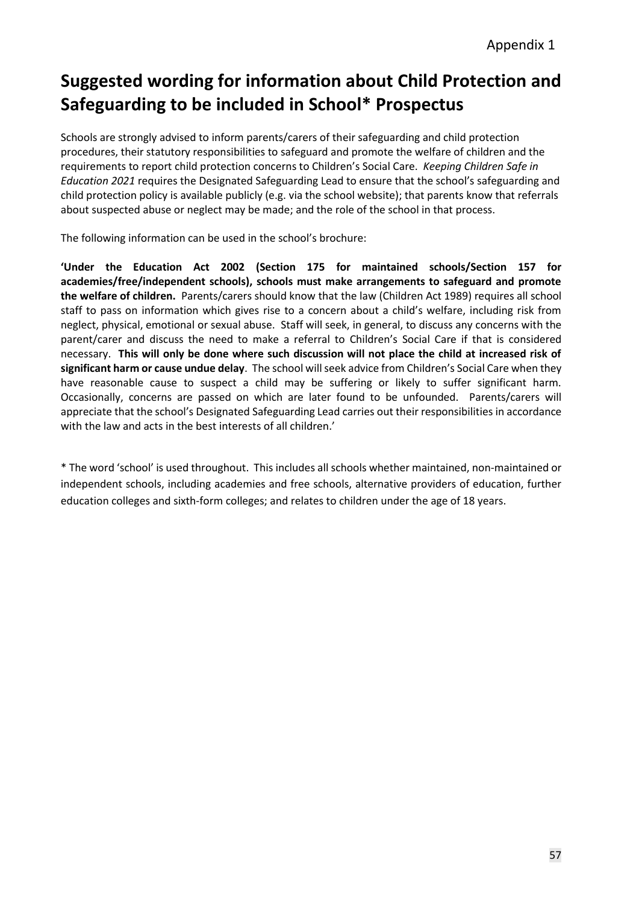# **Suggested wording for information about Child Protection and Safeguarding to be included in School\* Prospectus**

Schools are strongly advised to inform parents/carers of their safeguarding and child protection procedures, their statutory responsibilities to safeguard and promote the welfare of children and the requirements to report child protection concerns to Children's Social Care. *Keeping Children Safe in Education 2021* requires the Designated Safeguarding Lead to ensure that the school's safeguarding and child protection policy is available publicly (e.g. via the school website); that parents know that referrals about suspected abuse or neglect may be made; and the role of the school in that process.

The following information can be used in the school's brochure:

**'Under the Education Act 2002 (Section 175 for maintained schools/Section 157 for academies/free/independent schools), schools must make arrangements to safeguard and promote the welfare of children.** Parents/carers should know that the law (Children Act 1989) requires all school staff to pass on information which gives rise to a concern about a child's welfare, including risk from neglect, physical, emotional or sexual abuse. Staff will seek, in general, to discuss any concerns with the parent/carer and discuss the need to make a referral to Children's Social Care if that is considered necessary. **This will only be done where such discussion will not place the child at increased risk of significant harm or cause undue delay**. The school will seek advice from Children's Social Care when they have reasonable cause to suspect a child may be suffering or likely to suffer significant harm. Occasionally, concerns are passed on which are later found to be unfounded. Parents/carers will appreciate that the school's Designated Safeguarding Lead carries out their responsibilities in accordance with the law and acts in the best interests of all children.'

\* The word 'school' is used throughout. This includes all schools whether maintained, non-maintained or independent schools, including academies and free schools, alternative providers of education, further education colleges and sixth-form colleges; and relates to children under the age of 18 years.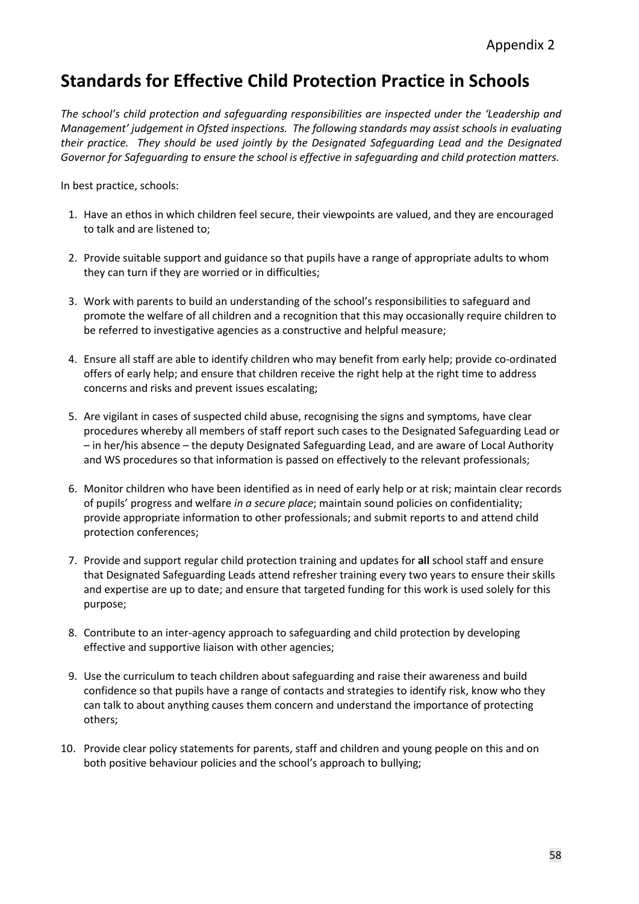# **Standards for Effective Child Protection Practice in Schools**

*The school's child protection and safeguarding responsibilities are inspected under the 'Leadership and Management' judgement in Ofsted inspections. The following standards may assist schools in evaluating their practice. They should be used jointly by the Designated Safeguarding Lead and the Designated Governor for Safeguarding to ensure the school is effective in safeguarding and child protection matters.*

In best practice, schools:

- 1. Have an ethos in which children feel secure, their viewpoints are valued, and they are encouraged to talk and are listened to;
- 2. Provide suitable support and guidance so that pupils have a range of appropriate adults to whom they can turn if they are worried or in difficulties;
- 3. Work with parents to build an understanding of the school's responsibilities to safeguard and promote the welfare of all children and a recognition that this may occasionally require children to be referred to investigative agencies as a constructive and helpful measure;
- 4. Ensure all staff are able to identify children who may benefit from early help; provide co-ordinated offers of early help; and ensure that children receive the right help at the right time to address concerns and risks and prevent issues escalating;
- 5. Are vigilant in cases of suspected child abuse, recognising the signs and symptoms, have clear procedures whereby all members of staff report such cases to the Designated Safeguarding Lead or – in her/his absence – the deputy Designated Safeguarding Lead, and are aware of Local Authority and WS procedures so that information is passed on effectively to the relevant professionals;
- 6. Monitor children who have been identified as in need of early help or at risk; maintain clear records of pupils' progress and welfare *in a secure place*; maintain sound policies on confidentiality; provide appropriate information to other professionals; and submit reports to and attend child protection conferences;
- 7. Provide and support regular child protection training and updates for **all** school staff and ensure that Designated Safeguarding Leads attend refresher training every two years to ensure their skills and expertise are up to date; and ensure that targeted funding for this work is used solely for this purpose;
- 8. Contribute to an inter-agency approach to safeguarding and child protection by developing effective and supportive liaison with other agencies;
- 9. Use the curriculum to teach children about safeguarding and raise their awareness and build confidence so that pupils have a range of contacts and strategies to identify risk, know who they can talk to about anything causes them concern and understand the importance of protecting others;
- 10. Provide clear policy statements for parents, staff and children and young people on this and on both positive behaviour policies and the school's approach to bullying;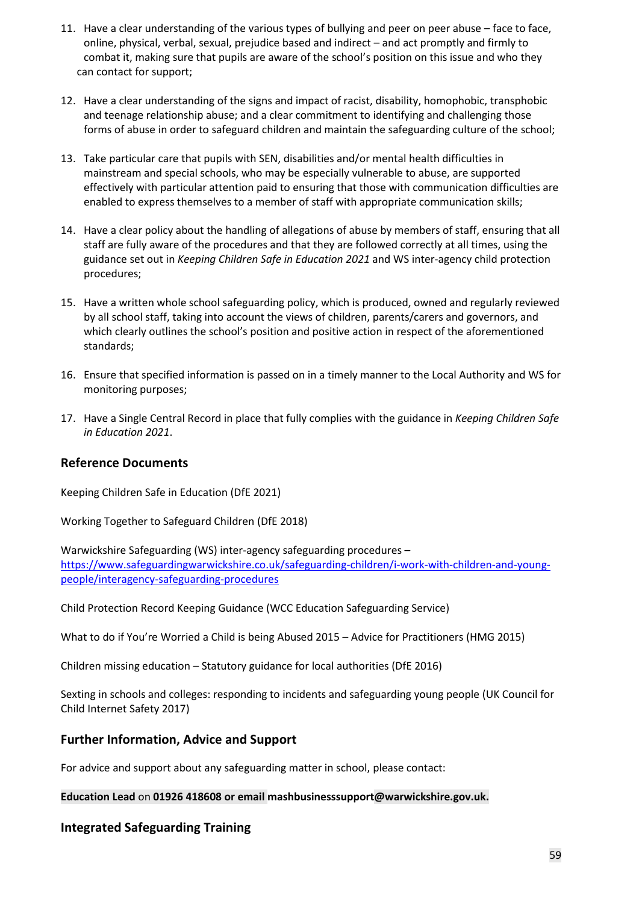- 11. Have a clear understanding of the various types of bullying and peer on peer abuse face to face, online, physical, verbal, sexual, prejudice based and indirect – and act promptly and firmly to combat it, making sure that pupils are aware of the school's position on this issue and who they can contact for support;
- 12. Have a clear understanding of the signs and impact of racist, disability, homophobic, transphobic and teenage relationship abuse; and a clear commitment to identifying and challenging those forms of abuse in order to safeguard children and maintain the safeguarding culture of the school;
- 13. Take particular care that pupils with SEN, disabilities and/or mental health difficulties in mainstream and special schools, who may be especially vulnerable to abuse, are supported effectively with particular attention paid to ensuring that those with communication difficulties are enabled to express themselves to a member of staff with appropriate communication skills;
- 14. Have a clear policy about the handling of allegations of abuse by members of staff, ensuring that all staff are fully aware of the procedures and that they are followed correctly at all times, using the guidance set out in *Keeping Children Safe in Education 2021* and WS inter-agency child protection procedures;
- 15. Have a written whole school safeguarding policy, which is produced, owned and regularly reviewed by all school staff, taking into account the views of children, parents/carers and governors, and which clearly outlines the school's position and positive action in respect of the aforementioned standards;
- 16. Ensure that specified information is passed on in a timely manner to the Local Authority and WS for monitoring purposes;
- 17. Have a Single Central Record in place that fully complies with the guidance in *Keeping Children Safe in Education 2021*.

#### **Reference Documents**

Keeping Children Safe in Education (DfE 2021)

Working Together to Safeguard Children (DfE 2018)

Warwickshire Safeguarding (WS) inter-agency safeguarding procedures – [https://www.safeguardingwarwickshire.co.uk/safeguarding-children/i-work-with-children-and-young](https://www.safeguardingwarwickshire.co.uk/safeguarding-children/i-work-with-children-and-young-people/interagency-safeguarding-procedures)[people/interagency-safeguarding-procedures](https://www.safeguardingwarwickshire.co.uk/safeguarding-children/i-work-with-children-and-young-people/interagency-safeguarding-procedures)

Child Protection Record Keeping Guidance (WCC Education Safeguarding Service)

What to do if You're Worried a Child is being Abused 2015 – Advice for Practitioners (HMG 2015)

Children missing education – Statutory guidance for local authorities (DfE 2016)

Sexting in schools and colleges: responding to incidents and safeguarding young people (UK Council for Child Internet Safety 2017)

#### **Further Information, Advice and Support**

For advice and support about any safeguarding matter in school, please contact:

**Education Lead** on **01926 418608 or email mashbusinesssupport@warwickshire.gov.uk.**

#### **Integrated Safeguarding Training**